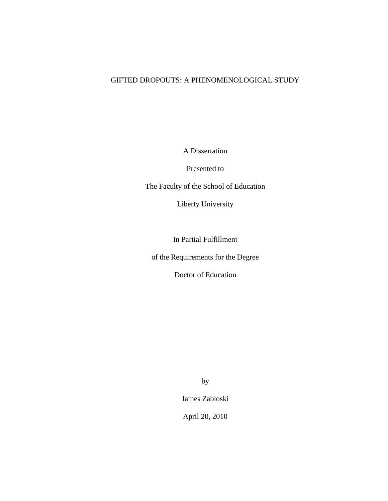# GIFTED DROPOUTS: A PHENOMENOLOGICAL STUDY

A Dissertation

Presented to

The Faculty of the School of Education

Liberty University

In Partial Fulfillment

of the Requirements for the Degree

Doctor of Education

by

James Zabloski

April 20, 2010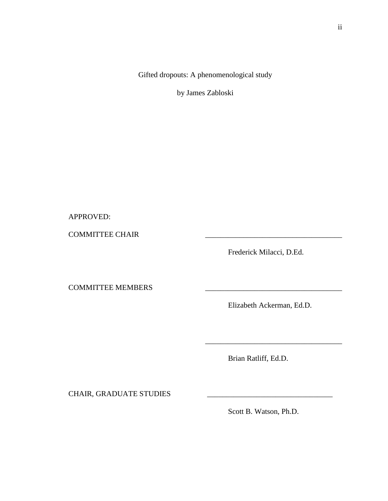Gifted dropouts: A phenomenological study

by James Zabloski

APPROVED:

COMMITTEE CHAIR \_\_\_\_\_\_\_\_\_\_\_\_\_\_\_\_\_\_\_\_\_\_\_\_\_\_\_\_\_\_\_\_\_\_\_\_

Frederick Milacci, D.Ed.

COMMITTEE MEMBERS

Elizabeth Ackerman, Ed.D.

\_\_\_\_\_\_\_\_\_\_\_\_\_\_\_\_\_\_\_\_\_\_\_\_\_\_\_\_\_\_\_\_\_\_\_\_

Brian Ratliff, Ed.D.

CHAIR, GRADUATE STUDIES

Scott B. Watson, Ph.D.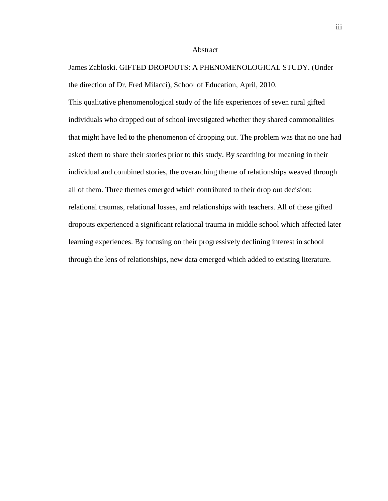#### Abstract

James Zabloski. GIFTED DROPOUTS: A PHENOMENOLOGICAL STUDY. (Under the direction of Dr. Fred Milacci), School of Education, April, 2010.

This qualitative phenomenological study of the life experiences of seven rural gifted individuals who dropped out of school investigated whether they shared commonalities that might have led to the phenomenon of dropping out. The problem was that no one had asked them to share their stories prior to this study. By searching for meaning in their individual and combined stories, the overarching theme of relationships weaved through all of them. Three themes emerged which contributed to their drop out decision: relational traumas, relational losses, and relationships with teachers. All of these gifted dropouts experienced a significant relational trauma in middle school which affected later learning experiences. By focusing on their progressively declining interest in school through the lens of relationships, new data emerged which added to existing literature.

iii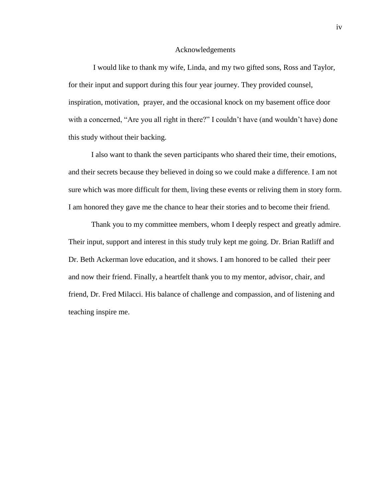#### Acknowledgements

I would like to thank my wife, Linda, and my two gifted sons, Ross and Taylor, for their input and support during this four year journey. They provided counsel, inspiration, motivation, prayer, and the occasional knock on my basement office door with a concerned, "Are you all right in there?" I couldn't have (and wouldn't have) done this study without their backing.

I also want to thank the seven participants who shared their time, their emotions, and their secrets because they believed in doing so we could make a difference. I am not sure which was more difficult for them, living these events or reliving them in story form. I am honored they gave me the chance to hear their stories and to become their friend.

Thank you to my committee members, whom I deeply respect and greatly admire. Their input, support and interest in this study truly kept me going. Dr. Brian Ratliff and Dr. Beth Ackerman love education, and it shows. I am honored to be called their peer and now their friend. Finally, a heartfelt thank you to my mentor, advisor, chair, and friend, Dr. Fred Milacci. His balance of challenge and compassion, and of listening and teaching inspire me.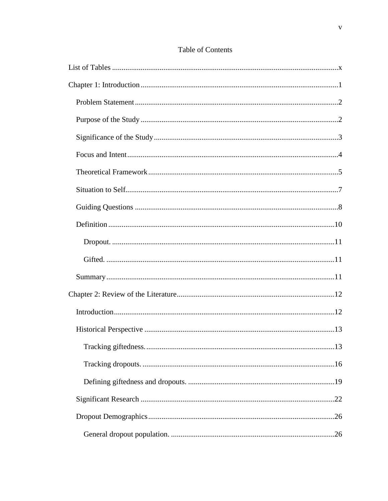| 13 |  |
|----|--|
|    |  |
|    |  |
|    |  |
|    |  |
|    |  |

# Table of Contents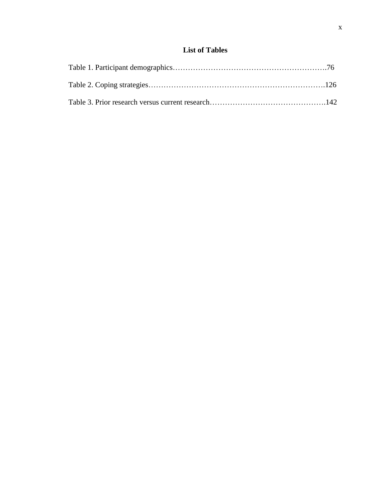# **List of Tables**

<span id="page-9-0"></span>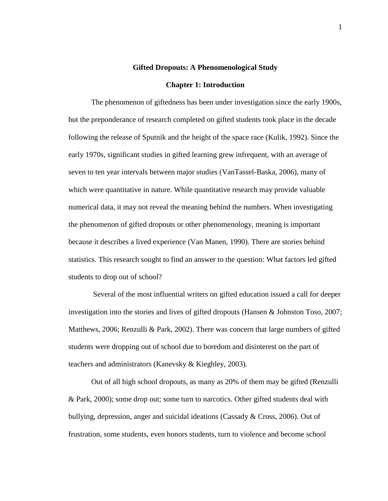#### **Gifted Dropouts: A Phenomenological Study**

#### **Chapter 1: Introduction**

<span id="page-10-0"></span>The phenomenon of giftedness has been under investigation since the early 1900s, but the preponderance of research completed on gifted students took place in the decade following the release of Sputnik and the height of the space race (Kulik, 1992). Since the early 1970s, significant studies in gifted learning grew infrequent, with an average of seven to ten year intervals between major studies (VanTassel-Baska, 2006), many of which were quantitative in nature. While quantitative research may provide valuable numerical data, it may not reveal the meaning behind the numbers. When investigating the phenomenon of gifted dropouts or other phenomenology, meaning is important because it describes a lived experience (Van Manen, 1990). There are stories behind statistics. This research sought to find an answer to the question: What factors led gifted students to drop out of school?

Several of the most influential writers on gifted education issued a call for deeper investigation into the stories and lives of gifted dropouts (Hansen & Johnston Toso, 2007; Matthews, 2006; Renzulli & Park, 2002). There was concern that large numbers of gifted students were dropping out of school due to boredom and disinterest on the part of teachers and administrators (Kanevsky & Kieghley, 2003).

Out of all high school dropouts, as many as 20% of them may be gifted (Renzulli & Park, 2000); some drop out; some turn to narcotics. Other gifted students deal with bullying, depression, anger and suicidal ideations (Cassady & Cross, 2006). Out of frustration, some students, even honors students, turn to violence and become school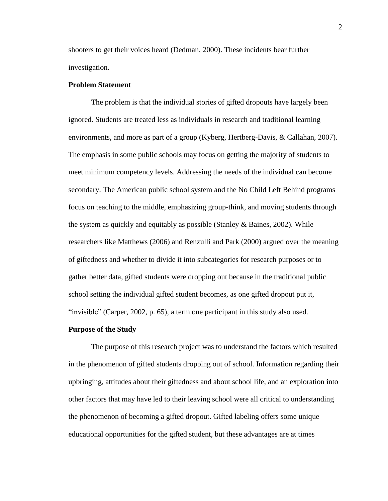shooters to get their voices heard (Dedman, 2000). These incidents bear further investigation.

### <span id="page-11-0"></span>**Problem Statement**

The problem is that the individual stories of gifted dropouts have largely been ignored. Students are treated less as individuals in research and traditional learning environments, and more as part of a group (Kyberg, Hertberg-Davis, & Callahan, 2007). The emphasis in some public schools may focus on getting the majority of students to meet minimum competency levels. Addressing the needs of the individual can become secondary. The American public school system and the No Child Left Behind programs focus on teaching to the middle, emphasizing group-think, and moving students through the system as quickly and equitably as possible (Stanley & Baines, 2002). While researchers like Matthews (2006) and Renzulli and Park (2000) argued over the meaning of giftedness and whether to divide it into subcategories for research purposes or to gather better data, gifted students were dropping out because in the traditional public school setting the individual gifted student becomes, as one gifted dropout put it, "invisible" (Carper, 2002, p. 65), a term one participant in this study also used.

#### <span id="page-11-1"></span>**Purpose of the Study**

The purpose of this research project was to understand the factors which resulted in the phenomenon of gifted students dropping out of school. Information regarding their upbringing, attitudes about their giftedness and about school life, and an exploration into other factors that may have led to their leaving school were all critical to understanding the phenomenon of becoming a gifted dropout. Gifted labeling offers some unique educational opportunities for the gifted student, but these advantages are at times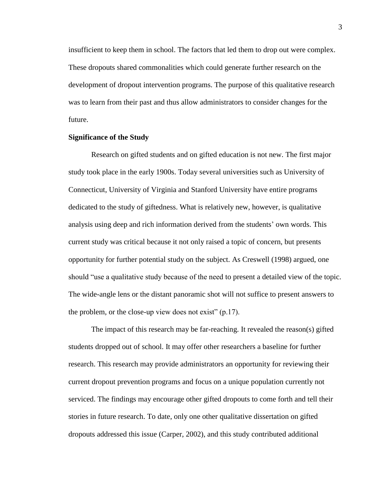insufficient to keep them in school. The factors that led them to drop out were complex. These dropouts shared commonalities which could generate further research on the development of dropout intervention programs. The purpose of this qualitative research was to learn from their past and thus allow administrators to consider changes for the future.

### <span id="page-12-0"></span>**Significance of the Study**

Research on gifted students and on gifted education is not new. The first major study took place in the early 1900s. Today several universities such as University of Connecticut, University of Virginia and Stanford University have entire programs dedicated to the study of giftedness. What is relatively new, however, is qualitative analysis using deep and rich information derived from the students" own words. This current study was critical because it not only raised a topic of concern, but presents opportunity for further potential study on the subject. As Creswell (1998) argued, one should "use a qualitative study because of the need to present a detailed view of the topic. The wide-angle lens or the distant panoramic shot will not suffice to present answers to the problem, or the close-up view does not exist"  $(p.17)$ .

The impact of this research may be far-reaching. It revealed the reason(s) gifted students dropped out of school. It may offer other researchers a baseline for further research. This research may provide administrators an opportunity for reviewing their current dropout prevention programs and focus on a unique population currently not serviced. The findings may encourage other gifted dropouts to come forth and tell their stories in future research. To date, only one other qualitative dissertation on gifted dropouts addressed this issue (Carper, 2002), and this study contributed additional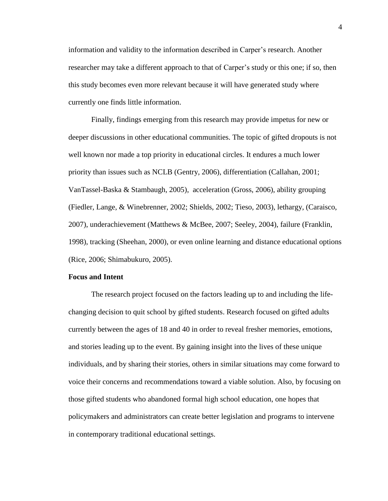information and validity to the information described in Carper"s research. Another researcher may take a different approach to that of Carper's study or this one; if so, then this study becomes even more relevant because it will have generated study where currently one finds little information.

Finally, findings emerging from this research may provide impetus for new or deeper discussions in other educational communities. The topic of gifted dropouts is not well known nor made a top priority in educational circles. It endures a much lower priority than issues such as NCLB (Gentry, 2006), differentiation (Callahan, 2001; VanTassel-Baska & Stambaugh, 2005), acceleration (Gross, 2006), ability grouping (Fiedler, Lange, & Winebrenner, 2002; Shields, 2002; Tieso, 2003), lethargy, (Caraisco, 2007), underachievement (Matthews & McBee, 2007; Seeley, 2004), failure (Franklin, 1998), tracking (Sheehan, 2000), or even online learning and distance educational options (Rice, 2006; Shimabukuro, 2005).

### <span id="page-13-0"></span>**Focus and Intent**

The research project focused on the factors leading up to and including the lifechanging decision to quit school by gifted students. Research focused on gifted adults currently between the ages of 18 and 40 in order to reveal fresher memories, emotions, and stories leading up to the event. By gaining insight into the lives of these unique individuals, and by sharing their stories, others in similar situations may come forward to voice their concerns and recommendations toward a viable solution. Also, by focusing on those gifted students who abandoned formal high school education, one hopes that policymakers and administrators can create better legislation and programs to intervene in contemporary traditional educational settings.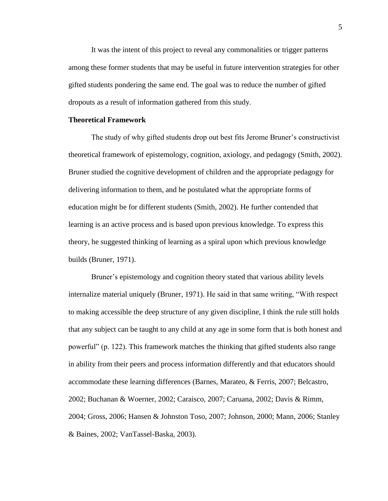It was the intent of this project to reveal any commonalities or trigger patterns among these former students that may be useful in future intervention strategies for other gifted students pondering the same end. The goal was to reduce the number of gifted dropouts as a result of information gathered from this study.

#### <span id="page-14-0"></span>**Theoretical Framework**

The study of why gifted students drop out best fits Jerome Bruner"s constructivist theoretical framework of epistemology, cognition, axiology, and pedagogy (Smith, 2002). Bruner studied the cognitive development of children and the appropriate pedagogy for delivering information to them, and he postulated what the appropriate forms of education might be for different students (Smith, 2002). He further contended that learning is an active process and is based upon previous knowledge. To express this theory, he suggested thinking of learning as a spiral upon which previous knowledge builds (Bruner, 1971).

Bruner's epistemology and cognition theory stated that various ability levels internalize material uniquely (Bruner, 1971). He said in that same writing, "With respect to making accessible the deep structure of any given discipline, I think the rule still holds that any subject can be taught to any child at any age in some form that is both honest and powerful" (p. 122). This framework matches the thinking that gifted students also range in ability from their peers and process information differently and that educators should accommodate these learning differences (Barnes, Marateo, & Ferris, 2007; Belcastro, 2002; Buchanan & Woerner, 2002; Caraisco, 2007; Caruana, 2002; Davis & Rimm, 2004; Gross, 2006; Hansen & Johnston Toso, 2007; Johnson, 2000; Mann, 2006; Stanley & Baines, 2002; VanTassel-Baska, 2003).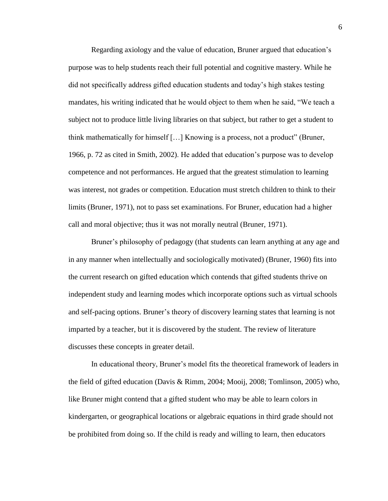Regarding axiology and the value of education, Bruner argued that education"s purpose was to help students reach their full potential and cognitive mastery. While he did not specifically address gifted education students and today"s high stakes testing mandates, his writing indicated that he would object to them when he said, "We teach a subject not to produce little living libraries on that subject, but rather to get a student to think mathematically for himself […] Knowing is a process, not a product" (Bruner, 1966, p. 72 as cited in Smith, 2002). He added that education"s purpose was to develop competence and not performances. He argued that the greatest stimulation to learning was interest, not grades or competition. Education must stretch children to think to their limits (Bruner, 1971), not to pass set examinations. For Bruner, education had a higher call and moral objective; thus it was not morally neutral (Bruner, 1971).

Bruner's philosophy of pedagogy (that students can learn anything at any age and in any manner when intellectually and sociologically motivated) (Bruner, 1960) fits into the current research on gifted education which contends that gifted students thrive on independent study and learning modes which incorporate options such as virtual schools and self-pacing options. Bruner"s theory of discovery learning states that learning is not imparted by a teacher, but it is discovered by the student. The review of literature discusses these concepts in greater detail.

In educational theory, Bruner"s model fits the theoretical framework of leaders in the field of gifted education (Davis & Rimm, 2004; Mooij, 2008; Tomlinson, 2005) who, like Bruner might contend that a gifted student who may be able to learn colors in kindergarten, or geographical locations or algebraic equations in third grade should not be prohibited from doing so. If the child is ready and willing to learn, then educators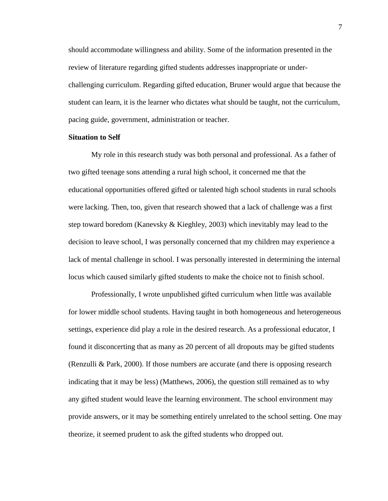should accommodate willingness and ability. Some of the information presented in the review of literature regarding gifted students addresses inappropriate or underchallenging curriculum. Regarding gifted education, Bruner would argue that because the student can learn, it is the learner who dictates what should be taught, not the curriculum, pacing guide, government, administration or teacher.

#### <span id="page-16-0"></span>**Situation to Self**

My role in this research study was both personal and professional. As a father of two gifted teenage sons attending a rural high school, it concerned me that the educational opportunities offered gifted or talented high school students in rural schools were lacking. Then, too, given that research showed that a lack of challenge was a first step toward boredom (Kanevsky & Kieghley, 2003) which inevitably may lead to the decision to leave school, I was personally concerned that my children may experience a lack of mental challenge in school. I was personally interested in determining the internal locus which caused similarly gifted students to make the choice not to finish school.

Professionally, I wrote unpublished gifted curriculum when little was available for lower middle school students. Having taught in both homogeneous and heterogeneous settings, experience did play a role in the desired research. As a professional educator, I found it disconcerting that as many as 20 percent of all dropouts may be gifted students (Renzulli & Park, 2000). If those numbers are accurate (and there is opposing research indicating that it may be less) (Matthews, 2006), the question still remained as to why any gifted student would leave the learning environment. The school environment may provide answers, or it may be something entirely unrelated to the school setting. One may theorize, it seemed prudent to ask the gifted students who dropped out.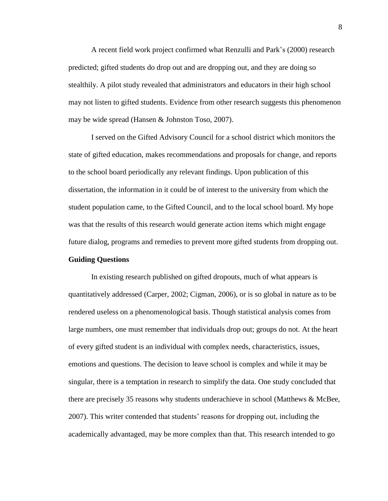A recent field work project confirmed what Renzulli and Park"s (2000) research predicted; gifted students do drop out and are dropping out, and they are doing so stealthily. A pilot study revealed that administrators and educators in their high school may not listen to gifted students. Evidence from other research suggests this phenomenon may be wide spread (Hansen & Johnston Toso, 2007).

I served on the Gifted Advisory Council for a school district which monitors the state of gifted education, makes recommendations and proposals for change, and reports to the school board periodically any relevant findings. Upon publication of this dissertation, the information in it could be of interest to the university from which the student population came, to the Gifted Council, and to the local school board. My hope was that the results of this research would generate action items which might engage future dialog, programs and remedies to prevent more gifted students from dropping out.

# <span id="page-17-0"></span>**Guiding Questions**

In existing research published on gifted dropouts, much of what appears is quantitatively addressed (Carper, 2002; Cigman, 2006), or is so global in nature as to be rendered useless on a phenomenological basis. Though statistical analysis comes from large numbers, one must remember that individuals drop out; groups do not. At the heart of every gifted student is an individual with complex needs, characteristics, issues, emotions and questions. The decision to leave school is complex and while it may be singular, there is a temptation in research to simplify the data. One study concluded that there are precisely 35 reasons why students underachieve in school (Matthews & McBee, 2007). This writer contended that students" reasons for dropping out, including the academically advantaged, may be more complex than that. This research intended to go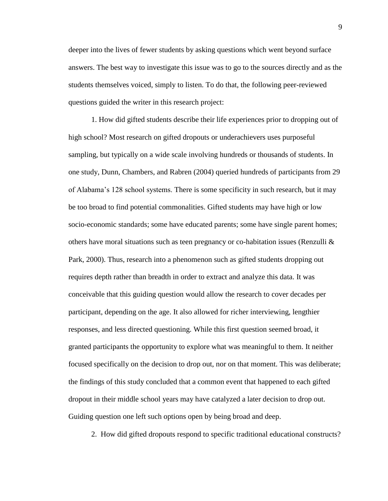deeper into the lives of fewer students by asking questions which went beyond surface answers. The best way to investigate this issue was to go to the sources directly and as the students themselves voiced, simply to listen. To do that, the following peer-reviewed questions guided the writer in this research project:

1. How did gifted students describe their life experiences prior to dropping out of high school? Most research on gifted dropouts or underachievers uses purposeful sampling, but typically on a wide scale involving hundreds or thousands of students. In one study, Dunn, Chambers, and Rabren (2004) queried hundreds of participants from 29 of Alabama"s 128 school systems. There is some specificity in such research, but it may be too broad to find potential commonalities. Gifted students may have high or low socio-economic standards; some have educated parents; some have single parent homes; others have moral situations such as teen pregnancy or co-habitation issues (Renzulli  $\&$ Park, 2000). Thus, research into a phenomenon such as gifted students dropping out requires depth rather than breadth in order to extract and analyze this data. It was conceivable that this guiding question would allow the research to cover decades per participant, depending on the age. It also allowed for richer interviewing, lengthier responses, and less directed questioning. While this first question seemed broad, it granted participants the opportunity to explore what was meaningful to them. It neither focused specifically on the decision to drop out, nor on that moment. This was deliberate; the findings of this study concluded that a common event that happened to each gifted dropout in their middle school years may have catalyzed a later decision to drop out. Guiding question one left such options open by being broad and deep.

2. How did gifted dropouts respond to specific traditional educational constructs?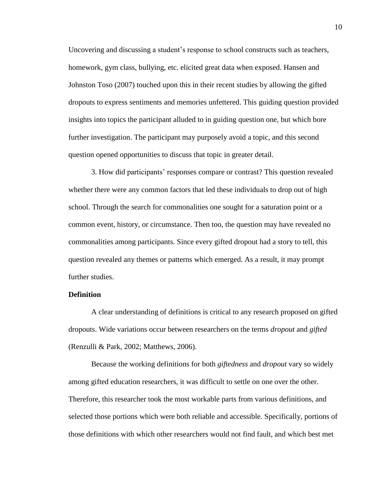Uncovering and discussing a student"s response to school constructs such as teachers, homework, gym class, bullying, etc. elicited great data when exposed. Hansen and Johnston Toso (2007) touched upon this in their recent studies by allowing the gifted dropouts to express sentiments and memories unfettered. This guiding question provided insights into topics the participant alluded to in guiding question one, but which bore further investigation. The participant may purposely avoid a topic, and this second question opened opportunities to discuss that topic in greater detail.

3. How did participants" responses compare or contrast? This question revealed whether there were any common factors that led these individuals to drop out of high school. Through the search for commonalities one sought for a saturation point or a common event, history, or circumstance. Then too, the question may have revealed no commonalities among participants. Since every gifted dropout had a story to tell, this question revealed any themes or patterns which emerged. As a result, it may prompt further studies.

## <span id="page-19-0"></span>**Definition**

A clear understanding of definitions is critical to any research proposed on gifted dropouts. Wide variations occur between researchers on the terms *dropout* and *gifted* (Renzulli & Park, 2002; Matthews, 2006).

Because the working definitions for both *giftedness* and *dropout* vary so widely among gifted education researchers, it was difficult to settle on one over the other. Therefore, this researcher took the most workable parts from various definitions, and selected those portions which were both reliable and accessible. Specifically, portions of those definitions with which other researchers would not find fault, and which best met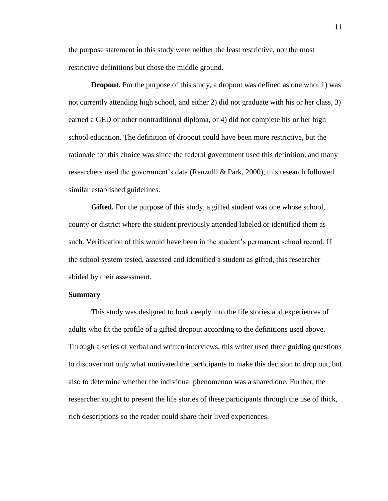the purpose statement in this study were neither the least restrictive, nor the most restrictive definitions but chose the middle ground.

<span id="page-20-0"></span>**Dropout.** For the purpose of this study, a dropout was defined as one who: 1) was not currently attending high school, and either 2) did not graduate with his or her class, 3) earned a GED or other nontraditional diploma, or 4) did not complete his or her high school education. The definition of dropout could have been more restrictive, but the rationale for this choice was since the federal government used this definition, and many researchers used the government's data (Renzulli & Park, 2000), this research followed similar established guidelines.

<span id="page-20-1"></span>**Gifted.** For the purpose of this study, a gifted student was one whose school, county or district where the student previously attended labeled or identified them as such. Verification of this would have been in the student"s permanent school record. If the school system tested, assessed and identified a student as gifted, this researcher abided by their assessment.

### <span id="page-20-2"></span>**Summary**

This study was designed to look deeply into the life stories and experiences of adults who fit the profile of a gifted dropout according to the definitions used above. Through a series of verbal and written interviews, this writer used three guiding questions to discover not only what motivated the participants to make this decision to drop out, but also to determine whether the individual phenomenon was a shared one. Further, the researcher sought to present the life stories of these participants through the use of thick, rich descriptions so the reader could share their lived experiences.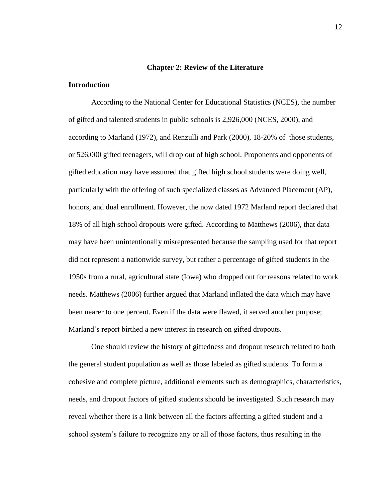#### **Chapter 2: Review of the Literature**

## <span id="page-21-1"></span><span id="page-21-0"></span>**Introduction**

According to the National Center for Educational Statistics (NCES), the number of gifted and talented students in public schools is 2,926,000 (NCES, 2000), and according to Marland (1972), and Renzulli and Park (2000), 18-20% of those students, or 526,000 gifted teenagers, will drop out of high school. Proponents and opponents of gifted education may have assumed that gifted high school students were doing well, particularly with the offering of such specialized classes as Advanced Placement (AP), honors, and dual enrollment. However, the now dated 1972 Marland report declared that 18% of all high school dropouts were gifted. According to Matthews (2006), that data may have been unintentionally misrepresented because the sampling used for that report did not represent a nationwide survey, but rather a percentage of gifted students in the 1950s from a rural, agricultural state (Iowa) who dropped out for reasons related to work needs. Matthews (2006) further argued that Marland inflated the data which may have been nearer to one percent. Even if the data were flawed, it served another purpose; Marland"s report birthed a new interest in research on gifted dropouts.

One should review the history of giftedness and dropout research related to both the general student population as well as those labeled as gifted students. To form a cohesive and complete picture, additional elements such as demographics, characteristics, needs, and dropout factors of gifted students should be investigated. Such research may reveal whether there is a link between all the factors affecting a gifted student and a school system"s failure to recognize any or all of those factors, thus resulting in the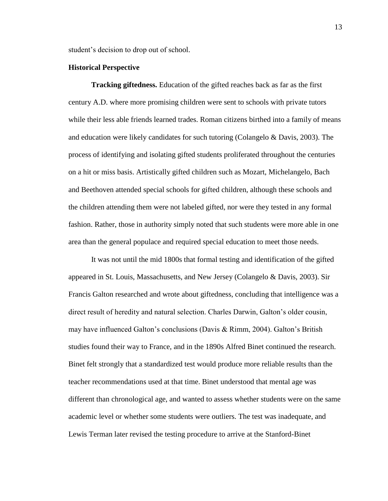student"s decision to drop out of school.

#### <span id="page-22-0"></span>**Historical Perspective**

<span id="page-22-1"></span>**Tracking giftedness.** Education of the gifted reaches back as far as the first century A.D. where more promising children were sent to schools with private tutors while their less able friends learned trades. Roman citizens birthed into a family of means and education were likely candidates for such tutoring (Colangelo & Davis, 2003). The process of identifying and isolating gifted students proliferated throughout the centuries on a hit or miss basis. Artistically gifted children such as Mozart, Michelangelo, Bach and Beethoven attended special schools for gifted children, although these schools and the children attending them were not labeled gifted, nor were they tested in any formal fashion. Rather, those in authority simply noted that such students were more able in one area than the general populace and required special education to meet those needs.

It was not until the mid 1800s that formal testing and identification of the gifted appeared in St. Louis, Massachusetts, and New Jersey (Colangelo & Davis, 2003). Sir Francis Galton researched and wrote about giftedness, concluding that intelligence was a direct result of heredity and natural selection. Charles Darwin, Galton"s older cousin, may have influenced Galton"s conclusions (Davis & Rimm, 2004). Galton"s British studies found their way to France, and in the 1890s Alfred Binet continued the research. Binet felt strongly that a standardized test would produce more reliable results than the teacher recommendations used at that time. Binet understood that mental age was different than chronological age, and wanted to assess whether students were on the same academic level or whether some students were outliers. The test was inadequate, and Lewis Terman later revised the testing procedure to arrive at the Stanford-Binet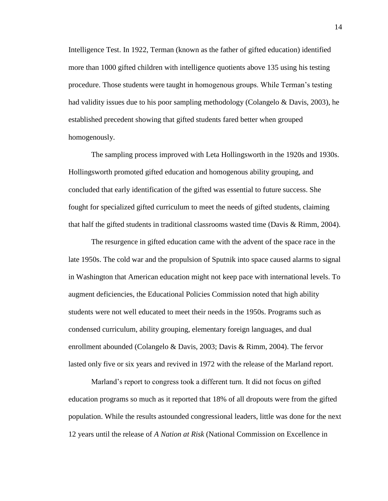Intelligence Test. In 1922, Terman (known as the father of gifted education) identified more than 1000 gifted children with intelligence quotients above 135 using his testing procedure. Those students were taught in homogenous groups. While Terman"s testing had validity issues due to his poor sampling methodology (Colangelo & Davis, 2003), he established precedent showing that gifted students fared better when grouped homogenously.

The sampling process improved with Leta Hollingsworth in the 1920s and 1930s. Hollingsworth promoted gifted education and homogenous ability grouping, and concluded that early identification of the gifted was essential to future success. She fought for specialized gifted curriculum to meet the needs of gifted students, claiming that half the gifted students in traditional classrooms wasted time (Davis & Rimm, 2004).

The resurgence in gifted education came with the advent of the space race in the late 1950s. The cold war and the propulsion of Sputnik into space caused alarms to signal in Washington that American education might not keep pace with international levels. To augment deficiencies, the Educational Policies Commission noted that high ability students were not well educated to meet their needs in the 1950s. Programs such as condensed curriculum, ability grouping, elementary foreign languages, and dual enrollment abounded (Colangelo & Davis, 2003; Davis & Rimm, 2004). The fervor lasted only five or six years and revived in 1972 with the release of the Marland report.

Marland"s report to congress took a different turn. It did not focus on gifted education programs so much as it reported that 18% of all dropouts were from the gifted population. While the results astounded congressional leaders, little was done for the next 12 years until the release of *A Nation at Risk* (National Commission on Excellence in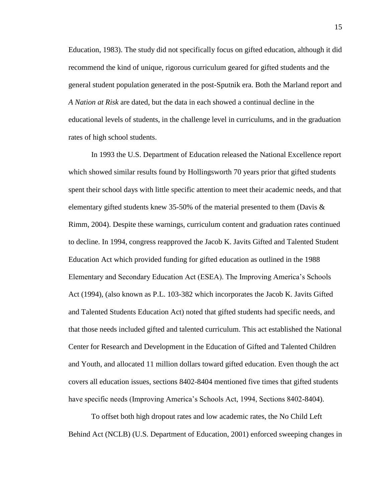Education, 1983). The study did not specifically focus on gifted education, although it did recommend the kind of unique, rigorous curriculum geared for gifted students and the general student population generated in the post-Sputnik era. Both the Marland report and *A Nation at Risk* are dated, but the data in each showed a continual decline in the educational levels of students, in the challenge level in curriculums, and in the graduation rates of high school students.

In 1993 the U.S. Department of Education released the National Excellence report which showed similar results found by Hollingsworth 70 years prior that gifted students spent their school days with little specific attention to meet their academic needs, and that elementary gifted students knew 35-50% of the material presented to them (Davis & Rimm, 2004). Despite these warnings, curriculum content and graduation rates continued to decline. In 1994, congress reapproved the Jacob K. Javits Gifted and Talented Student Education Act which provided funding for gifted education as outlined in the 1988 Elementary and Secondary Education Act (ESEA). The Improving America"s Schools Act (1994), (also known as P.L. 103-382 which incorporates the Jacob K. Javits Gifted and Talented Students Education Act) noted that gifted students had specific needs, and that those needs included gifted and talented curriculum. This act established the National Center for Research and Development in the Education of Gifted and Talented Children and Youth, and allocated 11 million dollars toward gifted education. Even though the act covers all education issues, sections 8402-8404 mentioned five times that gifted students have specific needs (Improving America's Schools Act, 1994, Sections 8402-8404).

To offset both high dropout rates and low academic rates, the No Child Left Behind Act (NCLB) (U.S. Department of Education, 2001) enforced sweeping changes in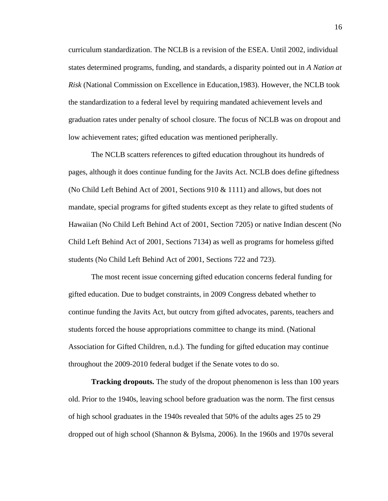curriculum standardization. The NCLB is a revision of the ESEA. Until 2002, individual states determined programs, funding, and standards, a disparity pointed out in *A Nation at Risk* (National Commission on Excellence in Education,1983). However, the NCLB took the standardization to a federal level by requiring mandated achievement levels and graduation rates under penalty of school closure. The focus of NCLB was on dropout and low achievement rates; gifted education was mentioned peripherally.

The NCLB scatters references to gifted education throughout its hundreds of pages, although it does continue funding for the Javits Act. NCLB does define giftedness (No Child Left Behind Act of 2001, Sections  $910 \& 1111$ ) and allows, but does not mandate, special programs for gifted students except as they relate to gifted students of Hawaiian (No Child Left Behind Act of 2001, Section 7205) or native Indian descent (No Child Left Behind Act of 2001, Sections 7134) as well as programs for homeless gifted students (No Child Left Behind Act of 2001, Sections 722 and 723).

The most recent issue concerning gifted education concerns federal funding for gifted education. Due to budget constraints, in 2009 Congress debated whether to continue funding the Javits Act, but outcry from gifted advocates, parents, teachers and students forced the house appropriations committee to change its mind. (National Association for Gifted Children, n.d.). The funding for gifted education may continue throughout the 2009-2010 federal budget if the Senate votes to do so.

<span id="page-25-0"></span>**Tracking dropouts.** The study of the dropout phenomenon is less than 100 years old. Prior to the 1940s, leaving school before graduation was the norm. The first census of high school graduates in the 1940s revealed that 50% of the adults ages 25 to 29 dropped out of high school (Shannon & Bylsma, 2006). In the 1960s and 1970s several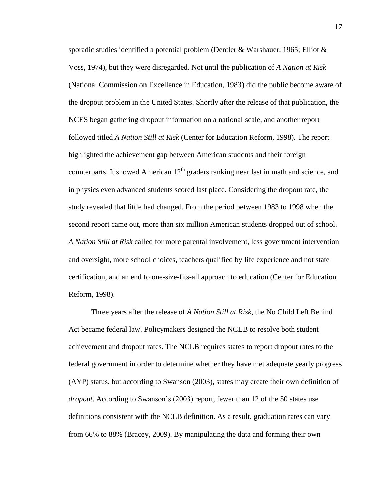sporadic studies identified a potential problem (Dentler & Warshauer, 1965; Elliot & Voss, 1974), but they were disregarded. Not until the publication of *A Nation at Risk* (National Commission on Excellence in Education, 1983) did the public become aware of the dropout problem in the United States. Shortly after the release of that publication, the NCES began gathering dropout information on a national scale, and another report followed titled *A Nation Still at Risk* (Center for Education Reform, 1998). The report highlighted the achievement gap between American students and their foreign counterparts. It showed American  $12<sup>th</sup>$  graders ranking near last in math and science, and in physics even advanced students scored last place. Considering the dropout rate, the study revealed that little had changed. From the period between 1983 to 1998 when the second report came out, more than six million American students dropped out of school. *A Nation Still at Risk* called for more parental involvement, less government intervention and oversight, more school choices, teachers qualified by life experience and not state certification, and an end to one-size-fits-all approach to education (Center for Education Reform, 1998).

Three years after the release of *A Nation Still at Risk*, the No Child Left Behind Act became federal law. Policymakers designed the NCLB to resolve both student achievement and dropout rates. The NCLB requires states to report dropout rates to the federal government in order to determine whether they have met adequate yearly progress (AYP) status, but according to Swanson (2003), states may create their own definition of *dropout*. According to Swanson"s (2003) report, fewer than 12 of the 50 states use definitions consistent with the NCLB definition. As a result, graduation rates can vary from 66% to 88% (Bracey, 2009). By manipulating the data and forming their own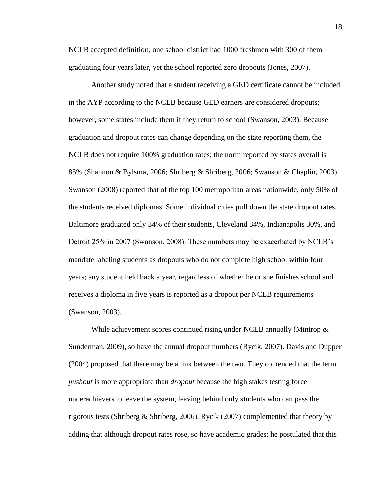NCLB accepted definition, one school district had 1000 freshmen with 300 of them graduating four years later, yet the school reported zero dropouts (Jones, 2007).

Another study noted that a student receiving a GED certificate cannot be included in the AYP according to the NCLB because GED earners are considered dropouts; however, some states include them if they return to school (Swanson, 2003). Because graduation and dropout rates can change depending on the state reporting them, the NCLB does not require 100% graduation rates; the norm reported by states overall is 85% (Shannon & Bylsma, 2006; Shriberg & Shriberg, 2006; Swanson & Chaplin, 2003). Swanson (2008) reported that of the top 100 metropolitan areas nationwide, only 50% of the students received diplomas. Some individual cities pull down the state dropout rates. Baltimore graduated only 34% of their students, Cleveland 34%, Indianapolis 30%, and Detroit 25% in 2007 (Swanson, 2008). These numbers may be exacerbated by NCLB"s mandate labeling students as dropouts who do not complete high school within four years; any student held back a year, regardless of whether he or she finishes school and receives a diploma in five years is reported as a dropout per NCLB requirements (Swanson, 2003).

While achievement scores continued rising under NCLB annually (Mintrop  $\&$ Sunderman, 2009), so have the annual dropout numbers (Rycik, 2007). Davis and Dupper (2004) proposed that there may be a link between the two. They contended that the term *pushout* is more appropriate than *dropout* because the high stakes testing force underachievers to leave the system, leaving behind only students who can pass the rigorous tests (Shriberg & Shriberg, 2006). Rycik (2007) complemented that theory by adding that although dropout rates rose, so have academic grades; he postulated that this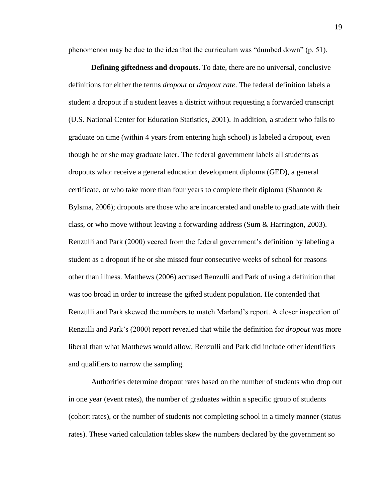phenomenon may be due to the idea that the curriculum was "dumbed down" (p. 51).

<span id="page-28-0"></span>**Defining giftedness and dropouts.** To date, there are no universal, conclusive definitions for either the terms *dropout* or *dropout rate*. The federal definition labels a student a dropout if a student leaves a district without requesting a forwarded transcript (U.S. National Center for Education Statistics, 2001). In addition, a student who fails to graduate on time (within 4 years from entering high school) is labeled a dropout, even though he or she may graduate later. The federal government labels all students as dropouts who: receive a general education development diploma (GED), a general certificate, or who take more than four years to complete their diploma (Shannon  $\&$ Bylsma, 2006); dropouts are those who are incarcerated and unable to graduate with their class, or who move without leaving a forwarding address (Sum & Harrington, 2003). Renzulli and Park (2000) veered from the federal government"s definition by labeling a student as a dropout if he or she missed four consecutive weeks of school for reasons other than illness. Matthews (2006) accused Renzulli and Park of using a definition that was too broad in order to increase the gifted student population. He contended that Renzulli and Park skewed the numbers to match Marland"s report. A closer inspection of Renzulli and Park"s (2000) report revealed that while the definition for *dropout* was more liberal than what Matthews would allow, Renzulli and Park did include other identifiers and qualifiers to narrow the sampling.

Authorities determine dropout rates based on the number of students who drop out in one year (event rates), the number of graduates within a specific group of students (cohort rates), or the number of students not completing school in a timely manner (status rates). These varied calculation tables skew the numbers declared by the government so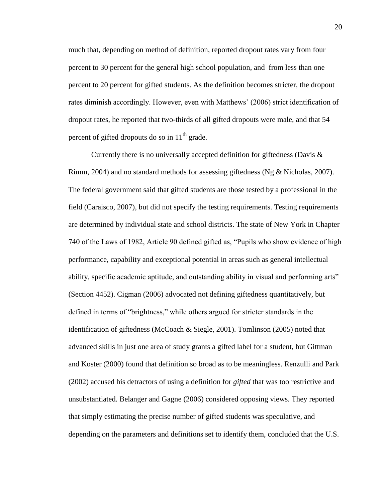much that, depending on method of definition, reported dropout rates vary from four percent to 30 percent for the general high school population, and from less than one percent to 20 percent for gifted students. As the definition becomes stricter, the dropout rates diminish accordingly. However, even with Matthews" (2006) strict identification of dropout rates, he reported that two-thirds of all gifted dropouts were male, and that 54 percent of gifted dropouts do so in  $11<sup>th</sup>$  grade.

Currently there is no universally accepted definition for giftedness (Davis & Rimm, 2004) and no standard methods for assessing giftedness (Ng & Nicholas, 2007). The federal government said that gifted students are those tested by a professional in the field (Caraisco, 2007), but did not specify the testing requirements. Testing requirements are determined by individual state and school districts. The state of New York in Chapter 740 of the Laws of 1982, Article 90 defined gifted as, "Pupils who show evidence of high performance, capability and exceptional potential in areas such as general intellectual ability, specific academic aptitude, and outstanding ability in visual and performing arts" (Section 4452). Cigman (2006) advocated not defining giftedness quantitatively, but defined in terms of "brightness," while others argued for stricter standards in the identification of giftedness (McCoach & Siegle, 2001). Tomlinson (2005) noted that advanced skills in just one area of study grants a gifted label for a student, but Gittman and Koster (2000) found that definition so broad as to be meaningless. Renzulli and Park (2002) accused his detractors of using a definition for *gifted* that was too restrictive and unsubstantiated. Belanger and Gagne (2006) considered opposing views. They reported that simply estimating the precise number of gifted students was speculative, and depending on the parameters and definitions set to identify them, concluded that the U.S.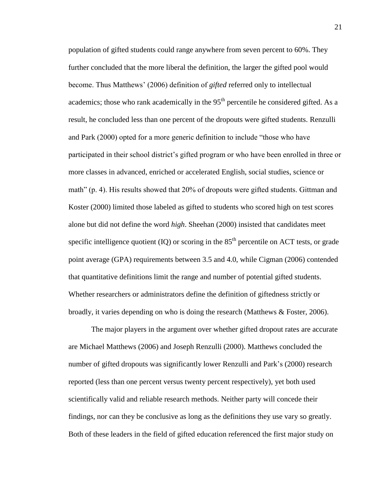population of gifted students could range anywhere from seven percent to 60%. They further concluded that the more liberal the definition, the larger the gifted pool would become. Thus Matthews" (2006) definition of *gifted* referred only to intellectual academics; those who rank academically in the  $95<sup>th</sup>$  percentile he considered gifted. As a result, he concluded less than one percent of the dropouts were gifted students. Renzulli and Park (2000) opted for a more generic definition to include "those who have participated in their school district"s gifted program or who have been enrolled in three or more classes in advanced, enriched or accelerated English, social studies, science or math" (p. 4). His results showed that 20% of dropouts were gifted students. Gittman and Koster (2000) limited those labeled as gifted to students who scored high on test scores alone but did not define the word *high*. Sheehan (2000) insisted that candidates meet specific intelligence quotient  $(IQ)$  or scoring in the  $85<sup>th</sup>$  percentile on ACT tests, or grade point average (GPA) requirements between 3.5 and 4.0, while Cigman (2006) contended that quantitative definitions limit the range and number of potential gifted students. Whether researchers or administrators define the definition of giftedness strictly or broadly, it varies depending on who is doing the research (Matthews & Foster, 2006).

The major players in the argument over whether gifted dropout rates are accurate are Michael Matthews (2006) and Joseph Renzulli (2000). Matthews concluded the number of gifted dropouts was significantly lower Renzulli and Park's (2000) research reported (less than one percent versus twenty percent respectively), yet both used scientifically valid and reliable research methods. Neither party will concede their findings, nor can they be conclusive as long as the definitions they use vary so greatly. Both of these leaders in the field of gifted education referenced the first major study on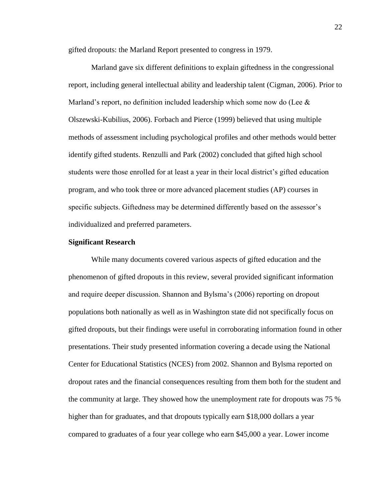gifted dropouts: the Marland Report presented to congress in 1979.

Marland gave six different definitions to explain giftedness in the congressional report, including general intellectual ability and leadership talent (Cigman, 2006). Prior to Marland's report, no definition included leadership which some now do (Lee  $\&$ Olszewski-Kubilius, 2006). Forbach and Pierce (1999) believed that using multiple methods of assessment including psychological profiles and other methods would better identify gifted students. Renzulli and Park (2002) concluded that gifted high school students were those enrolled for at least a year in their local district"s gifted education program, and who took three or more advanced placement studies (AP) courses in specific subjects. Giftedness may be determined differently based on the assessor's individualized and preferred parameters.

### <span id="page-31-0"></span>**Significant Research**

While many documents covered various aspects of gifted education and the phenomenon of gifted dropouts in this review, several provided significant information and require deeper discussion. Shannon and Bylsma"s (2006) reporting on dropout populations both nationally as well as in Washington state did not specifically focus on gifted dropouts, but their findings were useful in corroborating information found in other presentations. Their study presented information covering a decade using the National Center for Educational Statistics (NCES) from 2002. Shannon and Bylsma reported on dropout rates and the financial consequences resulting from them both for the student and the community at large. They showed how the unemployment rate for dropouts was 75 % higher than for graduates, and that dropouts typically earn \$18,000 dollars a year compared to graduates of a four year college who earn \$45,000 a year. Lower income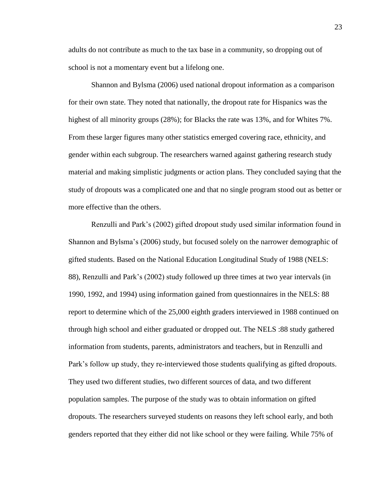adults do not contribute as much to the tax base in a community, so dropping out of school is not a momentary event but a lifelong one.

Shannon and Bylsma (2006) used national dropout information as a comparison for their own state. They noted that nationally, the dropout rate for Hispanics was the highest of all minority groups (28%); for Blacks the rate was 13%, and for Whites 7%. From these larger figures many other statistics emerged covering race, ethnicity, and gender within each subgroup. The researchers warned against gathering research study material and making simplistic judgments or action plans. They concluded saying that the study of dropouts was a complicated one and that no single program stood out as better or more effective than the others.

Renzulli and Park"s (2002) gifted dropout study used similar information found in Shannon and Bylsma"s (2006) study, but focused solely on the narrower demographic of gifted students. Based on the National Education Longitudinal Study of 1988 (NELS: 88), Renzulli and Park"s (2002) study followed up three times at two year intervals (in 1990, 1992, and 1994) using information gained from questionnaires in the NELS: 88 report to determine which of the 25,000 eighth graders interviewed in 1988 continued on through high school and either graduated or dropped out. The NELS :88 study gathered information from students, parents, administrators and teachers, but in Renzulli and Park"s follow up study, they re-interviewed those students qualifying as gifted dropouts. They used two different studies, two different sources of data, and two different population samples. The purpose of the study was to obtain information on gifted dropouts. The researchers surveyed students on reasons they left school early, and both genders reported that they either did not like school or they were failing. While 75% of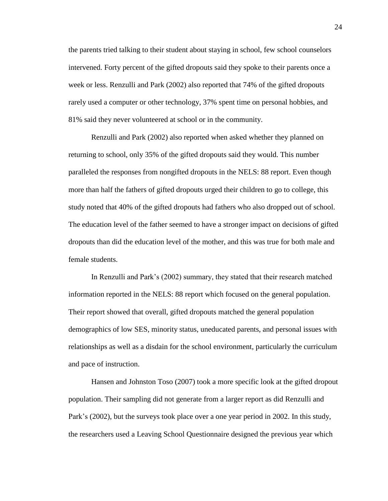the parents tried talking to their student about staying in school, few school counselors intervened. Forty percent of the gifted dropouts said they spoke to their parents once a week or less. Renzulli and Park (2002) also reported that 74% of the gifted dropouts rarely used a computer or other technology, 37% spent time on personal hobbies, and 81% said they never volunteered at school or in the community.

Renzulli and Park (2002) also reported when asked whether they planned on returning to school, only 35% of the gifted dropouts said they would. This number paralleled the responses from nongifted dropouts in the NELS: 88 report. Even though more than half the fathers of gifted dropouts urged their children to go to college, this study noted that 40% of the gifted dropouts had fathers who also dropped out of school. The education level of the father seemed to have a stronger impact on decisions of gifted dropouts than did the education level of the mother, and this was true for both male and female students.

In Renzulli and Park"s (2002) summary, they stated that their research matched information reported in the NELS: 88 report which focused on the general population. Their report showed that overall, gifted dropouts matched the general population demographics of low SES, minority status, uneducated parents, and personal issues with relationships as well as a disdain for the school environment, particularly the curriculum and pace of instruction.

Hansen and Johnston Toso (2007) took a more specific look at the gifted dropout population. Their sampling did not generate from a larger report as did Renzulli and Park's (2002), but the surveys took place over a one year period in 2002. In this study, the researchers used a Leaving School Questionnaire designed the previous year which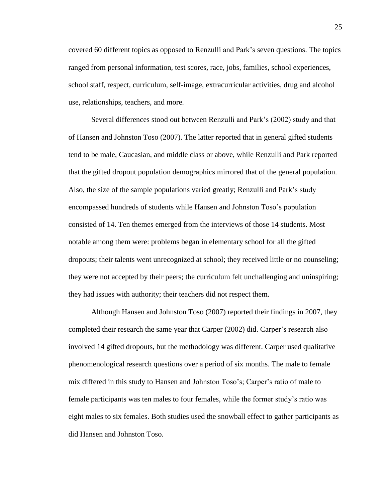covered 60 different topics as opposed to Renzulli and Park"s seven questions. The topics ranged from personal information, test scores, race, jobs, families, school experiences, school staff, respect, curriculum, self-image, extracurricular activities, drug and alcohol use, relationships, teachers, and more.

Several differences stood out between Renzulli and Park"s (2002) study and that of Hansen and Johnston Toso (2007). The latter reported that in general gifted students tend to be male, Caucasian, and middle class or above, while Renzulli and Park reported that the gifted dropout population demographics mirrored that of the general population. Also, the size of the sample populations varied greatly; Renzulli and Park"s study encompassed hundreds of students while Hansen and Johnston Toso"s population consisted of 14. Ten themes emerged from the interviews of those 14 students. Most notable among them were: problems began in elementary school for all the gifted dropouts; their talents went unrecognized at school; they received little or no counseling; they were not accepted by their peers; the curriculum felt unchallenging and uninspiring; they had issues with authority; their teachers did not respect them.

Although Hansen and Johnston Toso (2007) reported their findings in 2007, they completed their research the same year that Carper (2002) did. Carper"s research also involved 14 gifted dropouts, but the methodology was different. Carper used qualitative phenomenological research questions over a period of six months. The male to female mix differed in this study to Hansen and Johnston Toso"s; Carper"s ratio of male to female participants was ten males to four females, while the former study"s ratio was eight males to six females. Both studies used the snowball effect to gather participants as did Hansen and Johnston Toso.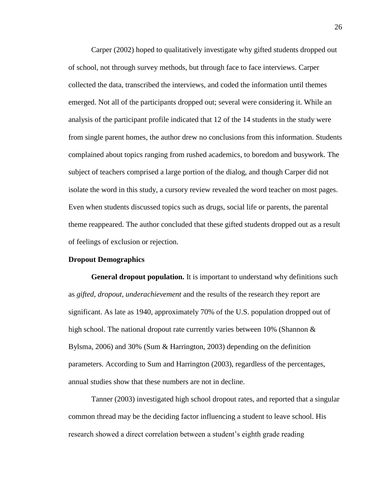Carper (2002) hoped to qualitatively investigate why gifted students dropped out of school, not through survey methods, but through face to face interviews. Carper collected the data, transcribed the interviews, and coded the information until themes emerged. Not all of the participants dropped out; several were considering it. While an analysis of the participant profile indicated that 12 of the 14 students in the study were from single parent homes, the author drew no conclusions from this information. Students complained about topics ranging from rushed academics, to boredom and busywork. The subject of teachers comprised a large portion of the dialog, and though Carper did not isolate the word in this study, a cursory review revealed the word teacher on most pages. Even when students discussed topics such as drugs, social life or parents, the parental theme reappeared. The author concluded that these gifted students dropped out as a result of feelings of exclusion or rejection.

#### <span id="page-35-0"></span>**Dropout Demographics**

<span id="page-35-1"></span>**General dropout population.** It is important to understand why definitions such as *gifted, dropout, underachievement* and the results of the research they report are significant. As late as 1940, approximately 70% of the U.S. population dropped out of high school. The national dropout rate currently varies between 10% (Shannon & Bylsma, 2006) and 30% (Sum & Harrington, 2003) depending on the definition parameters. According to Sum and Harrington (2003), regardless of the percentages, annual studies show that these numbers are not in decline.

Tanner (2003) investigated high school dropout rates, and reported that a singular common thread may be the deciding factor influencing a student to leave school. His research showed a direct correlation between a student's eighth grade reading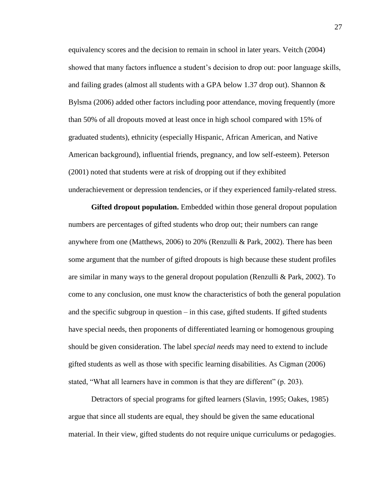equivalency scores and the decision to remain in school in later years. Veitch (2004) showed that many factors influence a student's decision to drop out: poor language skills, and failing grades (almost all students with a GPA below 1.37 drop out). Shannon  $\&$ Bylsma (2006) added other factors including poor attendance, moving frequently (more than 50% of all dropouts moved at least once in high school compared with 15% of graduated students), ethnicity (especially Hispanic, African American, and Native American background), influential friends, pregnancy, and low self-esteem). Peterson (2001) noted that students were at risk of dropping out if they exhibited underachievement or depression tendencies, or if they experienced family-related stress.

**Gifted dropout population.** Embedded within those general dropout population numbers are percentages of gifted students who drop out; their numbers can range anywhere from one (Matthews, 2006) to 20% (Renzulli & Park, 2002). There has been some argument that the number of gifted dropouts is high because these student profiles are similar in many ways to the general dropout population (Renzulli & Park, 2002). To come to any conclusion, one must know the characteristics of both the general population and the specific subgroup in question – in this case, gifted students. If gifted students have special needs, then proponents of differentiated learning or homogenous grouping should be given consideration. The label *special needs* may need to extend to include gifted students as well as those with specific learning disabilities. As Cigman (2006) stated, "What all learners have in common is that they are different" (p. 203).

Detractors of special programs for gifted learners (Slavin, 1995; Oakes, 1985) argue that since all students are equal, they should be given the same educational material. In their view, gifted students do not require unique curriculums or pedagogies.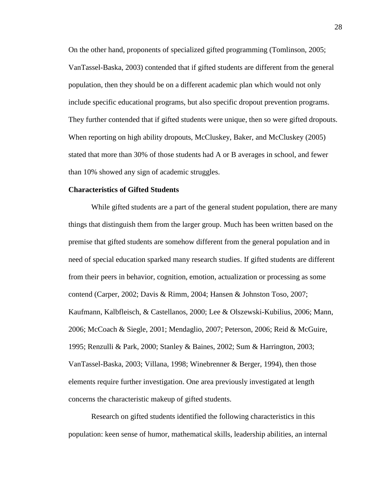On the other hand, proponents of specialized gifted programming (Tomlinson, 2005; VanTassel-Baska, 2003) contended that if gifted students are different from the general population, then they should be on a different academic plan which would not only include specific educational programs, but also specific dropout prevention programs. They further contended that if gifted students were unique, then so were gifted dropouts. When reporting on high ability dropouts, McCluskey, Baker, and McCluskey (2005) stated that more than 30% of those students had A or B averages in school, and fewer than 10% showed any sign of academic struggles.

## **Characteristics of Gifted Students**

While gifted students are a part of the general student population, there are many things that distinguish them from the larger group. Much has been written based on the premise that gifted students are somehow different from the general population and in need of special education sparked many research studies. If gifted students are different from their peers in behavior, cognition, emotion, actualization or processing as some contend (Carper, 2002; Davis & Rimm, 2004; Hansen & Johnston Toso, 2007; Kaufmann, Kalbfleisch, & Castellanos, 2000; Lee & Olszewski-Kubilius, 2006; Mann, 2006; McCoach & Siegle, 2001; Mendaglio, 2007; Peterson, 2006; Reid & McGuire, 1995; Renzulli & Park, 2000; Stanley & Baines, 2002; Sum & Harrington, 2003; VanTassel-Baska, 2003; Villana, 1998; Winebrenner & Berger, 1994), then those elements require further investigation. One area previously investigated at length concerns the characteristic makeup of gifted students.

Research on gifted students identified the following characteristics in this population: keen sense of humor, mathematical skills, leadership abilities, an internal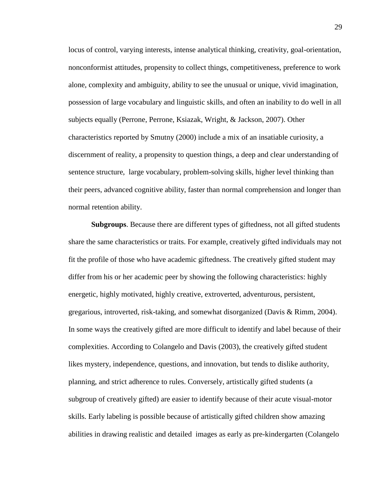locus of control, varying interests, intense analytical thinking, creativity, goal-orientation, nonconformist attitudes, propensity to collect things, competitiveness, preference to work alone, complexity and ambiguity, ability to see the unusual or unique, vivid imagination, possession of large vocabulary and linguistic skills, and often an inability to do well in all subjects equally (Perrone, Perrone, Ksiazak, Wright, & Jackson, 2007). Other characteristics reported by Smutny (2000) include a mix of an insatiable curiosity, a discernment of reality, a propensity to question things, a deep and clear understanding of sentence structure, large vocabulary, problem-solving skills, higher level thinking than their peers, advanced cognitive ability, faster than normal comprehension and longer than normal retention ability.

**Subgroups**. Because there are different types of giftedness, not all gifted students share the same characteristics or traits. For example, creatively gifted individuals may not fit the profile of those who have academic giftedness. The creatively gifted student may differ from his or her academic peer by showing the following characteristics: highly energetic, highly motivated, highly creative, extroverted, adventurous, persistent, gregarious, introverted, risk-taking, and somewhat disorganized (Davis & Rimm, 2004). In some ways the creatively gifted are more difficult to identify and label because of their complexities. According to Colangelo and Davis (2003), the creatively gifted student likes mystery, independence, questions, and innovation, but tends to dislike authority, planning, and strict adherence to rules. Conversely, artistically gifted students (a subgroup of creatively gifted) are easier to identify because of their acute visual-motor skills. Early labeling is possible because of artistically gifted children show amazing abilities in drawing realistic and detailed images as early as pre-kindergarten (Colangelo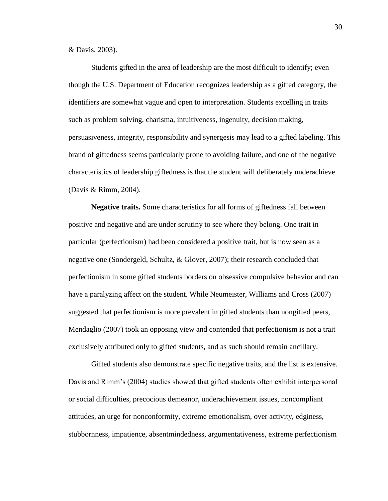& Davis, 2003).

Students gifted in the area of leadership are the most difficult to identify; even though the U.S. Department of Education recognizes leadership as a gifted category, the identifiers are somewhat vague and open to interpretation. Students excelling in traits such as problem solving, charisma, intuitiveness, ingenuity, decision making, persuasiveness, integrity, responsibility and synergesis may lead to a gifted labeling. This brand of giftedness seems particularly prone to avoiding failure, and one of the negative characteristics of leadership giftedness is that the student will deliberately underachieve (Davis & Rimm, 2004).

**Negative traits.** Some characteristics for all forms of giftedness fall between positive and negative and are under scrutiny to see where they belong. One trait in particular (perfectionism) had been considered a positive trait, but is now seen as a negative one (Sondergeld, Schultz, & Glover, 2007); their research concluded that perfectionism in some gifted students borders on obsessive compulsive behavior and can have a paralyzing affect on the student. While Neumeister, Williams and Cross (2007) suggested that perfectionism is more prevalent in gifted students than nongifted peers, Mendaglio (2007) took an opposing view and contended that perfectionism is not a trait exclusively attributed only to gifted students, and as such should remain ancillary.

Gifted students also demonstrate specific negative traits, and the list is extensive. Davis and Rimm"s (2004) studies showed that gifted students often exhibit interpersonal or social difficulties, precocious demeanor, underachievement issues, noncompliant attitudes, an urge for nonconformity, extreme emotionalism, over activity, edginess, stubbornness, impatience, absentmindedness, argumentativeness, extreme perfectionism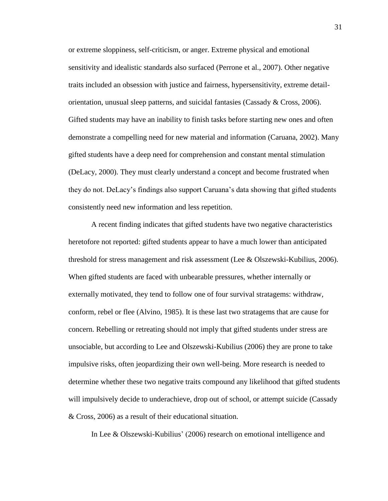or extreme sloppiness, self-criticism, or anger. Extreme physical and emotional sensitivity and idealistic standards also surfaced (Perrone et al., 2007). Other negative traits included an obsession with justice and fairness, hypersensitivity, extreme detailorientation, unusual sleep patterns, and suicidal fantasies (Cassady  $& Cross, 2006$ ). Gifted students may have an inability to finish tasks before starting new ones and often demonstrate a compelling need for new material and information (Caruana, 2002). Many gifted students have a deep need for comprehension and constant mental stimulation (DeLacy, 2000). They must clearly understand a concept and become frustrated when they do not. DeLacy"s findings also support Caruana"s data showing that gifted students consistently need new information and less repetition.

A recent finding indicates that gifted students have two negative characteristics heretofore not reported: gifted students appear to have a much lower than anticipated threshold for stress management and risk assessment (Lee & Olszewski-Kubilius, 2006). When gifted students are faced with unbearable pressures, whether internally or externally motivated, they tend to follow one of four survival stratagems: withdraw, conform, rebel or flee (Alvino, 1985). It is these last two stratagems that are cause for concern. Rebelling or retreating should not imply that gifted students under stress are unsociable, but according to Lee and Olszewski-Kubilius (2006) they are prone to take impulsive risks, often jeopardizing their own well-being. More research is needed to determine whether these two negative traits compound any likelihood that gifted students will impulsively decide to underachieve, drop out of school, or attempt suicide (Cassady & Cross, 2006) as a result of their educational situation.

In Lee & Olszewski-Kubilius' (2006) research on emotional intelligence and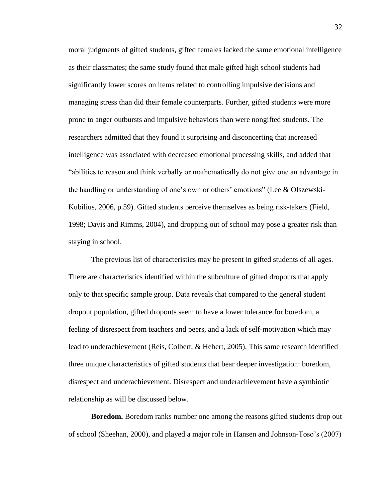moral judgments of gifted students, gifted females lacked the same emotional intelligence as their classmates; the same study found that male gifted high school students had significantly lower scores on items related to controlling impulsive decisions and managing stress than did their female counterparts. Further, gifted students were more prone to anger outbursts and impulsive behaviors than were nongifted students. The researchers admitted that they found it surprising and disconcerting that increased intelligence was associated with decreased emotional processing skills, and added that "abilities to reason and think verbally or mathematically do not give one an advantage in the handling or understanding of one's own or others' emotions" (Lee & Olszewski-Kubilius, 2006, p.59). Gifted students perceive themselves as being risk-takers (Field, 1998; Davis and Rimms, 2004), and dropping out of school may pose a greater risk than staying in school.

The previous list of characteristics may be present in gifted students of all ages. There are characteristics identified within the subculture of gifted dropouts that apply only to that specific sample group. Data reveals that compared to the general student dropout population, gifted dropouts seem to have a lower tolerance for boredom, a feeling of disrespect from teachers and peers, and a lack of self-motivation which may lead to underachievement (Reis, Colbert, & Hebert, 2005). This same research identified three unique characteristics of gifted students that bear deeper investigation: boredom, disrespect and underachievement. Disrespect and underachievement have a symbiotic relationship as will be discussed below.

**Boredom.** Boredom ranks number one among the reasons gifted students drop out of school (Sheehan, 2000), and played a major role in Hansen and Johnson-Toso"s (2007)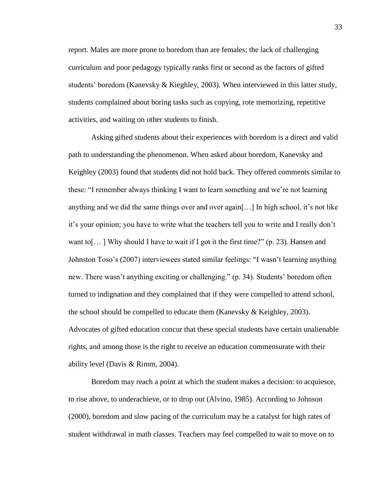report. Males are more prone to boredom than are females; the lack of challenging curriculum and poor pedagogy typically ranks first or second as the factors of gifted students' boredom (Kanevsky & Kieghley, 2003). When interviewed in this latter study, students complained about boring tasks such as copying, rote memorizing, repetitive activities, and waiting on other students to finish.

Asking gifted students about their experiences with boredom is a direct and valid path to understanding the phenomenon. When asked about boredom, Kanevsky and Keighley (2003) found that students did not hold back. They offered comments similar to these: "I remember always thinking I want to learn something and we"re not learning anything and we did the same things over and over again[…] In high school, it"s not like it"s your opinion; you have to write what the teachers tell you to write and I really don"t want to[...] Why should I have to wait if I got it the first time?" (p. 23). Hansen and Johnston Toso"s (2007) interviewees stated similar feelings: "I wasn"t learning anything new. There wasn"t anything exciting or challenging." (p. 34). Students" boredom often turned to indignation and they complained that if they were compelled to attend school, the school should be compelled to educate them (Kanevsky  $\&$  Keighley, 2003). Advocates of gifted education concur that these special students have certain unalienable rights, and among those is the right to receive an education commensurate with their ability level (Davis & Rimm, 2004).

Boredom may reach a point at which the student makes a decision: to acquiesce, to rise above, to underachieve, or to drop out (Alvino, 1985). According to Johnson (2000), boredom and slow pacing of the curriculum may be a catalyst for high rates of student withdrawal in math classes. Teachers may feel compelled to wait to move on to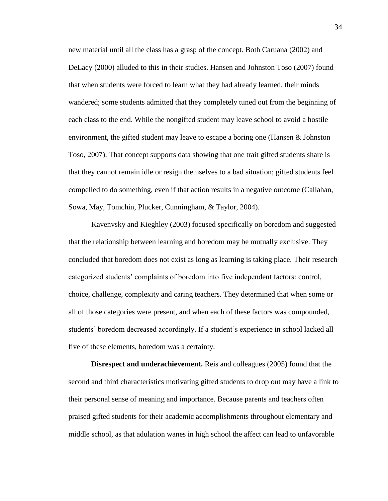new material until all the class has a grasp of the concept. Both Caruana (2002) and DeLacy (2000) alluded to this in their studies. Hansen and Johnston Toso (2007) found that when students were forced to learn what they had already learned, their minds wandered; some students admitted that they completely tuned out from the beginning of each class to the end. While the nongifted student may leave school to avoid a hostile environment, the gifted student may leave to escape a boring one (Hansen & Johnston Toso, 2007). That concept supports data showing that one trait gifted students share is that they cannot remain idle or resign themselves to a bad situation; gifted students feel compelled to do something, even if that action results in a negative outcome (Callahan, Sowa, May, Tomchin, Plucker, Cunningham, & Taylor, 2004).

Kavenvsky and Kieghley (2003) focused specifically on boredom and suggested that the relationship between learning and boredom may be mutually exclusive. They concluded that boredom does not exist as long as learning is taking place. Their research categorized students" complaints of boredom into five independent factors: control, choice, challenge, complexity and caring teachers. They determined that when some or all of those categories were present, and when each of these factors was compounded, students" boredom decreased accordingly. If a student"s experience in school lacked all five of these elements, boredom was a certainty.

**Disrespect and underachievement.** Reis and colleagues (2005) found that the second and third characteristics motivating gifted students to drop out may have a link to their personal sense of meaning and importance. Because parents and teachers often praised gifted students for their academic accomplishments throughout elementary and middle school, as that adulation wanes in high school the affect can lead to unfavorable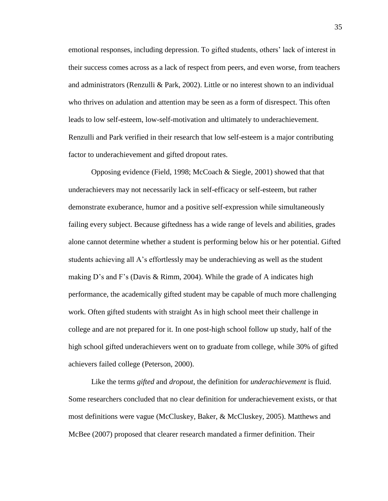emotional responses, including depression. To gifted students, others" lack of interest in their success comes across as a lack of respect from peers, and even worse, from teachers and administrators (Renzulli & Park, 2002). Little or no interest shown to an individual who thrives on adulation and attention may be seen as a form of disrespect. This often leads to low self-esteem, low-self-motivation and ultimately to underachievement. Renzulli and Park verified in their research that low self-esteem is a major contributing factor to underachievement and gifted dropout rates.

Opposing evidence (Field, 1998; McCoach & Siegle, 2001) showed that that underachievers may not necessarily lack in self-efficacy or self-esteem, but rather demonstrate exuberance, humor and a positive self-expression while simultaneously failing every subject. Because giftedness has a wide range of levels and abilities, grades alone cannot determine whether a student is performing below his or her potential. Gifted students achieving all A"s effortlessly may be underachieving as well as the student making D's and F's (Davis & Rimm, 2004). While the grade of A indicates high performance, the academically gifted student may be capable of much more challenging work. Often gifted students with straight As in high school meet their challenge in college and are not prepared for it. In one post-high school follow up study, half of the high school gifted underachievers went on to graduate from college, while 30% of gifted achievers failed college (Peterson, 2000).

Like the terms *gifted* and *dropout*, the definition for *underachievement* is fluid. Some researchers concluded that no clear definition for underachievement exists, or that most definitions were vague (McCluskey, Baker, & McCluskey, 2005). Matthews and McBee (2007) proposed that clearer research mandated a firmer definition. Their

35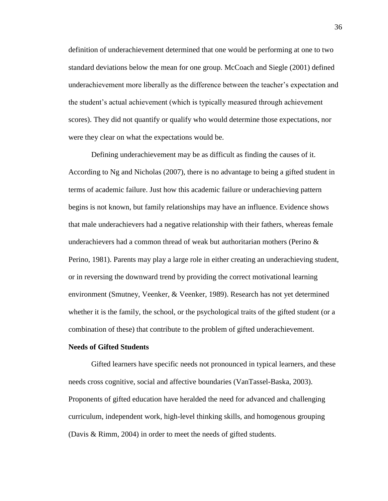definition of underachievement determined that one would be performing at one to two standard deviations below the mean for one group. McCoach and Siegle (2001) defined underachievement more liberally as the difference between the teacher"s expectation and the student"s actual achievement (which is typically measured through achievement scores). They did not quantify or qualify who would determine those expectations, nor were they clear on what the expectations would be.

Defining underachievement may be as difficult as finding the causes of it. According to Ng and Nicholas (2007), there is no advantage to being a gifted student in terms of academic failure. Just how this academic failure or underachieving pattern begins is not known, but family relationships may have an influence. Evidence shows that male underachievers had a negative relationship with their fathers, whereas female underachievers had a common thread of weak but authoritarian mothers (Perino  $\&$ Perino, 1981). Parents may play a large role in either creating an underachieving student, or in reversing the downward trend by providing the correct motivational learning environment (Smutney, Veenker, & Veenker, 1989). Research has not yet determined whether it is the family, the school, or the psychological traits of the gifted student (or a combination of these) that contribute to the problem of gifted underachievement.

## **Needs of Gifted Students**

Gifted learners have specific needs not pronounced in typical learners, and these needs cross cognitive, social and affective boundaries (VanTassel-Baska, 2003). Proponents of gifted education have heralded the need for advanced and challenging curriculum, independent work, high-level thinking skills, and homogenous grouping (Davis & Rimm, 2004) in order to meet the needs of gifted students.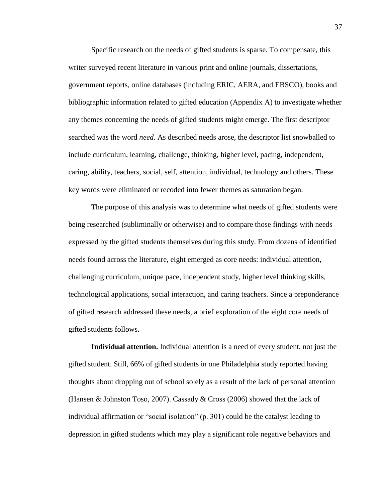Specific research on the needs of gifted students is sparse. To compensate, this writer surveyed recent literature in various print and online journals, dissertations, government reports, online databases (including ERIC, AERA, and EBSCO), books and bibliographic information related to gifted education (Appendix A) to investigate whether any themes concerning the needs of gifted students might emerge. The first descriptor searched was the word *need*. As described needs arose, the descriptor list snowballed to include curriculum, learning, challenge, thinking, higher level, pacing, independent, caring, ability, teachers, social, self, attention, individual, technology and others. These key words were eliminated or recoded into fewer themes as saturation began.

The purpose of this analysis was to determine what needs of gifted students were being researched (subliminally or otherwise) and to compare those findings with needs expressed by the gifted students themselves during this study. From dozens of identified needs found across the literature, eight emerged as core needs: individual attention, challenging curriculum, unique pace, independent study, higher level thinking skills, technological applications, social interaction, and caring teachers. Since a preponderance of gifted research addressed these needs, a brief exploration of the eight core needs of gifted students follows.

**Individual attention.** Individual attention is a need of every student, not just the gifted student. Still, 66% of gifted students in one Philadelphia study reported having thoughts about dropping out of school solely as a result of the lack of personal attention (Hansen & Johnston Toso, 2007). Cassady & Cross (2006) showed that the lack of individual affirmation or "social isolation" (p. 301) could be the catalyst leading to depression in gifted students which may play a significant role negative behaviors and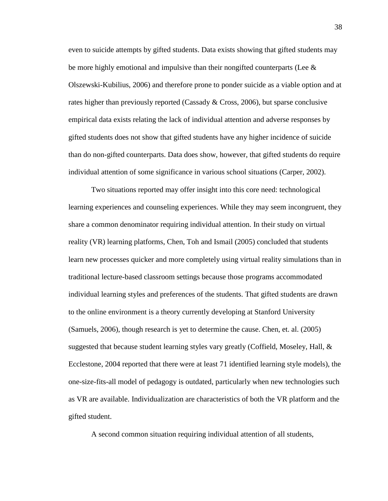even to suicide attempts by gifted students. Data exists showing that gifted students may be more highly emotional and impulsive than their nongifted counterparts (Lee  $\&$ Olszewski-Kubilius, 2006) and therefore prone to ponder suicide as a viable option and at rates higher than previously reported (Cassady & Cross, 2006), but sparse conclusive empirical data exists relating the lack of individual attention and adverse responses by gifted students does not show that gifted students have any higher incidence of suicide than do non-gifted counterparts. Data does show, however, that gifted students do require individual attention of some significance in various school situations (Carper, 2002).

Two situations reported may offer insight into this core need: technological learning experiences and counseling experiences. While they may seem incongruent, they share a common denominator requiring individual attention. In their study on virtual reality (VR) learning platforms, Chen, Toh and Ismail (2005) concluded that students learn new processes quicker and more completely using virtual reality simulations than in traditional lecture-based classroom settings because those programs accommodated individual learning styles and preferences of the students. That gifted students are drawn to the online environment is a theory currently developing at Stanford University (Samuels, 2006), though research is yet to determine the cause. Chen, et. al. (2005) suggested that because student learning styles vary greatly (Coffield, Moseley, Hall,  $\&$ Ecclestone, 2004 reported that there were at least 71 identified learning style models), the one-size-fits-all model of pedagogy is outdated, particularly when new technologies such as VR are available. Individualization are characteristics of both the VR platform and the gifted student.

A second common situation requiring individual attention of all students,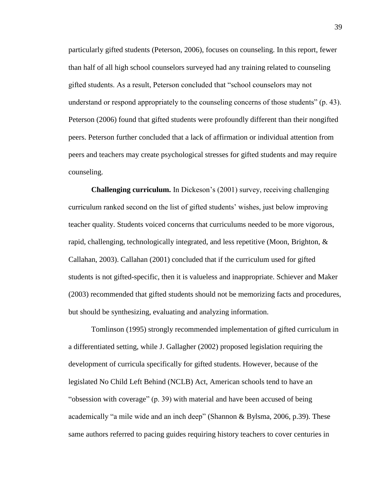particularly gifted students (Peterson, 2006), focuses on counseling. In this report, fewer than half of all high school counselors surveyed had any training related to counseling gifted students. As a result, Peterson concluded that "school counselors may not understand or respond appropriately to the counseling concerns of those students" (p. 43). Peterson (2006) found that gifted students were profoundly different than their nongifted peers. Peterson further concluded that a lack of affirmation or individual attention from peers and teachers may create psychological stresses for gifted students and may require counseling.

**Challenging curriculum.** In Dickeson's (2001) survey, receiving challenging curriculum ranked second on the list of gifted students" wishes, just below improving teacher quality. Students voiced concerns that curriculums needed to be more vigorous, rapid, challenging, technologically integrated, and less repetitive (Moon, Brighton, & Callahan, 2003). Callahan (2001) concluded that if the curriculum used for gifted students is not gifted-specific, then it is valueless and inappropriate. Schiever and Maker (2003) recommended that gifted students should not be memorizing facts and procedures, but should be synthesizing, evaluating and analyzing information.

Tomlinson (1995) strongly recommended implementation of gifted curriculum in a differentiated setting, while J. Gallagher (2002) proposed legislation requiring the development of curricula specifically for gifted students. However, because of the legislated No Child Left Behind (NCLB) Act, American schools tend to have an "obsession with coverage" (p. 39) with material and have been accused of being academically "a mile wide and an inch deep" (Shannon & Bylsma, 2006, p.39). These same authors referred to pacing guides requiring history teachers to cover centuries in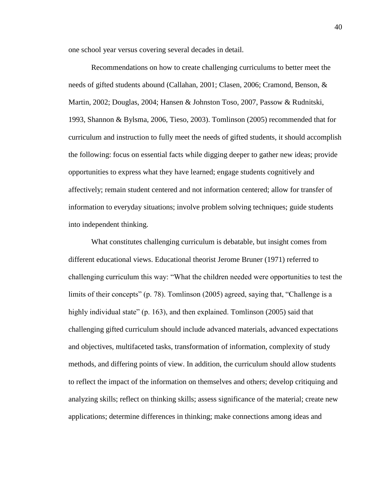one school year versus covering several decades in detail.

Recommendations on how to create challenging curriculums to better meet the needs of gifted students abound (Callahan, 2001; Clasen, 2006; Cramond, Benson, & Martin, 2002; Douglas, 2004; Hansen & Johnston Toso, 2007, Passow & Rudnitski, 1993, Shannon & Bylsma, 2006, Tieso, 2003). Tomlinson (2005) recommended that for curriculum and instruction to fully meet the needs of gifted students, it should accomplish the following: focus on essential facts while digging deeper to gather new ideas; provide opportunities to express what they have learned; engage students cognitively and affectively; remain student centered and not information centered; allow for transfer of information to everyday situations; involve problem solving techniques; guide students into independent thinking.

What constitutes challenging curriculum is debatable, but insight comes from different educational views. Educational theorist Jerome Bruner (1971) referred to challenging curriculum this way: "What the children needed were opportunities to test the limits of their concepts" (p. 78). Tomlinson (2005) agreed, saying that, "Challenge is a highly individual state" (p. 163), and then explained. Tomlinson (2005) said that challenging gifted curriculum should include advanced materials, advanced expectations and objectives, multifaceted tasks, transformation of information, complexity of study methods, and differing points of view. In addition, the curriculum should allow students to reflect the impact of the information on themselves and others; develop critiquing and analyzing skills; reflect on thinking skills; assess significance of the material; create new applications; determine differences in thinking; make connections among ideas and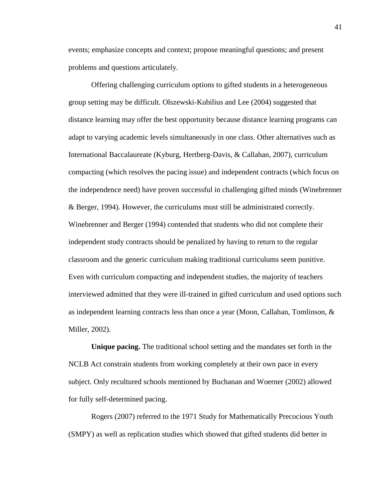events; emphasize concepts and context; propose meaningful questions; and present problems and questions articulately.

Offering challenging curriculum options to gifted students in a heterogeneous group setting may be difficult. Olszewski-Kubilius and Lee (2004) suggested that distance learning may offer the best opportunity because distance learning programs can adapt to varying academic levels simultaneously in one class. Other alternatives such as International Baccalaureate (Kyburg, Hertberg-Davis, & Callahan, 2007), curriculum compacting (which resolves the pacing issue) and independent contracts (which focus on the independence need) have proven successful in challenging gifted minds (Winebrenner & Berger, 1994). However, the curriculums must still be administrated correctly. Winebrenner and Berger (1994) contended that students who did not complete their independent study contracts should be penalized by having to return to the regular classroom and the generic curriculum making traditional curriculums seem punitive. Even with curriculum compacting and independent studies, the majority of teachers interviewed admitted that they were ill-trained in gifted curriculum and used options such as independent learning contracts less than once a year (Moon, Callahan, Tomlinson, & Miller, 2002).

**Unique pacing.** The traditional school setting and the mandates set forth in the NCLB Act constrain students from working completely at their own pace in every subject. Only recultured schools mentioned by Buchanan and Woerner (2002) allowed for fully self-determined pacing.

Rogers (2007) referred to the 1971 Study for Mathematically Precocious Youth (SMPY) as well as replication studies which showed that gifted students did better in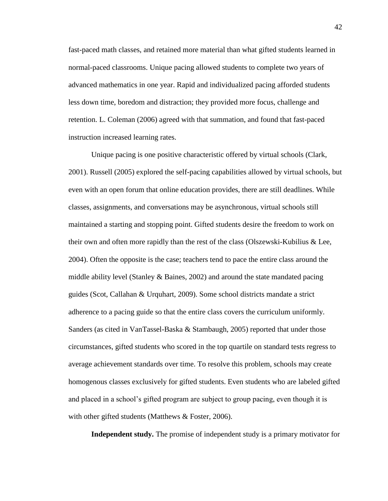fast-paced math classes, and retained more material than what gifted students learned in normal-paced classrooms. Unique pacing allowed students to complete two years of advanced mathematics in one year. Rapid and individualized pacing afforded students less down time, boredom and distraction; they provided more focus, challenge and retention. L. Coleman (2006) agreed with that summation, and found that fast-paced instruction increased learning rates.

Unique pacing is one positive characteristic offered by virtual schools (Clark, 2001). Russell (2005) explored the self-pacing capabilities allowed by virtual schools, but even with an open forum that online education provides, there are still deadlines. While classes, assignments, and conversations may be asynchronous, virtual schools still maintained a starting and stopping point. Gifted students desire the freedom to work on their own and often more rapidly than the rest of the class (Olszewski-Kubilius & Lee, 2004). Often the opposite is the case; teachers tend to pace the entire class around the middle ability level (Stanley  $\&$  Baines, 2002) and around the state mandated pacing guides (Scot, Callahan & Urquhart, 2009). Some school districts mandate a strict adherence to a pacing guide so that the entire class covers the curriculum uniformly. Sanders (as cited in VanTassel-Baska & Stambaugh, 2005) reported that under those circumstances, gifted students who scored in the top quartile on standard tests regress to average achievement standards over time. To resolve this problem, schools may create homogenous classes exclusively for gifted students. Even students who are labeled gifted and placed in a school"s gifted program are subject to group pacing, even though it is with other gifted students (Matthews & Foster, 2006).

**Independent study.** The promise of independent study is a primary motivator for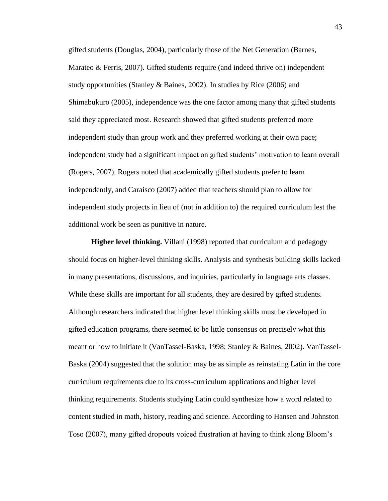gifted students (Douglas, 2004), particularly those of the Net Generation (Barnes, Marateo & Ferris, 2007). Gifted students require (and indeed thrive on) independent study opportunities (Stanley & Baines, 2002). In studies by Rice (2006) and Shimabukuro (2005), independence was the one factor among many that gifted students said they appreciated most. Research showed that gifted students preferred more independent study than group work and they preferred working at their own pace; independent study had a significant impact on gifted students' motivation to learn overall (Rogers, 2007). Rogers noted that academically gifted students prefer to learn independently, and Caraisco (2007) added that teachers should plan to allow for independent study projects in lieu of (not in addition to) the required curriculum lest the additional work be seen as punitive in nature.

**Higher level thinking.** Villani (1998) reported that curriculum and pedagogy should focus on higher-level thinking skills. Analysis and synthesis building skills lacked in many presentations, discussions, and inquiries, particularly in language arts classes. While these skills are important for all students, they are desired by gifted students. Although researchers indicated that higher level thinking skills must be developed in gifted education programs, there seemed to be little consensus on precisely what this meant or how to initiate it (VanTassel-Baska, 1998; Stanley & Baines, 2002). VanTassel-Baska (2004) suggested that the solution may be as simple as reinstating Latin in the core curriculum requirements due to its cross-curriculum applications and higher level thinking requirements. Students studying Latin could synthesize how a word related to content studied in math, history, reading and science. According to Hansen and Johnston Toso (2007), many gifted dropouts voiced frustration at having to think along Bloom"s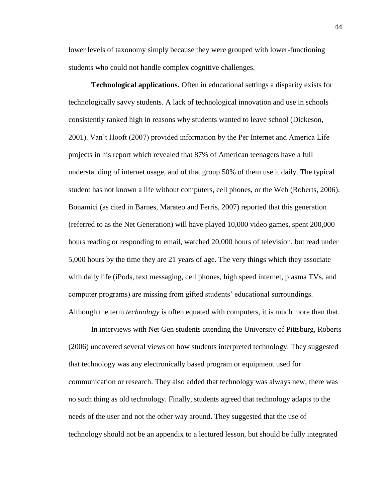lower levels of taxonomy simply because they were grouped with lower-functioning students who could not handle complex cognitive challenges.

**Technological applications.** Often in educational settings a disparity exists for technologically savvy students. A lack of technological innovation and use in schools consistently ranked high in reasons why students wanted to leave school (Dickeson, 2001). Van"t Hooft (2007) provided information by the Per Internet and America Life projects in his report which revealed that 87% of American teenagers have a full understanding of internet usage, and of that group 50% of them use it daily. The typical student has not known a life without computers, cell phones, or the Web (Roberts, 2006). Bonamici (as cited in Barnes, Marateo and Ferris, 2007) reported that this generation (referred to as the Net Generation) will have played 10,000 video games, spent 200,000 hours reading or responding to email, watched 20,000 hours of television, but read under 5,000 hours by the time they are 21 years of age. The very things which they associate with daily life (iPods, text messaging, cell phones, high speed internet, plasma TVs, and computer programs) are missing from gifted students" educational surroundings. Although the term *technology* is often equated with computers, it is much more than that.

In interviews with Net Gen students attending the University of Pittsburg, Roberts (2006) uncovered several views on how students interpreted technology. They suggested that technology was any electronically based program or equipment used for communication or research. They also added that technology was always new; there was no such thing as old technology. Finally, students agreed that technology adapts to the needs of the user and not the other way around. They suggested that the use of technology should not be an appendix to a lectured lesson, but should be fully integrated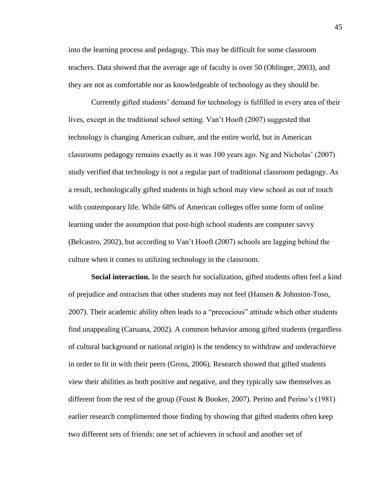into the learning process and pedagogy. This may be difficult for some classroom teachers. Data showed that the average age of faculty is over 50 (Oblinger, 2003), and they are not as comfortable nor as knowledgeable of technology as they should be.

Currently gifted students" demand for technology is fulfilled in every area of their lives, except in the traditional school setting. Van"t Hooft (2007) suggested that technology is changing American culture, and the entire world, but in American classrooms pedagogy remains exactly as it was 100 years ago. Ng and Nicholas" (2007) study verified that technology is not a regular part of traditional classroom pedagogy. As a result, technologically gifted students in high school may view school as out of touch with contemporary life. While 68% of American colleges offer some form of online learning under the assumption that post-high school students are computer savvy (Belcastro, 2002), but according to Van"t Hooft (2007) schools are lagging behind the culture when it comes to utilizing technology in the classroom.

**Social interaction.** In the search for socialization, gifted students often feel a kind of prejudice and ostracism that other students may not feel (Hansen & Johnston-Toso, 2007). Their academic ability often leads to a "precocious" attitude which other students find unappealing (Caruana, 2002). A common behavior among gifted students (regardless of cultural background or national origin) is the tendency to withdraw and underachieve in order to fit in with their peers (Gross, 2006). Research showed that gifted students view their abilities as both positive and negative, and they typically saw themselves as different from the rest of the group (Foust & Booker, 2007). Perino and Perino's  $(1981)$ earlier research complimented those finding by showing that gifted students often keep two different sets of friends: one set of achievers in school and another set of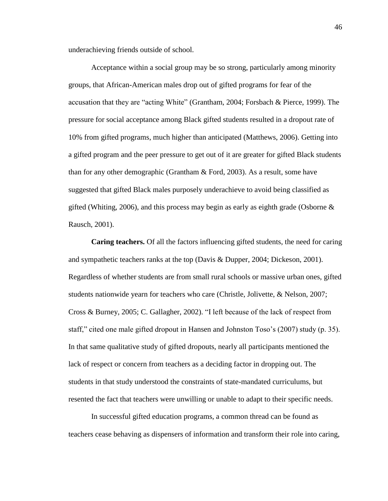underachieving friends outside of school.

Acceptance within a social group may be so strong, particularly among minority groups, that African-American males drop out of gifted programs for fear of the accusation that they are "acting White" (Grantham, 2004; Forsbach & Pierce, 1999). The pressure for social acceptance among Black gifted students resulted in a dropout rate of 10% from gifted programs, much higher than anticipated (Matthews, 2006). Getting into a gifted program and the peer pressure to get out of it are greater for gifted Black students than for any other demographic (Grantham & Ford, 2003). As a result, some have suggested that gifted Black males purposely underachieve to avoid being classified as gifted (Whiting, 2006), and this process may begin as early as eighth grade (Osborne  $\&$ Rausch, 2001).

**Caring teachers.** Of all the factors influencing gifted students, the need for caring and sympathetic teachers ranks at the top (Davis & Dupper, 2004; Dickeson, 2001). Regardless of whether students are from small rural schools or massive urban ones, gifted students nationwide yearn for teachers who care (Christle, Jolivette, & Nelson, 2007; Cross & Burney, 2005; C. Gallagher, 2002). "I left because of the lack of respect from staff," cited one male gifted dropout in Hansen and Johnston Toso"s (2007) study (p. 35). In that same qualitative study of gifted dropouts, nearly all participants mentioned the lack of respect or concern from teachers as a deciding factor in dropping out. The students in that study understood the constraints of state-mandated curriculums, but resented the fact that teachers were unwilling or unable to adapt to their specific needs.

In successful gifted education programs, a common thread can be found as teachers cease behaving as dispensers of information and transform their role into caring,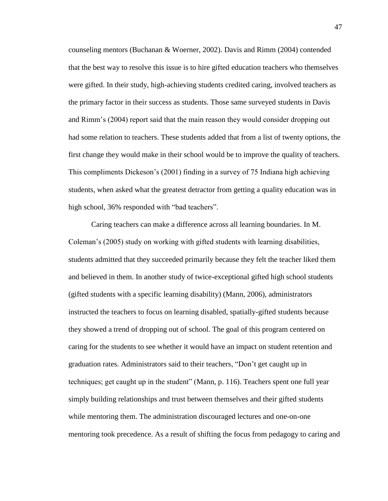counseling mentors (Buchanan & Woerner, 2002). Davis and Rimm (2004) contended that the best way to resolve this issue is to hire gifted education teachers who themselves were gifted. In their study, high-achieving students credited caring, involved teachers as the primary factor in their success as students. Those same surveyed students in Davis and Rimm"s (2004) report said that the main reason they would consider dropping out had some relation to teachers. These students added that from a list of twenty options, the first change they would make in their school would be to improve the quality of teachers. This compliments Dickeson"s (2001) finding in a survey of 75 Indiana high achieving students, when asked what the greatest detractor from getting a quality education was in high school, 36% responded with "bad teachers".

Caring teachers can make a difference across all learning boundaries. In M. Coleman"s (2005) study on working with gifted students with learning disabilities, students admitted that they succeeded primarily because they felt the teacher liked them and believed in them. In another study of twice-exceptional gifted high school students (gifted students with a specific learning disability) (Mann, 2006), administrators instructed the teachers to focus on learning disabled, spatially-gifted students because they showed a trend of dropping out of school. The goal of this program centered on caring for the students to see whether it would have an impact on student retention and graduation rates. Administrators said to their teachers, "Don"t get caught up in techniques; get caught up in the student" (Mann, p. 116). Teachers spent one full year simply building relationships and trust between themselves and their gifted students while mentoring them. The administration discouraged lectures and one-on-one mentoring took precedence. As a result of shifting the focus from pedagogy to caring and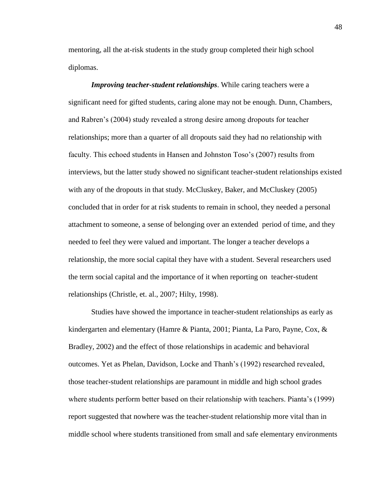mentoring, all the at-risk students in the study group completed their high school diplomas.

*Improving teacher-student relationships*. While caring teachers were a significant need for gifted students, caring alone may not be enough. Dunn, Chambers, and Rabren"s (2004) study revealed a strong desire among dropouts for teacher relationships; more than a quarter of all dropouts said they had no relationship with faculty. This echoed students in Hansen and Johnston Toso"s (2007) results from interviews, but the latter study showed no significant teacher-student relationships existed with any of the dropouts in that study. McCluskey, Baker, and McCluskey (2005) concluded that in order for at risk students to remain in school, they needed a personal attachment to someone, a sense of belonging over an extended period of time, and they needed to feel they were valued and important. The longer a teacher develops a relationship, the more social capital they have with a student. Several researchers used the term social capital and the importance of it when reporting on teacher-student relationships (Christle, et. al., 2007; Hilty, 1998).

Studies have showed the importance in teacher-student relationships as early as kindergarten and elementary (Hamre & Pianta, 2001; Pianta, La Paro, Payne, Cox, & Bradley, 2002) and the effect of those relationships in academic and behavioral outcomes. Yet as Phelan, Davidson, Locke and Thanh"s (1992) researched revealed, those teacher-student relationships are paramount in middle and high school grades where students perform better based on their relationship with teachers. Pianta's (1999) report suggested that nowhere was the teacher-student relationship more vital than in middle school where students transitioned from small and safe elementary environments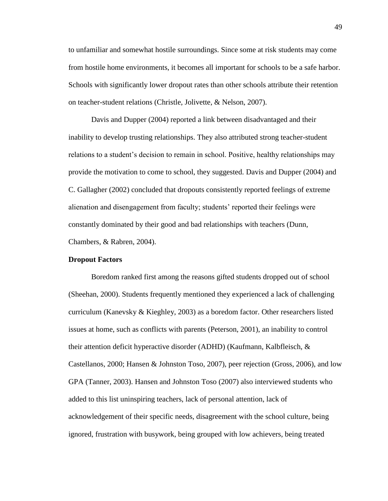to unfamiliar and somewhat hostile surroundings. Since some at risk students may come from hostile home environments, it becomes all important for schools to be a safe harbor. Schools with significantly lower dropout rates than other schools attribute their retention on teacher-student relations (Christle, Jolivette, & Nelson, 2007).

Davis and Dupper (2004) reported a link between disadvantaged and their inability to develop trusting relationships. They also attributed strong teacher-student relations to a student"s decision to remain in school. Positive, healthy relationships may provide the motivation to come to school, they suggested. Davis and Dupper (2004) and C. Gallagher (2002) concluded that dropouts consistently reported feelings of extreme alienation and disengagement from faculty; students" reported their feelings were constantly dominated by their good and bad relationships with teachers (Dunn, Chambers, & Rabren, 2004).

#### **Dropout Factors**

Boredom ranked first among the reasons gifted students dropped out of school (Sheehan, 2000). Students frequently mentioned they experienced a lack of challenging curriculum (Kanevsky & Kieghley, 2003) as a boredom factor. Other researchers listed issues at home, such as conflicts with parents (Peterson, 2001), an inability to control their attention deficit hyperactive disorder (ADHD) (Kaufmann, Kalbfleisch, & Castellanos, 2000; Hansen & Johnston Toso, 2007), peer rejection (Gross, 2006), and low GPA (Tanner, 2003). Hansen and Johnston Toso (2007) also interviewed students who added to this list uninspiring teachers, lack of personal attention, lack of acknowledgement of their specific needs, disagreement with the school culture, being ignored, frustration with busywork, being grouped with low achievers, being treated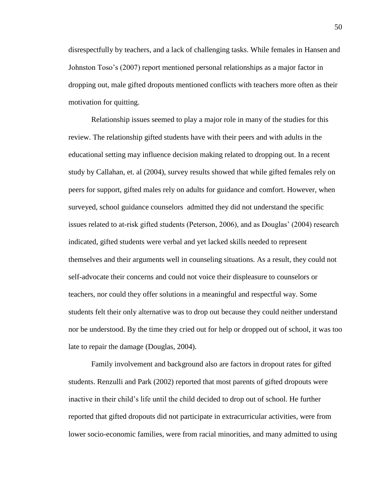disrespectfully by teachers, and a lack of challenging tasks. While females in Hansen and Johnston Toso"s (2007) report mentioned personal relationships as a major factor in dropping out, male gifted dropouts mentioned conflicts with teachers more often as their motivation for quitting.

Relationship issues seemed to play a major role in many of the studies for this review. The relationship gifted students have with their peers and with adults in the educational setting may influence decision making related to dropping out. In a recent study by Callahan, et. al (2004), survey results showed that while gifted females rely on peers for support, gifted males rely on adults for guidance and comfort. However, when surveyed, school guidance counselors admitted they did not understand the specific issues related to at-risk gifted students (Peterson, 2006), and as Douglas" (2004) research indicated, gifted students were verbal and yet lacked skills needed to represent themselves and their arguments well in counseling situations. As a result, they could not self-advocate their concerns and could not voice their displeasure to counselors or teachers, nor could they offer solutions in a meaningful and respectful way. Some students felt their only alternative was to drop out because they could neither understand nor be understood. By the time they cried out for help or dropped out of school, it was too late to repair the damage (Douglas, 2004).

Family involvement and background also are factors in dropout rates for gifted students. Renzulli and Park (2002) reported that most parents of gifted dropouts were inactive in their child"s life until the child decided to drop out of school. He further reported that gifted dropouts did not participate in extracurricular activities, were from lower socio-economic families, were from racial minorities, and many admitted to using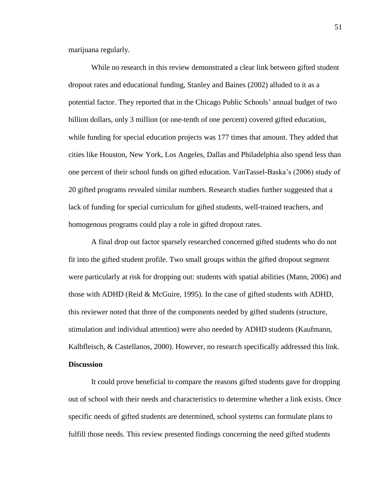marijuana regularly.

While no research in this review demonstrated a clear link between gifted student dropout rates and educational funding, Stanley and Baines (2002) alluded to it as a potential factor. They reported that in the Chicago Public Schools" annual budget of two billion dollars, only 3 million (or one-tenth of one percent) covered gifted education, while funding for special education projects was 177 times that amount. They added that cities like Houston, New York, Los Angeles, Dallas and Philadelphia also spend less than one percent of their school funds on gifted education. VanTassel-Baska"s (2006) study of 20 gifted programs revealed similar numbers. Research studies further suggested that a lack of funding for special curriculum for gifted students, well-trained teachers, and homogenous programs could play a role in gifted dropout rates.

A final drop out factor sparsely researched concerned gifted students who do not fit into the gifted student profile. Two small groups within the gifted dropout segment were particularly at risk for dropping out: students with spatial abilities (Mann, 2006) and those with ADHD (Reid & McGuire, 1995). In the case of gifted students with ADHD, this reviewer noted that three of the components needed by gifted students (structure, stimulation and individual attention) were also needed by ADHD students (Kaufmann, Kalbfleisch, & Castellanos, 2000). However, no research specifically addressed this link. **Discussion**

It could prove beneficial to compare the reasons gifted students gave for dropping out of school with their needs and characteristics to determine whether a link exists. Once specific needs of gifted students are determined, school systems can formulate plans to fulfill those needs. This review presented findings concerning the need gifted students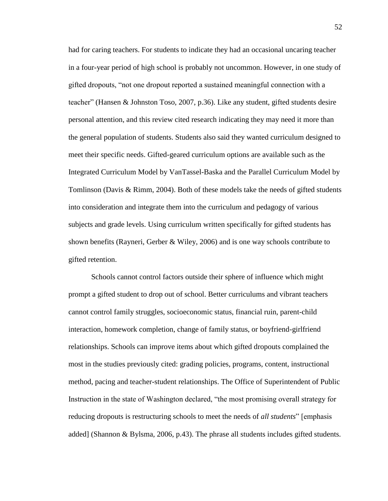had for caring teachers. For students to indicate they had an occasional uncaring teacher in a four-year period of high school is probably not uncommon. However, in one study of gifted dropouts, "not one dropout reported a sustained meaningful connection with a teacher" (Hansen & Johnston Toso, 2007, p.36). Like any student, gifted students desire personal attention, and this review cited research indicating they may need it more than the general population of students. Students also said they wanted curriculum designed to meet their specific needs. Gifted-geared curriculum options are available such as the Integrated Curriculum Model by VanTassel-Baska and the Parallel Curriculum Model by Tomlinson (Davis & Rimm, 2004). Both of these models take the needs of gifted students into consideration and integrate them into the curriculum and pedagogy of various subjects and grade levels. Using curriculum written specifically for gifted students has shown benefits (Rayneri, Gerber & Wiley, 2006) and is one way schools contribute to gifted retention.

Schools cannot control factors outside their sphere of influence which might prompt a gifted student to drop out of school. Better curriculums and vibrant teachers cannot control family struggles, socioeconomic status, financial ruin, parent-child interaction, homework completion, change of family status, or boyfriend-girlfriend relationships. Schools can improve items about which gifted dropouts complained the most in the studies previously cited: grading policies, programs, content, instructional method, pacing and teacher-student relationships. The Office of Superintendent of Public Instruction in the state of Washington declared, "the most promising overall strategy for reducing dropouts is restructuring schools to meet the needs of *all students*" [emphasis added] (Shannon & Bylsma, 2006, p.43). The phrase all students includes gifted students.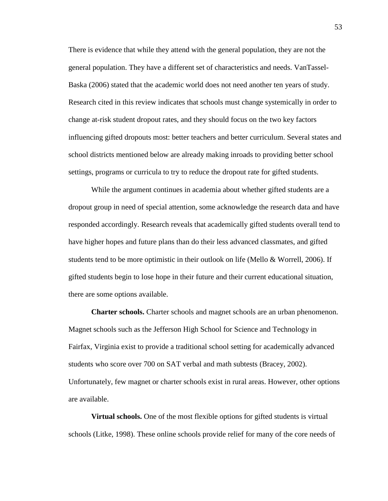There is evidence that while they attend with the general population, they are not the general population. They have a different set of characteristics and needs. VanTassel-Baska (2006) stated that the academic world does not need another ten years of study. Research cited in this review indicates that schools must change systemically in order to change at-risk student dropout rates, and they should focus on the two key factors influencing gifted dropouts most: better teachers and better curriculum. Several states and school districts mentioned below are already making inroads to providing better school settings, programs or curricula to try to reduce the dropout rate for gifted students.

While the argument continues in academia about whether gifted students are a dropout group in need of special attention, some acknowledge the research data and have responded accordingly. Research reveals that academically gifted students overall tend to have higher hopes and future plans than do their less advanced classmates, and gifted students tend to be more optimistic in their outlook on life (Mello  $&$  Worrell, 2006). If gifted students begin to lose hope in their future and their current educational situation, there are some options available.

**Charter schools.** Charter schools and magnet schools are an urban phenomenon. Magnet schools such as the Jefferson High School for Science and Technology in Fairfax, Virginia exist to provide a traditional school setting for academically advanced students who score over 700 on SAT verbal and math subtests (Bracey, 2002). Unfortunately, few magnet or charter schools exist in rural areas. However, other options are available.

**Virtual schools.** One of the most flexible options for gifted students is virtual schools (Litke, 1998). These online schools provide relief for many of the core needs of

53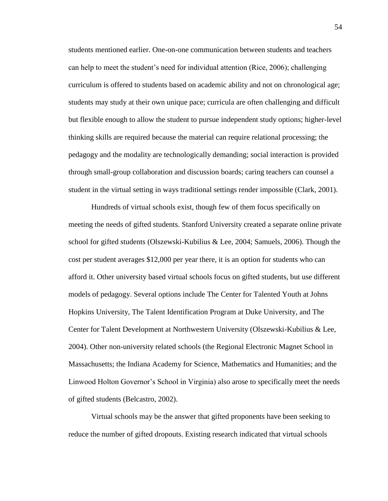students mentioned earlier. One-on-one communication between students and teachers can help to meet the student"s need for individual attention (Rice, 2006); challenging curriculum is offered to students based on academic ability and not on chronological age; students may study at their own unique pace; curricula are often challenging and difficult but flexible enough to allow the student to pursue independent study options; higher-level thinking skills are required because the material can require relational processing; the pedagogy and the modality are technologically demanding; social interaction is provided through small-group collaboration and discussion boards; caring teachers can counsel a student in the virtual setting in ways traditional settings render impossible (Clark, 2001).

Hundreds of virtual schools exist, though few of them focus specifically on meeting the needs of gifted students. Stanford University created a separate online private school for gifted students (Olszewski-Kubilius & Lee, 2004; Samuels, 2006). Though the cost per student averages \$12,000 per year there, it is an option for students who can afford it. Other university based virtual schools focus on gifted students, but use different models of pedagogy. Several options include The Center for Talented Youth at Johns Hopkins University, The Talent Identification Program at Duke University, and The Center for Talent Development at Northwestern University (Olszewski-Kubilius & Lee, 2004). Other non-university related schools (the Regional Electronic Magnet School in Massachusetts; the Indiana Academy for Science, Mathematics and Humanities; and the Linwood Holton Governor"s School in Virginia) also arose to specifically meet the needs of gifted students (Belcastro, 2002).

Virtual schools may be the answer that gifted proponents have been seeking to reduce the number of gifted dropouts. Existing research indicated that virtual schools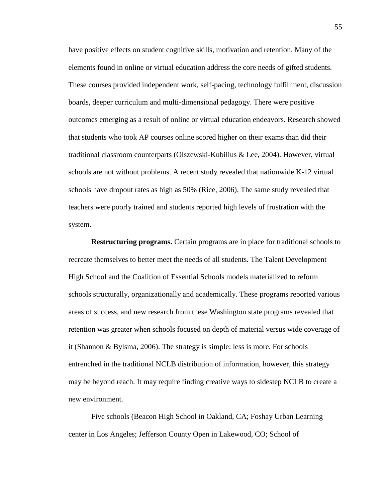have positive effects on student cognitive skills, motivation and retention. Many of the elements found in online or virtual education address the core needs of gifted students. These courses provided independent work, self-pacing, technology fulfillment, discussion boards, deeper curriculum and multi-dimensional pedagogy. There were positive outcomes emerging as a result of online or virtual education endeavors. Research showed that students who took AP courses online scored higher on their exams than did their traditional classroom counterparts (Olszewski-Kubilius & Lee, 2004). However, virtual schools are not without problems. A recent study revealed that nationwide K-12 virtual schools have dropout rates as high as 50% (Rice, 2006). The same study revealed that teachers were poorly trained and students reported high levels of frustration with the system.

**Restructuring programs.** Certain programs are in place for traditional schools to recreate themselves to better meet the needs of all students. The Talent Development High School and the Coalition of Essential Schools models materialized to reform schools structurally, organizationally and academically. These programs reported various areas of success, and new research from these Washington state programs revealed that retention was greater when schools focused on depth of material versus wide coverage of it (Shannon & Bylsma, 2006). The strategy is simple: less is more. For schools entrenched in the traditional NCLB distribution of information, however, this strategy may be beyond reach. It may require finding creative ways to sidestep NCLB to create a new environment.

Five schools (Beacon High School in Oakland, CA; Foshay Urban Learning center in Los Angeles; Jefferson County Open in Lakewood, CO; School of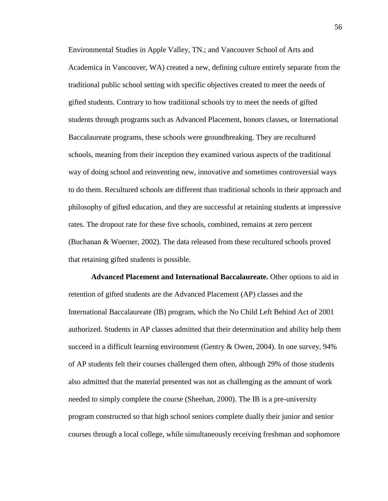Environmental Studies in Apple Valley, TN.; and Vancouver School of Arts and Academica in Vancouver, WA) created a new, defining culture entirely separate from the traditional public school setting with specific objectives created to meet the needs of gifted students. Contrary to how traditional schools try to meet the needs of gifted students through programs such as Advanced Placement, honors classes, or International Baccalaureate programs, these schools were groundbreaking. They are recultured schools, meaning from their inception they examined various aspects of the traditional way of doing school and reinventing new, innovative and sometimes controversial ways to do them. Recultured schools are different than traditional schools in their approach and philosophy of gifted education, and they are successful at retaining students at impressive rates. The dropout rate for these five schools, combined, remains at zero percent (Buchanan & Woerner, 2002). The data released from these recultured schools proved that retaining gifted students is possible.

**Advanced Placement and International Baccalaureate.** Other options to aid in retention of gifted students are the Advanced Placement (AP) classes and the International Baccalaureate (IB) program, which the No Child Left Behind Act of 2001 authorized. Students in AP classes admitted that their determination and ability help them succeed in a difficult learning environment (Gentry & Owen, 2004). In one survey, 94% of AP students felt their courses challenged them often, although 29% of those students also admitted that the material presented was not as challenging as the amount of work needed to simply complete the course (Sheehan, 2000). The IB is a pre-university program constructed so that high school seniors complete dually their junior and senior courses through a local college, while simultaneously receiving freshman and sophomore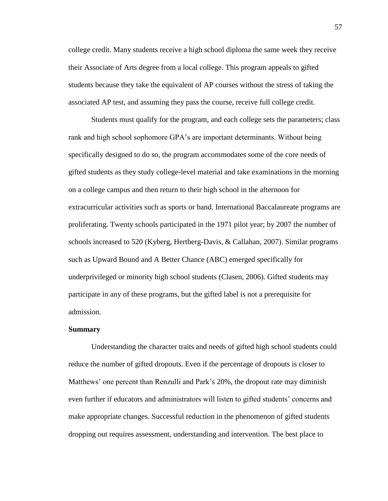college credit. Many students receive a high school diploma the same week they receive their Associate of Arts degree from a local college. This program appeals to gifted students because they take the equivalent of AP courses without the stress of taking the associated AP test, and assuming they pass the course, receive full college credit.

Students must qualify for the program, and each college sets the parameters; class rank and high school sophomore GPA"s are important determinants. Without being specifically designed to do so, the program accommodates some of the core needs of gifted students as they study college-level material and take examinations in the morning on a college campus and then return to their high school in the afternoon for extracurricular activities such as sports or band. International Baccalaureate programs are proliferating. Twenty schools participated in the 1971 pilot year; by 2007 the number of schools increased to 520 (Kyberg, Hertberg-Davis, & Callahan, 2007). Similar programs such as Upward Bound and A Better Chance (ABC) emerged specifically for underprivileged or minority high school students (Clasen, 2006). Gifted students may participate in any of these programs, but the gifted label is not a prerequisite for admission.

#### **Summary**

Understanding the character traits and needs of gifted high school students could reduce the number of gifted dropouts. Even if the percentage of dropouts is closer to Matthews" one percent than Renzulli and Park"s 20%, the dropout rate may diminish even further if educators and administrators will listen to gifted students" concerns and make appropriate changes. Successful reduction in the phenomenon of gifted students dropping out requires assessment, understanding and intervention. The best place to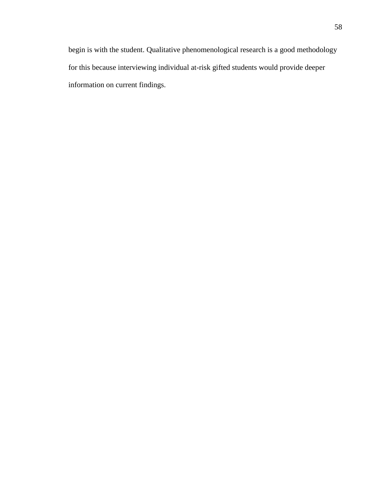begin is with the student. Qualitative phenomenological research is a good methodology for this because interviewing individual at-risk gifted students would provide deeper information on current findings.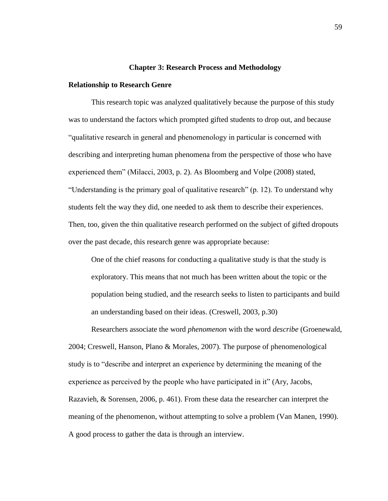### **Chapter 3: Research Process and Methodology**

## **Relationship to Research Genre**

This research topic was analyzed qualitatively because the purpose of this study was to understand the factors which prompted gifted students to drop out, and because "qualitative research in general and phenomenology in particular is concerned with describing and interpreting human phenomena from the perspective of those who have experienced them" (Milacci, 2003, p. 2). As Bloomberg and Volpe (2008) stated, "Understanding is the primary goal of qualitative research" (p. 12). To understand why students felt the way they did, one needed to ask them to describe their experiences. Then, too, given the thin qualitative research performed on the subject of gifted dropouts over the past decade, this research genre was appropriate because:

One of the chief reasons for conducting a qualitative study is that the study is exploratory. This means that not much has been written about the topic or the population being studied, and the research seeks to listen to participants and build an understanding based on their ideas. (Creswell, 2003, p.30)

Researchers associate the word *phenomenon* with the word *describe* (Groenewald, 2004; Creswell, Hanson, Plano & Morales, 2007). The purpose of phenomenological study is to "describe and interpret an experience by determining the meaning of the experience as perceived by the people who have participated in it" (Ary, Jacobs, Razavieh, & Sorensen, 2006, p. 461). From these data the researcher can interpret the meaning of the phenomenon, without attempting to solve a problem (Van Manen, 1990). A good process to gather the data is through an interview.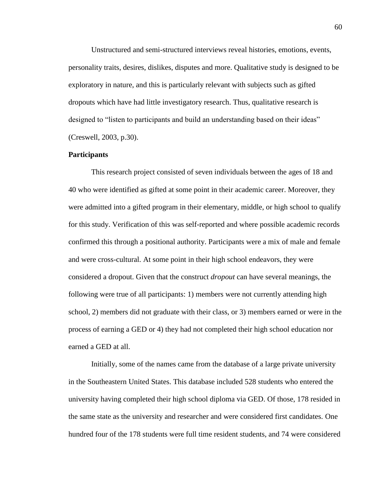Unstructured and semi-structured interviews reveal histories, emotions, events, personality traits, desires, dislikes, disputes and more. Qualitative study is designed to be exploratory in nature, and this is particularly relevant with subjects such as gifted dropouts which have had little investigatory research. Thus, qualitative research is designed to "listen to participants and build an understanding based on their ideas" (Creswell, 2003, p.30).

# **Participants**

This research project consisted of seven individuals between the ages of 18 and 40 who were identified as gifted at some point in their academic career. Moreover, they were admitted into a gifted program in their elementary, middle, or high school to qualify for this study. Verification of this was self-reported and where possible academic records confirmed this through a positional authority. Participants were a mix of male and female and were cross-cultural. At some point in their high school endeavors, they were considered a dropout. Given that the construct *dropout* can have several meanings, the following were true of all participants: 1) members were not currently attending high school, 2) members did not graduate with their class, or 3) members earned or were in the process of earning a GED or 4) they had not completed their high school education nor earned a GED at all.

Initially, some of the names came from the database of a large private university in the Southeastern United States. This database included 528 students who entered the university having completed their high school diploma via GED. Of those, 178 resided in the same state as the university and researcher and were considered first candidates. One hundred four of the 178 students were full time resident students, and 74 were considered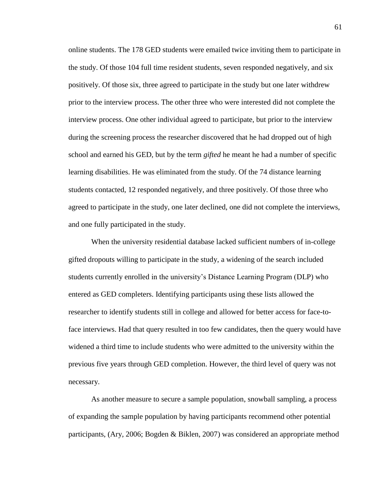online students. The 178 GED students were emailed twice inviting them to participate in the study. Of those 104 full time resident students, seven responded negatively, and six positively. Of those six, three agreed to participate in the study but one later withdrew prior to the interview process. The other three who were interested did not complete the interview process. One other individual agreed to participate, but prior to the interview during the screening process the researcher discovered that he had dropped out of high school and earned his GED, but by the term *gifted* he meant he had a number of specific learning disabilities. He was eliminated from the study. Of the 74 distance learning students contacted, 12 responded negatively, and three positively. Of those three who agreed to participate in the study, one later declined, one did not complete the interviews, and one fully participated in the study.

When the university residential database lacked sufficient numbers of in-college gifted dropouts willing to participate in the study, a widening of the search included students currently enrolled in the university"s Distance Learning Program (DLP) who entered as GED completers. Identifying participants using these lists allowed the researcher to identify students still in college and allowed for better access for face-toface interviews. Had that query resulted in too few candidates, then the query would have widened a third time to include students who were admitted to the university within the previous five years through GED completion. However, the third level of query was not necessary.

As another measure to secure a sample population, snowball sampling, a process of expanding the sample population by having participants recommend other potential participants, (Ary, 2006; Bogden & Biklen, 2007) was considered an appropriate method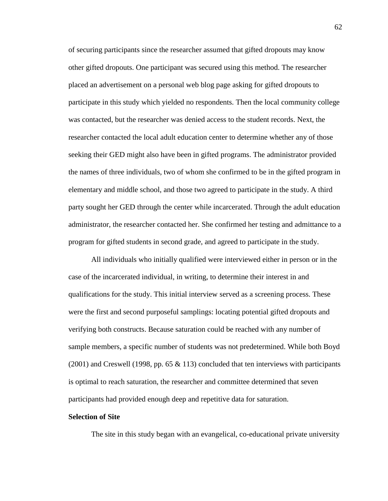of securing participants since the researcher assumed that gifted dropouts may know other gifted dropouts. One participant was secured using this method. The researcher placed an advertisement on a personal web blog page asking for gifted dropouts to participate in this study which yielded no respondents. Then the local community college was contacted, but the researcher was denied access to the student records. Next, the researcher contacted the local adult education center to determine whether any of those seeking their GED might also have been in gifted programs. The administrator provided the names of three individuals, two of whom she confirmed to be in the gifted program in elementary and middle school, and those two agreed to participate in the study. A third party sought her GED through the center while incarcerated. Through the adult education administrator, the researcher contacted her. She confirmed her testing and admittance to a program for gifted students in second grade, and agreed to participate in the study.

All individuals who initially qualified were interviewed either in person or in the case of the incarcerated individual, in writing, to determine their interest in and qualifications for the study. This initial interview served as a screening process. These were the first and second purposeful samplings: locating potential gifted dropouts and verifying both constructs. Because saturation could be reached with any number of sample members, a specific number of students was not predetermined. While both Boyd  $(2001)$  and Creswell (1998, pp. 65 & 113) concluded that ten interviews with participants is optimal to reach saturation, the researcher and committee determined that seven participants had provided enough deep and repetitive data for saturation.

# **Selection of Site**

The site in this study began with an evangelical, co-educational private university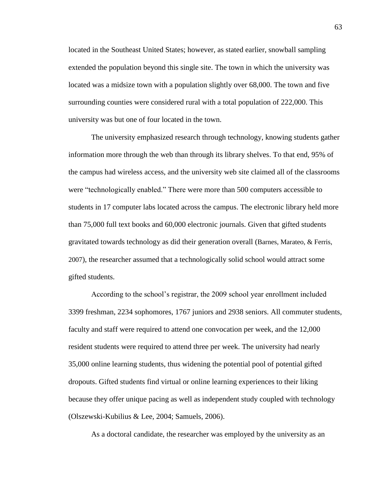located in the Southeast United States; however, as stated earlier, snowball sampling extended the population beyond this single site. The town in which the university was located was a midsize town with a population slightly over 68,000. The town and five surrounding counties were considered rural with a total population of 222,000. This university was but one of four located in the town.

The university emphasized research through technology, knowing students gather information more through the web than through its library shelves. To that end, 95% of the campus had wireless access, and the university web site claimed all of the classrooms were "technologically enabled." There were more than 500 computers accessible to students in 17 computer labs located across the campus. The electronic library held more than 75,000 full text books and 60,000 electronic journals. Given that gifted students gravitated towards technology as did their generation overall (Barnes, Marateo, & Ferris, 2007), the researcher assumed that a technologically solid school would attract some gifted students.

According to the school"s registrar, the 2009 school year enrollment included 3399 freshman, 2234 sophomores, 1767 juniors and 2938 seniors. All commuter students, faculty and staff were required to attend one convocation per week, and the 12,000 resident students were required to attend three per week. The university had nearly 35,000 online learning students, thus widening the potential pool of potential gifted dropouts. Gifted students find virtual or online learning experiences to their liking because they offer unique pacing as well as independent study coupled with technology (Olszewski-Kubilius & Lee, 2004; Samuels, 2006).

As a doctoral candidate, the researcher was employed by the university as an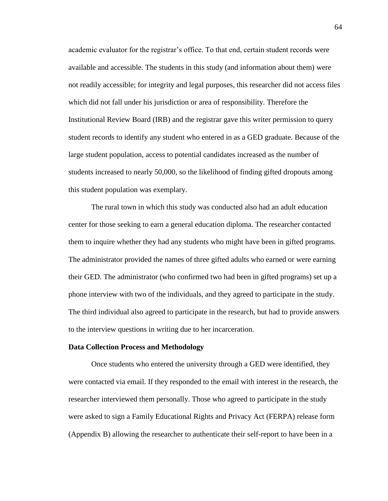academic evaluator for the registrar's office. To that end, certain student records were available and accessible. The students in this study (and information about them) were not readily accessible; for integrity and legal purposes, this researcher did not access files which did not fall under his jurisdiction or area of responsibility. Therefore the Institutional Review Board (IRB) and the registrar gave this writer permission to query student records to identify any student who entered in as a GED graduate. Because of the large student population, access to potential candidates increased as the number of students increased to nearly 50,000, so the likelihood of finding gifted dropouts among this student population was exemplary.

The rural town in which this study was conducted also had an adult education center for those seeking to earn a general education diploma. The researcher contacted them to inquire whether they had any students who might have been in gifted programs. The administrator provided the names of three gifted adults who earned or were earning their GED. The administrator (who confirmed two had been in gifted programs) set up a phone interview with two of the individuals, and they agreed to participate in the study. The third individual also agreed to participate in the research, but had to provide answers to the interview questions in writing due to her incarceration.

#### **Data Collection Process and Methodology**

Once students who entered the university through a GED were identified, they were contacted via email. If they responded to the email with interest in the research, the researcher interviewed them personally. Those who agreed to participate in the study were asked to sign a Family Educational Rights and Privacy Act (FERPA) release form (Appendix B) allowing the researcher to authenticate their self-report to have been in a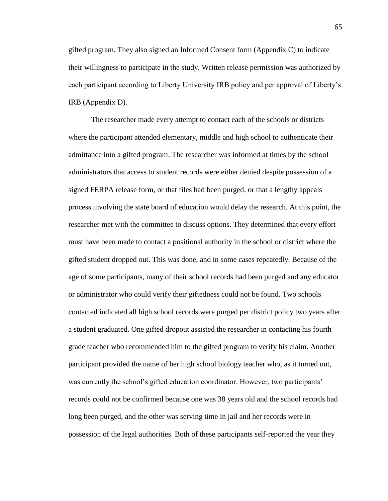gifted program. They also signed an Informed Consent form (Appendix C) to indicate their willingness to participate in the study. Written release permission was authorized by each participant according to Liberty University IRB policy and per approval of Liberty"s IRB (Appendix D).

The researcher made every attempt to contact each of the schools or districts where the participant attended elementary, middle and high school to authenticate their admittance into a gifted program. The researcher was informed at times by the school administrators that access to student records were either denied despite possession of a signed FERPA release form, or that files had been purged, or that a lengthy appeals process involving the state board of education would delay the research. At this point, the researcher met with the committee to discuss options. They determined that every effort must have been made to contact a positional authority in the school or district where the gifted student dropped out. This was done, and in some cases repeatedly. Because of the age of some participants, many of their school records had been purged and any educator or administrator who could verify their giftedness could not be found. Two schools contacted indicated all high school records were purged per district policy two years after a student graduated. One gifted dropout assisted the researcher in contacting his fourth grade teacher who recommended him to the gifted program to verify his claim. Another participant provided the name of her high school biology teacher who, as it turned out, was currently the school's gifted education coordinator. However, two participants' records could not be confirmed because one was 38 years old and the school records had long been purged, and the other was serving time in jail and her records were in possession of the legal authorities. Both of these participants self-reported the year they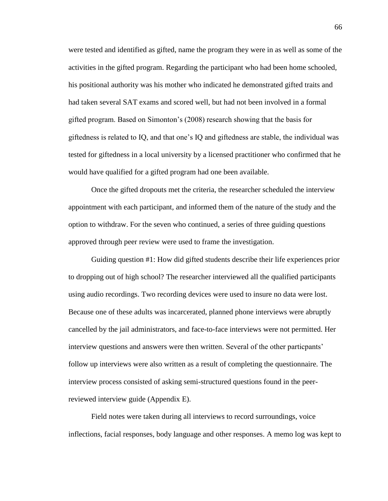were tested and identified as gifted, name the program they were in as well as some of the activities in the gifted program. Regarding the participant who had been home schooled, his positional authority was his mother who indicated he demonstrated gifted traits and had taken several SAT exams and scored well, but had not been involved in a formal gifted program. Based on Simonton"s (2008) research showing that the basis for giftedness is related to IQ, and that one"s IQ and giftedness are stable, the individual was tested for giftedness in a local university by a licensed practitioner who confirmed that he would have qualified for a gifted program had one been available.

Once the gifted dropouts met the criteria, the researcher scheduled the interview appointment with each participant, and informed them of the nature of the study and the option to withdraw. For the seven who continued, a series of three guiding questions approved through peer review were used to frame the investigation.

Guiding question #1: How did gifted students describe their life experiences prior to dropping out of high school? The researcher interviewed all the qualified participants using audio recordings. Two recording devices were used to insure no data were lost. Because one of these adults was incarcerated, planned phone interviews were abruptly cancelled by the jail administrators, and face-to-face interviews were not permitted. Her interview questions and answers were then written. Several of the other particpants' follow up interviews were also written as a result of completing the questionnaire. The interview process consisted of asking semi-structured questions found in the peerreviewed interview guide (Appendix E).

Field notes were taken during all interviews to record surroundings, voice inflections, facial responses, body language and other responses. A memo log was kept to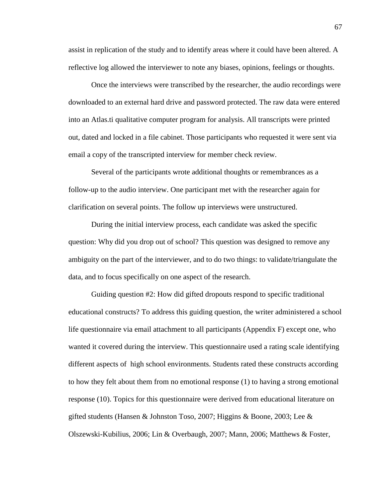assist in replication of the study and to identify areas where it could have been altered. A reflective log allowed the interviewer to note any biases, opinions, feelings or thoughts.

Once the interviews were transcribed by the researcher, the audio recordings were downloaded to an external hard drive and password protected. The raw data were entered into an Atlas.ti qualitative computer program for analysis. All transcripts were printed out, dated and locked in a file cabinet. Those participants who requested it were sent via email a copy of the transcripted interview for member check review.

Several of the participants wrote additional thoughts or remembrances as a follow-up to the audio interview. One participant met with the researcher again for clarification on several points. The follow up interviews were unstructured.

During the initial interview process, each candidate was asked the specific question: Why did you drop out of school? This question was designed to remove any ambiguity on the part of the interviewer, and to do two things: to validate/triangulate the data, and to focus specifically on one aspect of the research.

Guiding question #2: How did gifted dropouts respond to specific traditional educational constructs? To address this guiding question, the writer administered a school life questionnaire via email attachment to all participants (Appendix F) except one, who wanted it covered during the interview. This questionnaire used a rating scale identifying different aspects of high school environments. Students rated these constructs according to how they felt about them from no emotional response (1) to having a strong emotional response (10). Topics for this questionnaire were derived from educational literature on gifted students (Hansen & Johnston Toso, 2007; Higgins & Boone, 2003; Lee & Olszewski-Kubilius, 2006; Lin & Overbaugh, 2007; Mann, 2006; Matthews & Foster,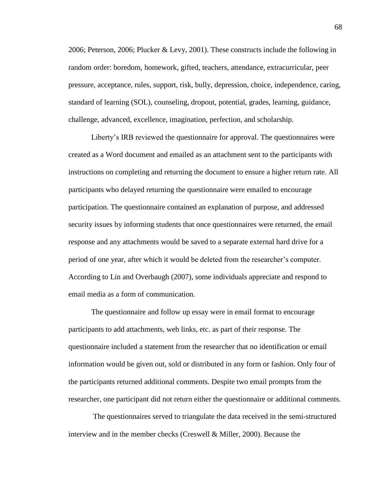2006; Peterson, 2006; Plucker & Levy, 2001). These constructs include the following in random order: boredom, homework, gifted, teachers, attendance, extracurricular, peer pressure, acceptance, rules, support, risk, bully, depression, choice, independence, caring, standard of learning (SOL), counseling, dropout, potential, grades, learning, guidance, challenge, advanced, excellence, imagination, perfection, and scholarship.

Liberty"s IRB reviewed the questionnaire for approval. The questionnaires were created as a Word document and emailed as an attachment sent to the participants with instructions on completing and returning the document to ensure a higher return rate. All participants who delayed returning the questionnaire were emailed to encourage participation. The questionnaire contained an explanation of purpose, and addressed security issues by informing students that once questionnaires were returned, the email response and any attachments would be saved to a separate external hard drive for a period of one year, after which it would be deleted from the researcher"s computer. According to Lin and Overbaugh (2007), some individuals appreciate and respond to email media as a form of communication.

The questionnaire and follow up essay were in email format to encourage participants to add attachments, web links, etc. as part of their response. The questionnaire included a statement from the researcher that no identification or email information would be given out, sold or distributed in any form or fashion. Only four of the participants returned additional comments. Despite two email prompts from the researcher, one participant did not return either the questionnaire or additional comments.

The questionnaires served to triangulate the data received in the semi-structured interview and in the member checks (Creswell & Miller, 2000). Because the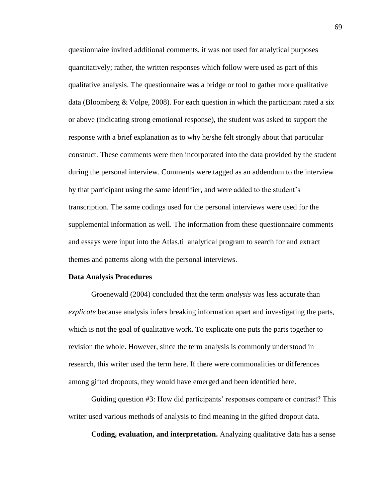questionnaire invited additional comments, it was not used for analytical purposes quantitatively; rather, the written responses which follow were used as part of this qualitative analysis. The questionnaire was a bridge or tool to gather more qualitative data (Bloomberg & Volpe, 2008). For each question in which the participant rated a six or above (indicating strong emotional response), the student was asked to support the response with a brief explanation as to why he/she felt strongly about that particular construct. These comments were then incorporated into the data provided by the student during the personal interview. Comments were tagged as an addendum to the interview by that participant using the same identifier, and were added to the student"s transcription. The same codings used for the personal interviews were used for the supplemental information as well. The information from these questionnaire comments and essays were input into the Atlas.ti analytical program to search for and extract themes and patterns along with the personal interviews.

#### **Data Analysis Procedures**

Groenewald (2004) concluded that the term *analysis* was less accurate than *explicate* because analysis infers breaking information apart and investigating the parts, which is not the goal of qualitative work. To explicate one puts the parts together to revision the whole. However, since the term analysis is commonly understood in research, this writer used the term here. If there were commonalities or differences among gifted dropouts, they would have emerged and been identified here.

Guiding question #3: How did participants' responses compare or contrast? This writer used various methods of analysis to find meaning in the gifted dropout data.

**Coding, evaluation, and interpretation.** Analyzing qualitative data has a sense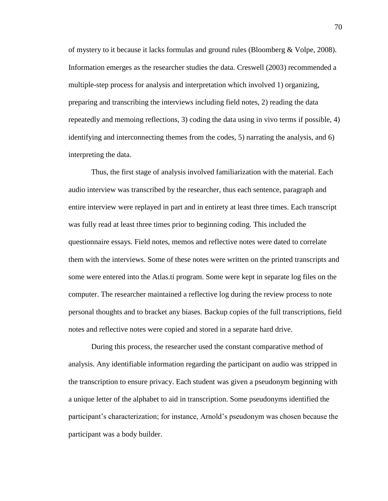of mystery to it because it lacks formulas and ground rules (Bloomberg & Volpe, 2008). Information emerges as the researcher studies the data. Creswell (2003) recommended a multiple-step process for analysis and interpretation which involved 1) organizing, preparing and transcribing the interviews including field notes, 2) reading the data repeatedly and memoing reflections, 3) coding the data using in vivo terms if possible, 4) identifying and interconnecting themes from the codes, 5) narrating the analysis, and 6) interpreting the data.

Thus, the first stage of analysis involved familiarization with the material. Each audio interview was transcribed by the researcher, thus each sentence, paragraph and entire interview were replayed in part and in entirety at least three times. Each transcript was fully read at least three times prior to beginning coding. This included the questionnaire essays. Field notes, memos and reflective notes were dated to correlate them with the interviews. Some of these notes were written on the printed transcripts and some were entered into the Atlas.ti program. Some were kept in separate log files on the computer. The researcher maintained a reflective log during the review process to note personal thoughts and to bracket any biases. Backup copies of the full transcriptions, field notes and reflective notes were copied and stored in a separate hard drive.

During this process, the researcher used the constant comparative method of analysis. Any identifiable information regarding the participant on audio was stripped in the transcription to ensure privacy. Each student was given a pseudonym beginning with a unique letter of the alphabet to aid in transcription. Some pseudonyms identified the participant"s characterization; for instance, Arnold"s pseudonym was chosen because the participant was a body builder.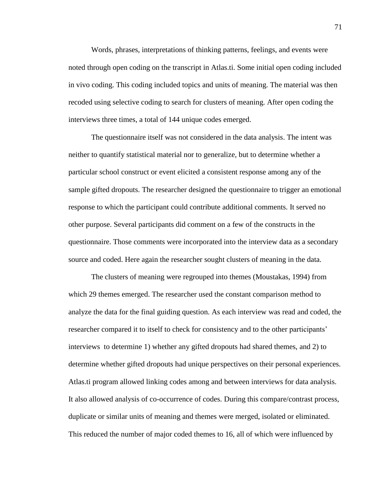Words, phrases, interpretations of thinking patterns, feelings, and events were noted through open coding on the transcript in Atlas.ti. Some initial open coding included in vivo coding. This coding included topics and units of meaning. The material was then recoded using selective coding to search for clusters of meaning. After open coding the interviews three times, a total of 144 unique codes emerged.

The questionnaire itself was not considered in the data analysis. The intent was neither to quantify statistical material nor to generalize, but to determine whether a particular school construct or event elicited a consistent response among any of the sample gifted dropouts. The researcher designed the questionnaire to trigger an emotional response to which the participant could contribute additional comments. It served no other purpose. Several participants did comment on a few of the constructs in the questionnaire. Those comments were incorporated into the interview data as a secondary source and coded. Here again the researcher sought clusters of meaning in the data.

The clusters of meaning were regrouped into themes (Moustakas, 1994) from which 29 themes emerged. The researcher used the constant comparison method to analyze the data for the final guiding question. As each interview was read and coded, the researcher compared it to itself to check for consistency and to the other participants' interviews to determine 1) whether any gifted dropouts had shared themes, and 2) to determine whether gifted dropouts had unique perspectives on their personal experiences. Atlas.ti program allowed linking codes among and between interviews for data analysis. It also allowed analysis of co-occurrence of codes. During this compare/contrast process, duplicate or similar units of meaning and themes were merged, isolated or eliminated. This reduced the number of major coded themes to 16, all of which were influenced by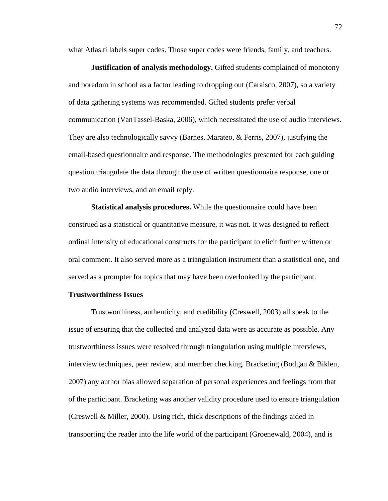what Atlas.ti labels super codes. Those super codes were friends, family, and teachers.

**Justification of analysis methodology.** Gifted students complained of monotony and boredom in school as a factor leading to dropping out (Caraisco, 2007), so a variety of data gathering systems was recommended. Gifted students prefer verbal communication (VanTassel-Baska, 2006), which necessitated the use of audio interviews. They are also technologically savvy (Barnes, Marateo, & Ferris, 2007), justifying the email-based questionnaire and response. The methodologies presented for each guiding question triangulate the data through the use of written questionnaire response, one or two audio interviews, and an email reply.

**Statistical analysis procedures.** While the questionnaire could have been construed as a statistical or quantitative measure, it was not. It was designed to reflect ordinal intensity of educational constructs for the participant to elicit further written or oral comment. It also served more as a triangulation instrument than a statistical one, and served as a prompter for topics that may have been overlooked by the participant.

#### **Trustworthiness Issues**

Trustworthiness, authenticity, and credibility (Creswell, 2003) all speak to the issue of ensuring that the collected and analyzed data were as accurate as possible. Any trustworthiness issues were resolved through triangulation using multiple interviews, interview techniques, peer review, and member checking. Bracketing (Bodgan & Biklen, 2007) any author bias allowed separation of personal experiences and feelings from that of the participant. Bracketing was another validity procedure used to ensure triangulation (Creswell & Miller, 2000). Using rich, thick descriptions of the findings aided in transporting the reader into the life world of the participant (Groenewald, 2004), and is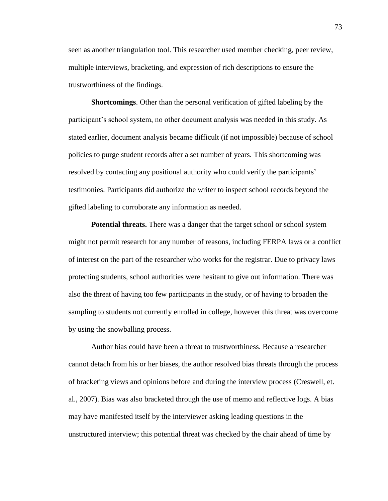seen as another triangulation tool. This researcher used member checking, peer review, multiple interviews, bracketing, and expression of rich descriptions to ensure the trustworthiness of the findings.

**Shortcomings**. Other than the personal verification of gifted labeling by the participant"s school system, no other document analysis was needed in this study. As stated earlier, document analysis became difficult (if not impossible) because of school policies to purge student records after a set number of years. This shortcoming was resolved by contacting any positional authority who could verify the participants' testimonies. Participants did authorize the writer to inspect school records beyond the gifted labeling to corroborate any information as needed.

**Potential threats.** There was a danger that the target school or school system might not permit research for any number of reasons, including FERPA laws or a conflict of interest on the part of the researcher who works for the registrar. Due to privacy laws protecting students, school authorities were hesitant to give out information. There was also the threat of having too few participants in the study, or of having to broaden the sampling to students not currently enrolled in college, however this threat was overcome by using the snowballing process.

Author bias could have been a threat to trustworthiness. Because a researcher cannot detach from his or her biases, the author resolved bias threats through the process of bracketing views and opinions before and during the interview process (Creswell, et. al., 2007). Bias was also bracketed through the use of memo and reflective logs. A bias may have manifested itself by the interviewer asking leading questions in the unstructured interview; this potential threat was checked by the chair ahead of time by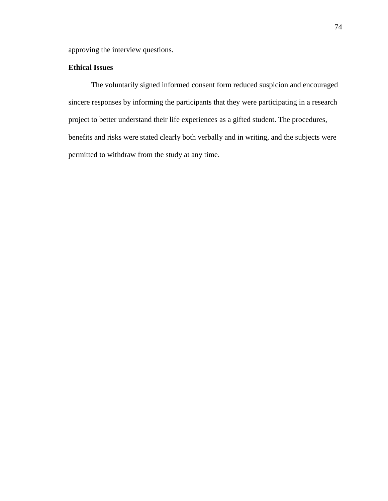approving the interview questions.

# **Ethical Issues**

The voluntarily signed informed consent form reduced suspicion and encouraged sincere responses by informing the participants that they were participating in a research project to better understand their life experiences as a gifted student. The procedures, benefits and risks were stated clearly both verbally and in writing, and the subjects were permitted to withdraw from the study at any time.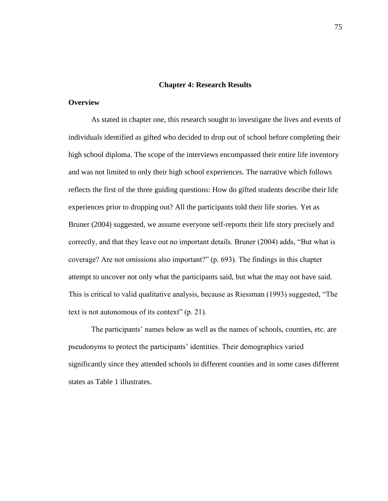#### **Chapter 4: Research Results**

# **Overview**

As stated in chapter one, this research sought to investigate the lives and events of individuals identified as gifted who decided to drop out of school before completing their high school diploma. The scope of the interviews encompassed their entire life inventory and was not limited to only their high school experiences. The narrative which follows reflects the first of the three guiding questions: How do gifted students describe their life experiences prior to dropping out? All the participants told their life stories. Yet as Bruner (2004) suggested, we assume everyone self-reports their life story precisely and correctly, and that they leave out no important details. Bruner (2004) adds, "But what is coverage? Are not omissions also important?" (p. 693). The findings in this chapter attempt to uncover not only what the participants said, but what the may not have said. This is critical to valid qualitative analysis, because as Riessman (1993) suggested, "The text is not autonomous of its context" (p. 21).

The participants" names below as well as the names of schools, counties, etc. are pseudonyms to protect the participants" identities. Their demographics varied significantly since they attended schools in different counties and in some cases different states as Table 1 illustrates.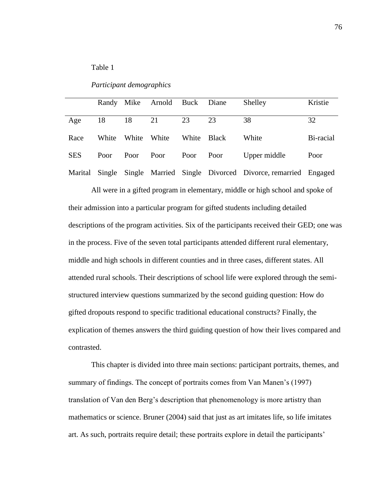# Table 1

*Participant demographics*

|            |       |             | Randy Mike Arnold Buck Diane |             |    | Shelley                                                          | Kristie   |
|------------|-------|-------------|------------------------------|-------------|----|------------------------------------------------------------------|-----------|
|            |       |             |                              |             |    |                                                                  |           |
| Age        | 18    | 18          | 21                           | 23          | 23 | 38                                                               | 32        |
| Race       | White | White White |                              | White Black |    | White                                                            | Bi-racial |
| <b>SES</b> | Poor  | Poor Poor   |                              | Poor Poor   |    | Upper middle                                                     | Poor      |
| Marital    |       |             |                              |             |    | Single Single Married Single Divorced Divorce, remarried Engaged |           |

All were in a gifted program in elementary, middle or high school and spoke of their admission into a particular program for gifted students including detailed descriptions of the program activities. Six of the participants received their GED; one was in the process. Five of the seven total participants attended different rural elementary, middle and high schools in different counties and in three cases, different states. All attended rural schools. Their descriptions of school life were explored through the semistructured interview questions summarized by the second guiding question: How do gifted dropouts respond to specific traditional educational constructs? Finally, the explication of themes answers the third guiding question of how their lives compared and contrasted.

This chapter is divided into three main sections: participant portraits, themes, and summary of findings. The concept of portraits comes from Van Manen's (1997) translation of Van den Berg"s description that phenomenology is more artistry than mathematics or science. Bruner (2004) said that just as art imitates life, so life imitates art. As such, portraits require detail; these portraits explore in detail the participants"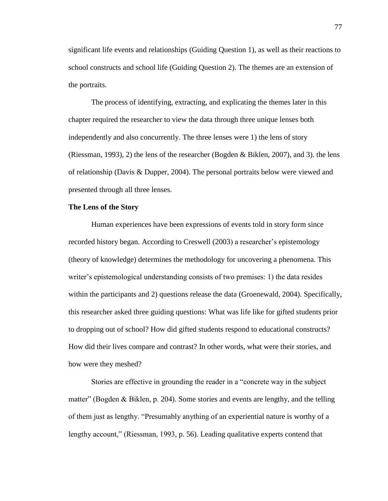significant life events and relationships (Guiding Question 1), as well as their reactions to school constructs and school life (Guiding Question 2). The themes are an extension of the portraits.

The process of identifying, extracting, and explicating the themes later in this chapter required the researcher to view the data through three unique lenses both independently and also concurrently. The three lenses were 1) the lens of story (Riessman, 1993), 2) the lens of the researcher (Bogden & Biklen, 2007), and 3). the lens of relationship (Davis & Dupper, 2004). The personal portraits below were viewed and presented through all three lenses.

# **The Lens of the Story**

Human experiences have been expressions of events told in story form since recorded history began. According to Creswell (2003) a researcher"s epistemology (theory of knowledge) determines the methodology for uncovering a phenomena. This writer"s epistemological understanding consists of two premises: 1) the data resides within the participants and 2) questions release the data (Groenewald, 2004). Specifically, this researcher asked three guiding questions: What was life like for gifted students prior to dropping out of school? How did gifted students respond to educational constructs? How did their lives compare and contrast? In other words, what were their stories, and how were they meshed?

Stories are effective in grounding the reader in a "concrete way in the subject matter" (Bogden & Biklen, p. 204). Some stories and events are lengthy, and the telling of them just as lengthy. "Presumably anything of an experiential nature is worthy of a lengthy account," (Riessman, 1993, p. 56). Leading qualitative experts contend that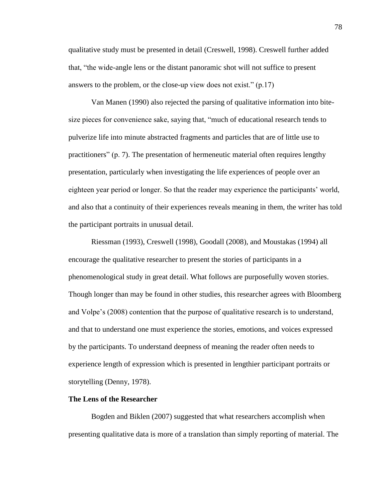qualitative study must be presented in detail (Creswell, 1998). Creswell further added that, "the wide-angle lens or the distant panoramic shot will not suffice to present answers to the problem, or the close-up view does not exist." (p.17)

Van Manen (1990) also rejected the parsing of qualitative information into bitesize pieces for convenience sake, saying that, "much of educational research tends to pulverize life into minute abstracted fragments and particles that are of little use to practitioners" (p. 7). The presentation of hermeneutic material often requires lengthy presentation, particularly when investigating the life experiences of people over an eighteen year period or longer. So that the reader may experience the participants" world, and also that a continuity of their experiences reveals meaning in them, the writer has told the participant portraits in unusual detail.

Riessman (1993), Creswell (1998), Goodall (2008), and Moustakas (1994) all encourage the qualitative researcher to present the stories of participants in a phenomenological study in great detail. What follows are purposefully woven stories. Though longer than may be found in other studies, this researcher agrees with Bloomberg and Volpe"s (2008) contention that the purpose of qualitative research is to understand, and that to understand one must experience the stories, emotions, and voices expressed by the participants. To understand deepness of meaning the reader often needs to experience length of expression which is presented in lengthier participant portraits or storytelling (Denny, 1978).

## **The Lens of the Researcher**

Bogden and Biklen (2007) suggested that what researchers accomplish when presenting qualitative data is more of a translation than simply reporting of material. The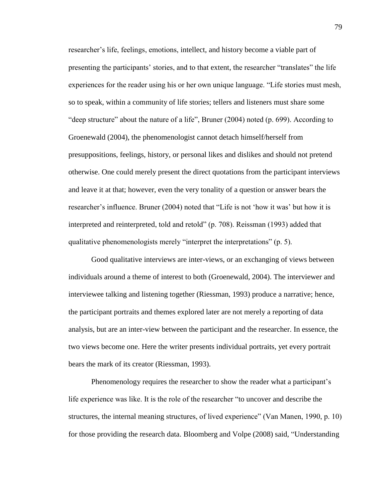researcher"s life, feelings, emotions, intellect, and history become a viable part of presenting the participants" stories, and to that extent, the researcher "translates" the life experiences for the reader using his or her own unique language. "Life stories must mesh, so to speak, within a community of life stories; tellers and listeners must share some "deep structure" about the nature of a life", Bruner (2004) noted (p. 699). According to Groenewald (2004), the phenomenologist cannot detach himself/herself from presuppositions, feelings, history, or personal likes and dislikes and should not pretend otherwise. One could merely present the direct quotations from the participant interviews and leave it at that; however, even the very tonality of a question or answer bears the researcher"s influence. Bruner (2004) noted that "Life is not "how it was" but how it is interpreted and reinterpreted, told and retold" (p. 708). Reissman (1993) added that qualitative phenomenologists merely "interpret the interpretations" (p. 5).

Good qualitative interviews are inter-views, or an exchanging of views between individuals around a theme of interest to both (Groenewald, 2004). The interviewer and interviewee talking and listening together (Riessman, 1993) produce a narrative; hence, the participant portraits and themes explored later are not merely a reporting of data analysis, but are an inter-view between the participant and the researcher. In essence, the two views become one. Here the writer presents individual portraits, yet every portrait bears the mark of its creator (Riessman, 1993).

Phenomenology requires the researcher to show the reader what a participant"s life experience was like. It is the role of the researcher "to uncover and describe the structures, the internal meaning structures, of lived experience" (Van Manen, 1990, p. 10) for those providing the research data. Bloomberg and Volpe (2008) said, "Understanding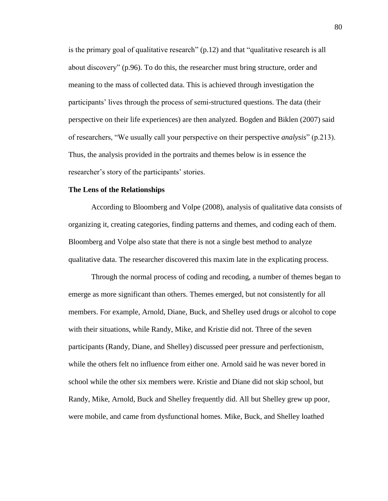is the primary goal of qualitative research" (p.12) and that "qualitative research is all about discovery" (p.96). To do this, the researcher must bring structure, order and meaning to the mass of collected data. This is achieved through investigation the participants" lives through the process of semi-structured questions. The data (their perspective on their life experiences) are then analyzed. Bogden and Biklen (2007) said of researchers, "We usually call your perspective on their perspective *analysis*" (p.213). Thus, the analysis provided in the portraits and themes below is in essence the researcher's story of the participants' stories.

## **The Lens of the Relationships**

According to Bloomberg and Volpe (2008), analysis of qualitative data consists of organizing it, creating categories, finding patterns and themes, and coding each of them. Bloomberg and Volpe also state that there is not a single best method to analyze qualitative data. The researcher discovered this maxim late in the explicating process.

Through the normal process of coding and recoding, a number of themes began to emerge as more significant than others. Themes emerged, but not consistently for all members. For example, Arnold, Diane, Buck, and Shelley used drugs or alcohol to cope with their situations, while Randy, Mike, and Kristie did not. Three of the seven participants (Randy, Diane, and Shelley) discussed peer pressure and perfectionism, while the others felt no influence from either one. Arnold said he was never bored in school while the other six members were. Kristie and Diane did not skip school, but Randy, Mike, Arnold, Buck and Shelley frequently did. All but Shelley grew up poor, were mobile, and came from dysfunctional homes. Mike, Buck, and Shelley loathed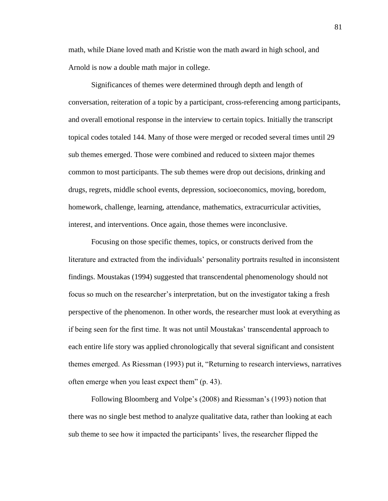math, while Diane loved math and Kristie won the math award in high school, and Arnold is now a double math major in college.

Significances of themes were determined through depth and length of conversation, reiteration of a topic by a participant, cross-referencing among participants, and overall emotional response in the interview to certain topics. Initially the transcript topical codes totaled 144. Many of those were merged or recoded several times until 29 sub themes emerged. Those were combined and reduced to sixteen major themes common to most participants. The sub themes were drop out decisions, drinking and drugs, regrets, middle school events, depression, socioeconomics, moving, boredom, homework, challenge, learning, attendance, mathematics, extracurricular activities, interest, and interventions. Once again, those themes were inconclusive.

Focusing on those specific themes, topics, or constructs derived from the literature and extracted from the individuals' personality portraits resulted in inconsistent findings. Moustakas (1994) suggested that transcendental phenomenology should not focus so much on the researcher"s interpretation, but on the investigator taking a fresh perspective of the phenomenon. In other words, the researcher must look at everything as if being seen for the first time. It was not until Moustakas" transcendental approach to each entire life story was applied chronologically that several significant and consistent themes emerged. As Riessman (1993) put it, "Returning to research interviews, narratives often emerge when you least expect them" (p. 43).

Following Bloomberg and Volpe's (2008) and Riessman's (1993) notion that there was no single best method to analyze qualitative data, rather than looking at each sub theme to see how it impacted the participants" lives, the researcher flipped the

81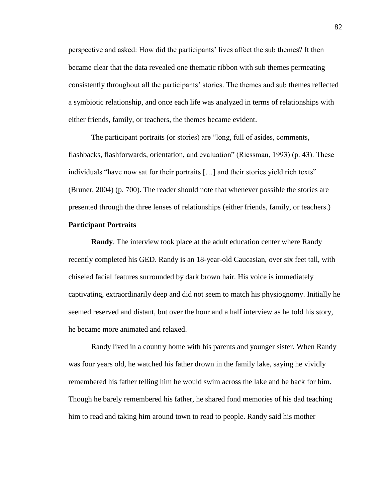perspective and asked: How did the participants" lives affect the sub themes? It then became clear that the data revealed one thematic ribbon with sub themes permeating consistently throughout all the participants" stories. The themes and sub themes reflected a symbiotic relationship, and once each life was analyzed in terms of relationships with either friends, family, or teachers, the themes became evident.

The participant portraits (or stories) are "long, full of asides, comments, flashbacks, flashforwards, orientation, and evaluation" (Riessman, 1993) (p. 43). These individuals "have now sat for their portraits […] and their stories yield rich texts" (Bruner, 2004) (p. 700). The reader should note that whenever possible the stories are presented through the three lenses of relationships (either friends, family, or teachers.)

## **Participant Portraits**

**Randy**. The interview took place at the adult education center where Randy recently completed his GED. Randy is an 18-year-old Caucasian, over six feet tall, with chiseled facial features surrounded by dark brown hair. His voice is immediately captivating, extraordinarily deep and did not seem to match his physiognomy. Initially he seemed reserved and distant, but over the hour and a half interview as he told his story, he became more animated and relaxed.

Randy lived in a country home with his parents and younger sister. When Randy was four years old, he watched his father drown in the family lake, saying he vividly remembered his father telling him he would swim across the lake and be back for him. Though he barely remembered his father, he shared fond memories of his dad teaching him to read and taking him around town to read to people. Randy said his mother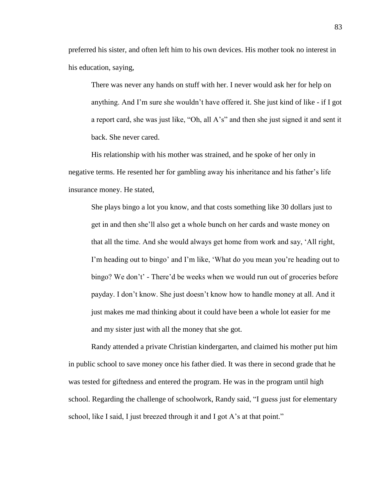preferred his sister, and often left him to his own devices. His mother took no interest in his education, saying,

There was never any hands on stuff with her. I never would ask her for help on anything. And I"m sure she wouldn"t have offered it. She just kind of like - if I got a report card, she was just like, "Oh, all A"s" and then she just signed it and sent it back. She never cared.

His relationship with his mother was strained, and he spoke of her only in negative terms. He resented her for gambling away his inheritance and his father"s life insurance money. He stated,

She plays bingo a lot you know, and that costs something like 30 dollars just to get in and then she"ll also get a whole bunch on her cards and waste money on that all the time. And she would always get home from work and say, "All right, I'm heading out to bingo' and I'm like, 'What do you mean you're heading out to bingo? We don't' - There'd be weeks when we would run out of groceries before payday. I don"t know. She just doesn"t know how to handle money at all. And it just makes me mad thinking about it could have been a whole lot easier for me and my sister just with all the money that she got.

Randy attended a private Christian kindergarten, and claimed his mother put him in public school to save money once his father died. It was there in second grade that he was tested for giftedness and entered the program. He was in the program until high school. Regarding the challenge of schoolwork, Randy said, "I guess just for elementary school, like I said, I just breezed through it and I got A's at that point."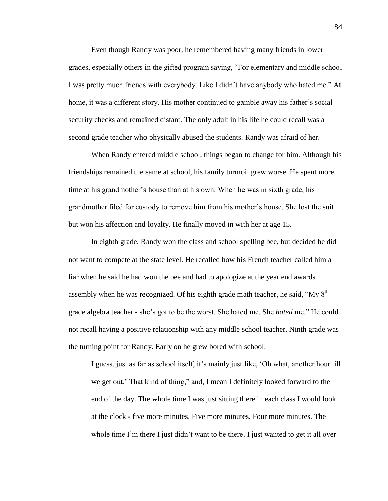Even though Randy was poor, he remembered having many friends in lower grades, especially others in the gifted program saying, "For elementary and middle school I was pretty much friends with everybody. Like I didn"t have anybody who hated me." At home, it was a different story. His mother continued to gamble away his father"s social security checks and remained distant. The only adult in his life he could recall was a second grade teacher who physically abused the students. Randy was afraid of her.

When Randy entered middle school, things began to change for him. Although his friendships remained the same at school, his family turmoil grew worse. He spent more time at his grandmother"s house than at his own. When he was in sixth grade, his grandmother filed for custody to remove him from his mother"s house. She lost the suit but won his affection and loyalty. He finally moved in with her at age 15.

In eighth grade, Randy won the class and school spelling bee, but decided he did not want to compete at the state level. He recalled how his French teacher called him a liar when he said he had won the bee and had to apologize at the year end awards assembly when he was recognized. Of his eighth grade math teacher, he said, "My 8<sup>th</sup>" grade algebra teacher - she"s got to be the worst. She hated me. She *hated* me." He could not recall having a positive relationship with any middle school teacher. Ninth grade was the turning point for Randy. Early on he grew bored with school:

I guess, just as far as school itself, it"s mainly just like, "Oh what, another hour till we get out." That kind of thing," and, I mean I definitely looked forward to the end of the day. The whole time I was just sitting there in each class I would look at the clock - five more minutes. Five more minutes. Four more minutes. The whole time I'm there I just didn't want to be there. I just wanted to get it all over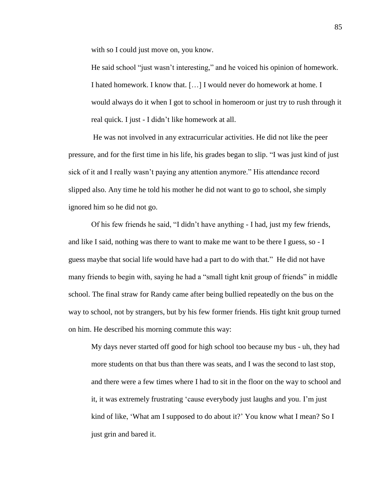with so I could just move on, you know.

He said school "just wasn"t interesting," and he voiced his opinion of homework. I hated homework. I know that. […] I would never do homework at home. I would always do it when I got to school in homeroom or just try to rush through it real quick. I just - I didn"t like homework at all.

He was not involved in any extracurricular activities. He did not like the peer pressure, and for the first time in his life, his grades began to slip. "I was just kind of just sick of it and I really wasn"t paying any attention anymore." His attendance record slipped also. Any time he told his mother he did not want to go to school, she simply ignored him so he did not go.

Of his few friends he said, "I didn"t have anything - I had, just my few friends, and like I said, nothing was there to want to make me want to be there I guess, so - I guess maybe that social life would have had a part to do with that." He did not have many friends to begin with, saying he had a "small tight knit group of friends" in middle school. The final straw for Randy came after being bullied repeatedly on the bus on the way to school, not by strangers, but by his few former friends. His tight knit group turned on him. He described his morning commute this way:

My days never started off good for high school too because my bus - uh, they had more students on that bus than there was seats, and I was the second to last stop, and there were a few times where I had to sit in the floor on the way to school and it, it was extremely frustrating "cause everybody just laughs and you. I"m just kind of like, 'What am I supposed to do about it?' You know what I mean? So I just grin and bared it.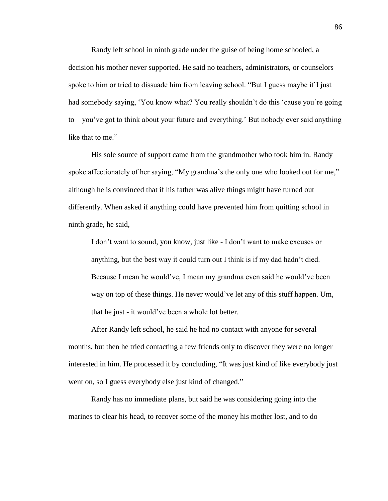Randy left school in ninth grade under the guise of being home schooled, a decision his mother never supported. He said no teachers, administrators, or counselors spoke to him or tried to dissuade him from leaving school. "But I guess maybe if I just had somebody saying, 'You know what? You really shouldn't do this 'cause you're going to – you"ve got to think about your future and everything." But nobody ever said anything like that to me."

His sole source of support came from the grandmother who took him in. Randy spoke affectionately of her saying, "My grandma's the only one who looked out for me," although he is convinced that if his father was alive things might have turned out differently. When asked if anything could have prevented him from quitting school in ninth grade, he said,

I don"t want to sound, you know, just like - I don"t want to make excuses or anything, but the best way it could turn out I think is if my dad hadn"t died. Because I mean he would"ve, I mean my grandma even said he would"ve been way on top of these things. He never would've let any of this stuff happen. Um, that he just - it would"ve been a whole lot better.

After Randy left school, he said he had no contact with anyone for several months, but then he tried contacting a few friends only to discover they were no longer interested in him. He processed it by concluding, "It was just kind of like everybody just went on, so I guess everybody else just kind of changed."

Randy has no immediate plans, but said he was considering going into the marines to clear his head, to recover some of the money his mother lost, and to do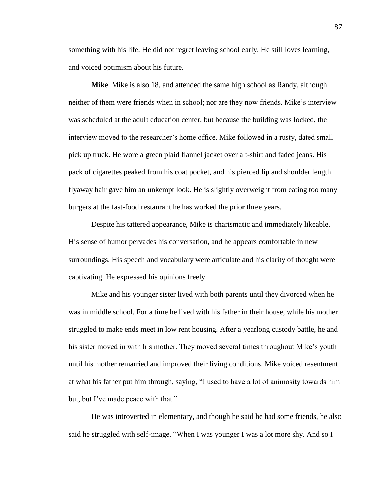something with his life. He did not regret leaving school early. He still loves learning, and voiced optimism about his future.

**Mike**. Mike is also 18, and attended the same high school as Randy, although neither of them were friends when in school; nor are they now friends. Mike"s interview was scheduled at the adult education center, but because the building was locked, the interview moved to the researcher"s home office. Mike followed in a rusty, dated small pick up truck. He wore a green plaid flannel jacket over a t-shirt and faded jeans. His pack of cigarettes peaked from his coat pocket, and his pierced lip and shoulder length flyaway hair gave him an unkempt look. He is slightly overweight from eating too many burgers at the fast-food restaurant he has worked the prior three years.

Despite his tattered appearance, Mike is charismatic and immediately likeable. His sense of humor pervades his conversation, and he appears comfortable in new surroundings. His speech and vocabulary were articulate and his clarity of thought were captivating. He expressed his opinions freely.

Mike and his younger sister lived with both parents until they divorced when he was in middle school. For a time he lived with his father in their house, while his mother struggled to make ends meet in low rent housing. After a yearlong custody battle, he and his sister moved in with his mother. They moved several times throughout Mike"s youth until his mother remarried and improved their living conditions. Mike voiced resentment at what his father put him through, saying, "I used to have a lot of animosity towards him but, but I've made peace with that."

He was introverted in elementary, and though he said he had some friends, he also said he struggled with self-image. "When I was younger I was a lot more shy. And so I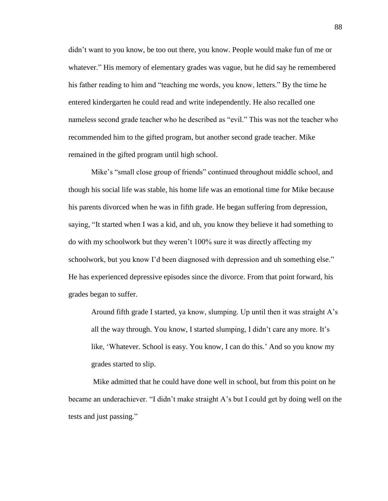didn"t want to you know, be too out there, you know. People would make fun of me or whatever." His memory of elementary grades was vague, but he did say he remembered his father reading to him and "teaching me words, you know, letters." By the time he entered kindergarten he could read and write independently. He also recalled one nameless second grade teacher who he described as "evil." This was not the teacher who recommended him to the gifted program, but another second grade teacher. Mike remained in the gifted program until high school.

Mike"s "small close group of friends" continued throughout middle school, and though his social life was stable, his home life was an emotional time for Mike because his parents divorced when he was in fifth grade. He began suffering from depression, saying, "It started when I was a kid, and uh, you know they believe it had something to do with my schoolwork but they weren"t 100% sure it was directly affecting my schoolwork, but you know I'd been diagnosed with depression and uh something else." He has experienced depressive episodes since the divorce. From that point forward, his grades began to suffer.

Around fifth grade I started, ya know, slumping. Up until then it was straight A"s all the way through. You know, I started slumping, I didn"t care any more. It"s like, "Whatever. School is easy. You know, I can do this." And so you know my grades started to slip.

Mike admitted that he could have done well in school, but from this point on he became an underachiever. "I didn"t make straight A"s but I could get by doing well on the tests and just passing."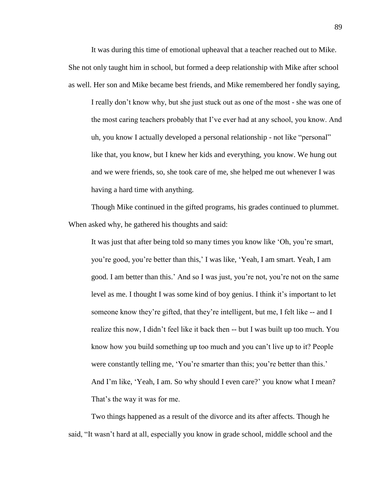It was during this time of emotional upheaval that a teacher reached out to Mike. She not only taught him in school, but formed a deep relationship with Mike after school as well. Her son and Mike became best friends, and Mike remembered her fondly saying,

I really don"t know why, but she just stuck out as one of the most - she was one of the most caring teachers probably that I"ve ever had at any school, you know. And uh, you know I actually developed a personal relationship - not like "personal" like that, you know, but I knew her kids and everything, you know. We hung out and we were friends, so, she took care of me, she helped me out whenever I was having a hard time with anything.

Though Mike continued in the gifted programs, his grades continued to plummet. When asked why, he gathered his thoughts and said:

It was just that after being told so many times you know like "Oh, you"re smart, you"re good, you"re better than this," I was like, "Yeah, I am smart. Yeah, I am good. I am better than this." And so I was just, you"re not, you"re not on the same level as me. I thought I was some kind of boy genius. I think it's important to let someone know they"re gifted, that they"re intelligent, but me, I felt like -- and I realize this now, I didn"t feel like it back then -- but I was built up too much. You know how you build something up too much and you can"t live up to it? People were constantly telling me, 'You're smarter than this; you're better than this.' And I'm like, 'Yeah, I am. So why should I even care?' you know what I mean? That's the way it was for me.

Two things happened as a result of the divorce and its after affects. Though he said, "It wasn"t hard at all, especially you know in grade school, middle school and the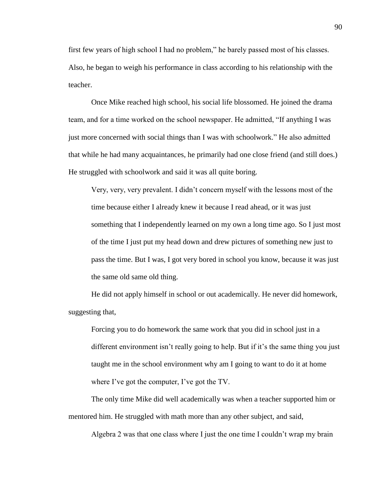first few years of high school I had no problem," he barely passed most of his classes. Also, he began to weigh his performance in class according to his relationship with the teacher.

Once Mike reached high school, his social life blossomed. He joined the drama team, and for a time worked on the school newspaper. He admitted, "If anything I was just more concerned with social things than I was with schoolwork." He also admitted that while he had many acquaintances, he primarily had one close friend (and still does.) He struggled with schoolwork and said it was all quite boring.

Very, very, very prevalent. I didn"t concern myself with the lessons most of the time because either I already knew it because I read ahead, or it was just something that I independently learned on my own a long time ago. So I just most of the time I just put my head down and drew pictures of something new just to pass the time. But I was, I got very bored in school you know, because it was just the same old same old thing.

He did not apply himself in school or out academically. He never did homework, suggesting that,

Forcing you to do homework the same work that you did in school just in a different environment isn"t really going to help. But if it"s the same thing you just taught me in the school environment why am I going to want to do it at home where I've got the computer, I've got the TV.

The only time Mike did well academically was when a teacher supported him or mentored him. He struggled with math more than any other subject, and said,

Algebra 2 was that one class where I just the one time I couldn"t wrap my brain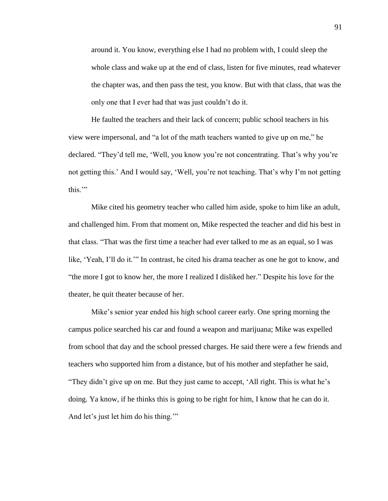around it. You know, everything else I had no problem with, I could sleep the whole class and wake up at the end of class, listen for five minutes, read whatever the chapter was, and then pass the test, you know. But with that class, that was the only one that I ever had that was just couldn"t do it.

He faulted the teachers and their lack of concern; public school teachers in his view were impersonal, and "a lot of the math teachers wanted to give up on me," he declared. "They'd tell me, 'Well, you know you're not concentrating. That's why you're not getting this.' And I would say, 'Well, you're not teaching. That's why I'm not getting this.""

Mike cited his geometry teacher who called him aside, spoke to him like an adult, and challenged him. From that moment on, Mike respected the teacher and did his best in that class. "That was the first time a teacher had ever talked to me as an equal, so I was like, "Yeah, I"ll do it."" In contrast, he cited his drama teacher as one he got to know, and "the more I got to know her, the more I realized I disliked her." Despite his love for the theater, he quit theater because of her.

Mike"s senior year ended his high school career early. One spring morning the campus police searched his car and found a weapon and marijuana; Mike was expelled from school that day and the school pressed charges. He said there were a few friends and teachers who supported him from a distance, but of his mother and stepfather he said, "They didn"t give up on me. But they just came to accept, "All right. This is what he"s doing. Ya know, if he thinks this is going to be right for him, I know that he can do it. And let's just let him do his thing."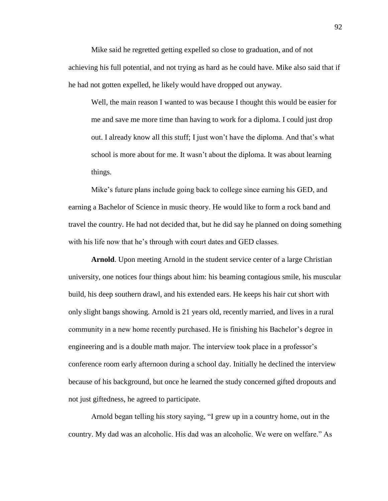Mike said he regretted getting expelled so close to graduation, and of not achieving his full potential, and not trying as hard as he could have. Mike also said that if he had not gotten expelled, he likely would have dropped out anyway.

Well, the main reason I wanted to was because I thought this would be easier for me and save me more time than having to work for a diploma. I could just drop out. I already know all this stuff; I just won"t have the diploma. And that"s what school is more about for me. It wasn't about the diploma. It was about learning things.

Mike"s future plans include going back to college since earning his GED, and earning a Bachelor of Science in music theory. He would like to form a rock band and travel the country. He had not decided that, but he did say he planned on doing something with his life now that he's through with court dates and GED classes.

**Arnold**. Upon meeting Arnold in the student service center of a large Christian university, one notices four things about him: his beaming contagious smile, his muscular build, his deep southern drawl, and his extended ears. He keeps his hair cut short with only slight bangs showing. Arnold is 21 years old, recently married, and lives in a rural community in a new home recently purchased. He is finishing his Bachelor"s degree in engineering and is a double math major. The interview took place in a professor"s conference room early afternoon during a school day. Initially he declined the interview because of his background, but once he learned the study concerned gifted dropouts and not just giftedness, he agreed to participate.

Arnold began telling his story saying, "I grew up in a country home, out in the country. My dad was an alcoholic. His dad was an alcoholic. We were on welfare." As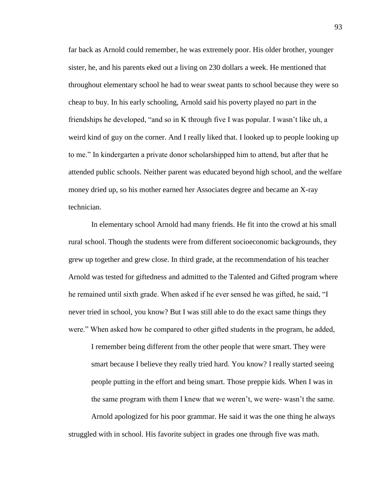far back as Arnold could remember, he was extremely poor. His older brother, younger sister, he, and his parents eked out a living on 230 dollars a week. He mentioned that throughout elementary school he had to wear sweat pants to school because they were so cheap to buy. In his early schooling, Arnold said his poverty played no part in the friendships he developed, "and so in K through five I was popular. I wasn"t like uh, a weird kind of guy on the corner. And I really liked that. I looked up to people looking up to me." In kindergarten a private donor scholarshipped him to attend, but after that he attended public schools. Neither parent was educated beyond high school, and the welfare money dried up, so his mother earned her Associates degree and became an X-ray technician.

In elementary school Arnold had many friends. He fit into the crowd at his small rural school. Though the students were from different socioeconomic backgrounds, they grew up together and grew close. In third grade, at the recommendation of his teacher Arnold was tested for giftedness and admitted to the Talented and Gifted program where he remained until sixth grade. When asked if he ever sensed he was gifted, he said, "I never tried in school, you know? But I was still able to do the exact same things they were." When asked how he compared to other gifted students in the program, he added,

I remember being different from the other people that were smart. They were smart because I believe they really tried hard. You know? I really started seeing people putting in the effort and being smart. Those preppie kids. When I was in the same program with them I knew that we weren"t, we were- wasn"t the same. Arnold apologized for his poor grammar. He said it was the one thing he always

struggled with in school. His favorite subject in grades one through five was math.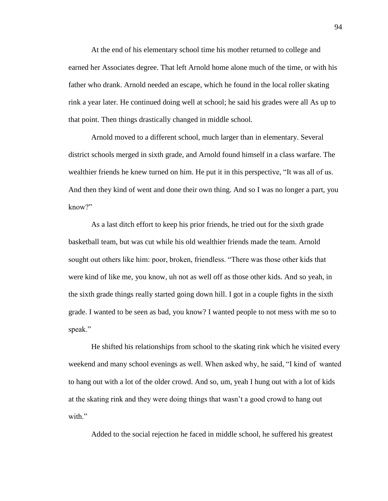At the end of his elementary school time his mother returned to college and earned her Associates degree. That left Arnold home alone much of the time, or with his father who drank. Arnold needed an escape, which he found in the local roller skating rink a year later. He continued doing well at school; he said his grades were all As up to that point. Then things drastically changed in middle school.

Arnold moved to a different school, much larger than in elementary. Several district schools merged in sixth grade, and Arnold found himself in a class warfare. The wealthier friends he knew turned on him. He put it in this perspective, "It was all of us. And then they kind of went and done their own thing. And so I was no longer a part, you know?"

As a last ditch effort to keep his prior friends, he tried out for the sixth grade basketball team, but was cut while his old wealthier friends made the team. Arnold sought out others like him: poor, broken, friendless. "There was those other kids that were kind of like me, you know, uh not as well off as those other kids. And so yeah, in the sixth grade things really started going down hill. I got in a couple fights in the sixth grade. I wanted to be seen as bad, you know? I wanted people to not mess with me so to speak."

He shifted his relationships from school to the skating rink which he visited every weekend and many school evenings as well. When asked why, he said, "I kind of wanted to hang out with a lot of the older crowd. And so, um, yeah I hung out with a lot of kids at the skating rink and they were doing things that wasn"t a good crowd to hang out with."

Added to the social rejection he faced in middle school, he suffered his greatest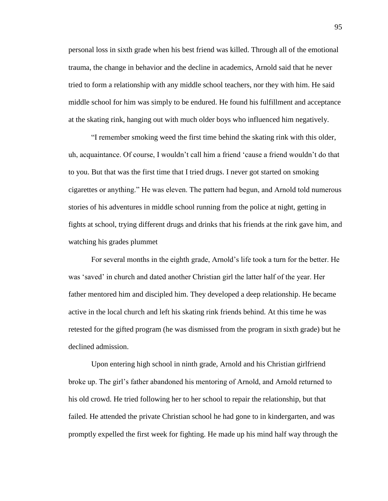personal loss in sixth grade when his best friend was killed. Through all of the emotional trauma, the change in behavior and the decline in academics, Arnold said that he never tried to form a relationship with any middle school teachers, nor they with him. He said middle school for him was simply to be endured. He found his fulfillment and acceptance at the skating rink, hanging out with much older boys who influenced him negatively.

"I remember smoking weed the first time behind the skating rink with this older, uh, acquaintance. Of course, I wouldn"t call him a friend "cause a friend wouldn"t do that to you. But that was the first time that I tried drugs. I never got started on smoking cigarettes or anything." He was eleven. The pattern had begun, and Arnold told numerous stories of his adventures in middle school running from the police at night, getting in fights at school, trying different drugs and drinks that his friends at the rink gave him, and watching his grades plummet

For several months in the eighth grade, Arnold"s life took a turn for the better. He was "saved" in church and dated another Christian girl the latter half of the year. Her father mentored him and discipled him. They developed a deep relationship. He became active in the local church and left his skating rink friends behind. At this time he was retested for the gifted program (he was dismissed from the program in sixth grade) but he declined admission.

Upon entering high school in ninth grade, Arnold and his Christian girlfriend broke up. The girl"s father abandoned his mentoring of Arnold, and Arnold returned to his old crowd. He tried following her to her school to repair the relationship, but that failed. He attended the private Christian school he had gone to in kindergarten, and was promptly expelled the first week for fighting. He made up his mind half way through the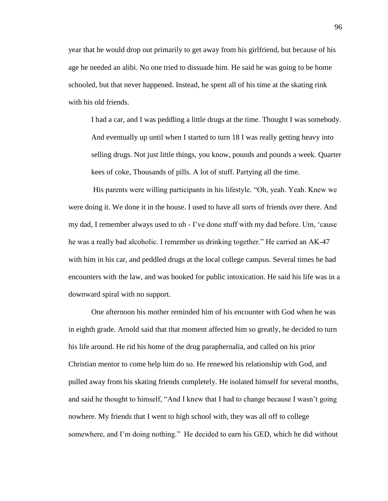year that he would drop out primarily to get away from his girlfriend, but because of his age he needed an alibi. No one tried to dissuade him. He said he was going to be home schooled, but that never happened. Instead, he spent all of his time at the skating rink with his old friends.

I had a car, and I was peddling a little drugs at the time. Thought I was somebody. And eventually up until when I started to turn 18 I was really getting heavy into selling drugs. Not just little things, you know, pounds and pounds a week. Quarter kees of coke, Thousands of pills. A lot of stuff. Partying all the time.

His parents were willing participants in his lifestyle. "Oh, yeah. Yeah. Knew we were doing it. We done it in the house. I used to have all sorts of friends over there. And my dad, I remember always used to uh - I"ve done stuff with my dad before. Um, "cause he was a really bad alcoholic. I remember us drinking together." He carried an AK-47 with him in his car, and peddled drugs at the local college campus. Several times he had encounters with the law, and was booked for public intoxication. He said his life was in a downward spiral with no support.

One afternoon his mother reminded him of his encounter with God when he was in eighth grade. Arnold said that that moment affected him so greatly, he decided to turn his life around. He rid his home of the drug paraphernalia, and called on his prior Christian mentor to come help him do so. He renewed his relationship with God, and pulled away from his skating friends completely. He isolated himself for several months, and said he thought to himself, "And I knew that I had to change because I wasn"t going nowhere. My friends that I went to high school with, they was all off to college somewhere, and I"m doing nothing." He decided to earn his GED, which he did without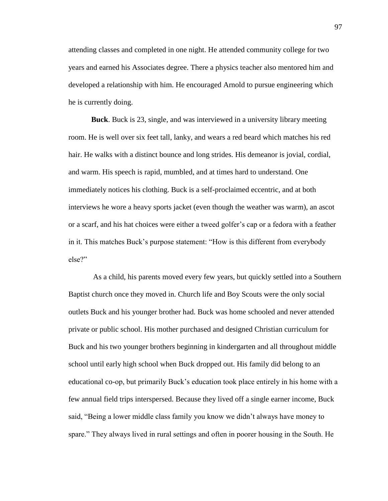attending classes and completed in one night. He attended community college for two years and earned his Associates degree. There a physics teacher also mentored him and developed a relationship with him. He encouraged Arnold to pursue engineering which he is currently doing.

**Buck**. Buck is 23, single, and was interviewed in a university library meeting room. He is well over six feet tall, lanky, and wears a red beard which matches his red hair. He walks with a distinct bounce and long strides. His demeanor is jovial, cordial, and warm. His speech is rapid, mumbled, and at times hard to understand. One immediately notices his clothing. Buck is a self-proclaimed eccentric, and at both interviews he wore a heavy sports jacket (even though the weather was warm), an ascot or a scarf, and his hat choices were either a tweed golfer"s cap or a fedora with a feather in it. This matches Buck"s purpose statement: "How is this different from everybody else?"

As a child, his parents moved every few years, but quickly settled into a Southern Baptist church once they moved in. Church life and Boy Scouts were the only social outlets Buck and his younger brother had. Buck was home schooled and never attended private or public school. His mother purchased and designed Christian curriculum for Buck and his two younger brothers beginning in kindergarten and all throughout middle school until early high school when Buck dropped out. His family did belong to an educational co-op, but primarily Buck"s education took place entirely in his home with a few annual field trips interspersed. Because they lived off a single earner income, Buck said, "Being a lower middle class family you know we didn"t always have money to spare." They always lived in rural settings and often in poorer housing in the South. He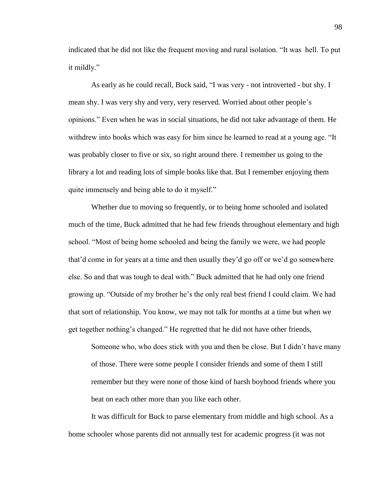indicated that he did not like the frequent moving and rural isolation. "It was hell. To put it mildly."

As early as he could recall, Buck said, "I was very - not introverted - but shy. I mean shy. I was very shy and very, very reserved. Worried about other people"s opinions." Even when he was in social situations, he did not take advantage of them. He withdrew into books which was easy for him since he learned to read at a young age. "It was probably closer to five or six, so right around there. I remember us going to the library a lot and reading lots of simple books like that. But I remember enjoying them quite immensely and being able to do it myself."

Whether due to moving so frequently, or to being home schooled and isolated much of the time, Buck admitted that he had few friends throughout elementary and high school. "Most of being home schooled and being the family we were, we had people that"d come in for years at a time and then usually they"d go off or we"d go somewhere else. So and that was tough to deal with." Buck admitted that he had only one friend growing up. "Outside of my brother he"s the only real best friend I could claim. We had that sort of relationship. You know, we may not talk for months at a time but when we get together nothing"s changed." He regretted that he did not have other friends,

Someone who, who does stick with you and then be close. But I didn"t have many of those. There were some people I consider friends and some of them I still remember but they were none of those kind of harsh boyhood friends where you beat on each other more than you like each other.

It was difficult for Buck to parse elementary from middle and high school. As a home schooler whose parents did not annually test for academic progress (it was not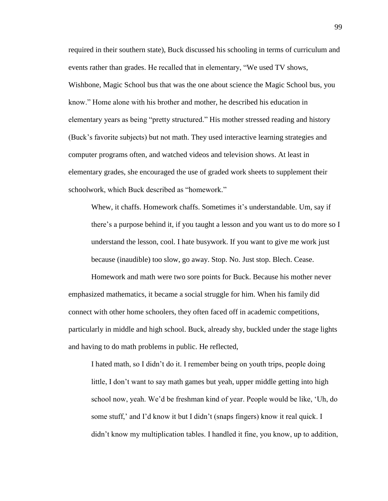required in their southern state), Buck discussed his schooling in terms of curriculum and events rather than grades. He recalled that in elementary, "We used TV shows, Wishbone, Magic School bus that was the one about science the Magic School bus, you know." Home alone with his brother and mother, he described his education in elementary years as being "pretty structured." His mother stressed reading and history (Buck"s favorite subjects) but not math. They used interactive learning strategies and computer programs often, and watched videos and television shows. At least in elementary grades, she encouraged the use of graded work sheets to supplement their schoolwork, which Buck described as "homework."

Whew, it chaffs. Homework chaffs. Sometimes it's understandable. Um, say if there"s a purpose behind it, if you taught a lesson and you want us to do more so I understand the lesson, cool. I hate busywork. If you want to give me work just because (inaudible) too slow, go away. Stop. No. Just stop. Blech. Cease.

Homework and math were two sore points for Buck. Because his mother never emphasized mathematics, it became a social struggle for him. When his family did connect with other home schoolers, they often faced off in academic competitions, particularly in middle and high school. Buck, already shy, buckled under the stage lights and having to do math problems in public. He reflected,

I hated math, so I didn"t do it. I remember being on youth trips, people doing little, I don't want to say math games but yeah, upper middle getting into high school now, yeah. We"d be freshman kind of year. People would be like, "Uh, do some stuff,' and I'd know it but I didn't (snaps fingers) know it real quick. I didn"t know my multiplication tables. I handled it fine, you know, up to addition,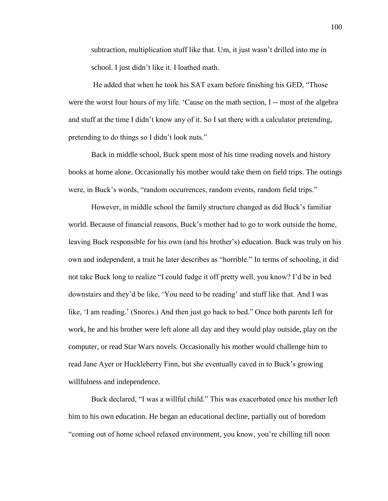subtraction, multiplication stuff like that. Um, it just wasn"t drilled into me in school. I just didn"t like it. I loathed math.

He added that when he took his SAT exam before finishing his GED, "Those were the worst four hours of my life. "Cause on the math section, I -- most of the algebra and stuff at the time I didn"t know any of it. So I sat there with a calculator pretending, pretending to do things so I didn"t look nuts."

Back in middle school, Buck spent most of his time reading novels and history books at home alone. Occasionally his mother would take them on field trips. The outings were, in Buck's words, "random occurrences, random events, random field trips."

However, in middle school the family structure changed as did Buck"s familiar world. Because of financial reasons, Buck"s mother had to go to work outside the home, leaving Buck responsible for his own (and his brother"s) education. Buck was truly on his own and independent, a trait he later describes as "horrible." In terms of schooling, it did not take Buck long to realize "I could fudge it off pretty well, you know? I"d be in bed downstairs and they'd be like, 'You need to be reading' and stuff like that. And I was like, 'I am reading.' (Snores.) And then just go back to bed." Once both parents left for work, he and his brother were left alone all day and they would play outside, play on the computer, or read Star Wars novels. Occasionally his mother would challenge him to read Jane Ayer or Huckleberry Finn, but she eventually caved in to Buck"s growing willfulness and independence.

Buck declared, "I was a willful child." This was exacerbated once his mother left him to his own education. He began an educational decline, partially out of boredom "coming out of home school relaxed environment, you know, you"re chilling till noon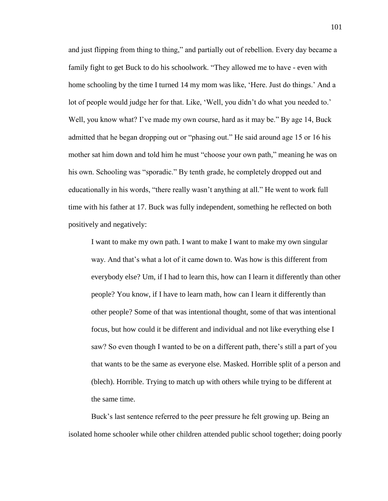and just flipping from thing to thing," and partially out of rebellion. Every day became a family fight to get Buck to do his schoolwork. "They allowed me to have - even with home schooling by the time I turned 14 my mom was like, 'Here. Just do things.' And a lot of people would judge her for that. Like, 'Well, you didn't do what you needed to.' Well, you know what? I've made my own course, hard as it may be." By age 14, Buck admitted that he began dropping out or "phasing out." He said around age 15 or 16 his mother sat him down and told him he must "choose your own path," meaning he was on his own. Schooling was "sporadic." By tenth grade, he completely dropped out and educationally in his words, "there really wasn"t anything at all." He went to work full time with his father at 17. Buck was fully independent, something he reflected on both positively and negatively:

I want to make my own path. I want to make I want to make my own singular way. And that"s what a lot of it came down to. Was how is this different from everybody else? Um, if I had to learn this, how can I learn it differently than other people? You know, if I have to learn math, how can I learn it differently than other people? Some of that was intentional thought, some of that was intentional focus, but how could it be different and individual and not like everything else I saw? So even though I wanted to be on a different path, there's still a part of you that wants to be the same as everyone else. Masked. Horrible split of a person and (blech). Horrible. Trying to match up with others while trying to be different at the same time.

Buck"s last sentence referred to the peer pressure he felt growing up. Being an isolated home schooler while other children attended public school together; doing poorly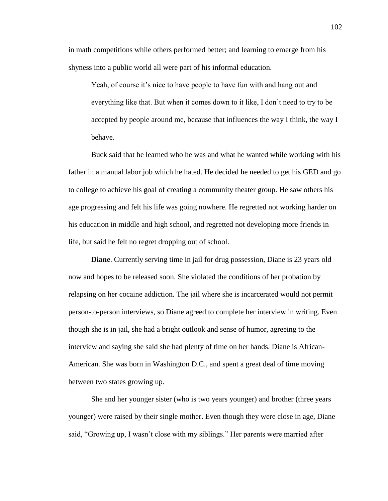in math competitions while others performed better; and learning to emerge from his shyness into a public world all were part of his informal education.

Yeah, of course it's nice to have people to have fun with and hang out and everything like that. But when it comes down to it like, I don"t need to try to be accepted by people around me, because that influences the way I think, the way I behave.

Buck said that he learned who he was and what he wanted while working with his father in a manual labor job which he hated. He decided he needed to get his GED and go to college to achieve his goal of creating a community theater group. He saw others his age progressing and felt his life was going nowhere. He regretted not working harder on his education in middle and high school, and regretted not developing more friends in life, but said he felt no regret dropping out of school.

**Diane**. Currently serving time in jail for drug possession, Diane is 23 years old now and hopes to be released soon. She violated the conditions of her probation by relapsing on her cocaine addiction. The jail where she is incarcerated would not permit person-to-person interviews, so Diane agreed to complete her interview in writing. Even though she is in jail, she had a bright outlook and sense of humor, agreeing to the interview and saying she said she had plenty of time on her hands. Diane is African-American. She was born in Washington D.C., and spent a great deal of time moving between two states growing up.

She and her younger sister (who is two years younger) and brother (three years younger) were raised by their single mother. Even though they were close in age, Diane said, "Growing up, I wasn"t close with my siblings." Her parents were married after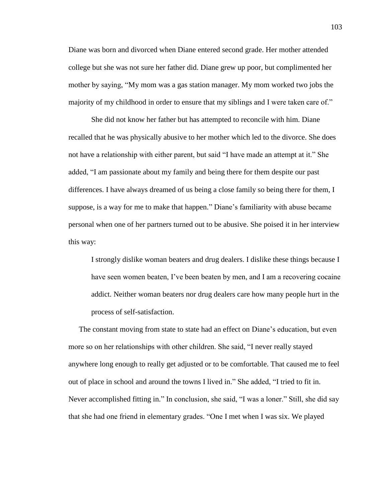Diane was born and divorced when Diane entered second grade. Her mother attended college but she was not sure her father did. Diane grew up poor, but complimented her mother by saying, "My mom was a gas station manager. My mom worked two jobs the majority of my childhood in order to ensure that my siblings and I were taken care of."

She did not know her father but has attempted to reconcile with him. Diane recalled that he was physically abusive to her mother which led to the divorce. She does not have a relationship with either parent, but said "I have made an attempt at it." She added, "I am passionate about my family and being there for them despite our past differences. I have always dreamed of us being a close family so being there for them, I suppose, is a way for me to make that happen." Diane's familiarity with abuse became personal when one of her partners turned out to be abusive. She poised it in her interview this way:

I strongly dislike woman beaters and drug dealers. I dislike these things because I have seen women beaten, I've been beaten by men, and I am a recovering cocaine addict. Neither woman beaters nor drug dealers care how many people hurt in the process of self-satisfaction.

The constant moving from state to state had an effect on Diane"s education, but even more so on her relationships with other children. She said, "I never really stayed anywhere long enough to really get adjusted or to be comfortable. That caused me to feel out of place in school and around the towns I lived in." She added, "I tried to fit in. Never accomplished fitting in." In conclusion, she said, "I was a loner." Still, she did say that she had one friend in elementary grades. "One I met when I was six. We played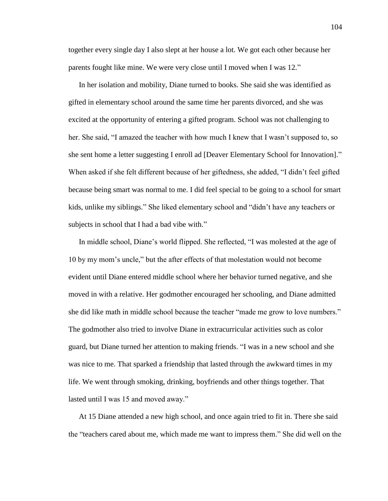together every single day I also slept at her house a lot. We got each other because her parents fought like mine. We were very close until I moved when I was 12."

In her isolation and mobility, Diane turned to books. She said she was identified as gifted in elementary school around the same time her parents divorced, and she was excited at the opportunity of entering a gifted program. School was not challenging to her. She said, "I amazed the teacher with how much I knew that I wasn"t supposed to, so she sent home a letter suggesting I enroll ad [Deaver Elementary School for Innovation]." When asked if she felt different because of her giftedness, she added, "I didn"t feel gifted because being smart was normal to me. I did feel special to be going to a school for smart kids, unlike my siblings." She liked elementary school and "didn"t have any teachers or subjects in school that I had a bad vibe with."

In middle school, Diane"s world flipped. She reflected, "I was molested at the age of 10 by my mom"s uncle," but the after effects of that molestation would not become evident until Diane entered middle school where her behavior turned negative, and she moved in with a relative. Her godmother encouraged her schooling, and Diane admitted she did like math in middle school because the teacher "made me grow to love numbers." The godmother also tried to involve Diane in extracurricular activities such as color guard, but Diane turned her attention to making friends. "I was in a new school and she was nice to me. That sparked a friendship that lasted through the awkward times in my life. We went through smoking, drinking, boyfriends and other things together. That lasted until I was 15 and moved away."

At 15 Diane attended a new high school, and once again tried to fit in. There she said the "teachers cared about me, which made me want to impress them." She did well on the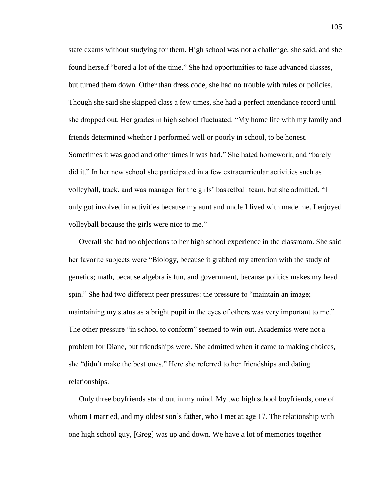state exams without studying for them. High school was not a challenge, she said, and she found herself "bored a lot of the time." She had opportunities to take advanced classes, but turned them down. Other than dress code, she had no trouble with rules or policies. Though she said she skipped class a few times, she had a perfect attendance record until she dropped out. Her grades in high school fluctuated. "My home life with my family and friends determined whether I performed well or poorly in school, to be honest. Sometimes it was good and other times it was bad." She hated homework, and "barely did it." In her new school she participated in a few extracurricular activities such as volleyball, track, and was manager for the girls" basketball team, but she admitted, "I only got involved in activities because my aunt and uncle I lived with made me. I enjoyed volleyball because the girls were nice to me."

Overall she had no objections to her high school experience in the classroom. She said her favorite subjects were "Biology, because it grabbed my attention with the study of genetics; math, because algebra is fun, and government, because politics makes my head spin." She had two different peer pressures: the pressure to "maintain an image; maintaining my status as a bright pupil in the eyes of others was very important to me." The other pressure "in school to conform" seemed to win out. Academics were not a problem for Diane, but friendships were. She admitted when it came to making choices, she "didn"t make the best ones." Here she referred to her friendships and dating relationships.

Only three boyfriends stand out in my mind. My two high school boyfriends, one of whom I married, and my oldest son"s father, who I met at age 17. The relationship with one high school guy, [Greg] was up and down. We have a lot of memories together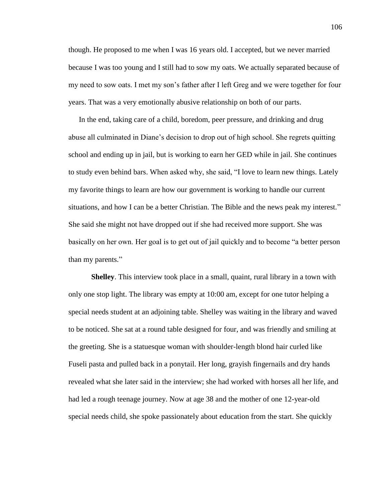though. He proposed to me when I was 16 years old. I accepted, but we never married because I was too young and I still had to sow my oats. We actually separated because of my need to sow oats. I met my son"s father after I left Greg and we were together for four years. That was a very emotionally abusive relationship on both of our parts.

In the end, taking care of a child, boredom, peer pressure, and drinking and drug abuse all culminated in Diane"s decision to drop out of high school. She regrets quitting school and ending up in jail, but is working to earn her GED while in jail. She continues to study even behind bars. When asked why, she said, "I love to learn new things. Lately my favorite things to learn are how our government is working to handle our current situations, and how I can be a better Christian. The Bible and the news peak my interest." She said she might not have dropped out if she had received more support. She was basically on her own. Her goal is to get out of jail quickly and to become "a better person than my parents."

**Shelley**. This interview took place in a small, quaint, rural library in a town with only one stop light. The library was empty at 10:00 am, except for one tutor helping a special needs student at an adjoining table. Shelley was waiting in the library and waved to be noticed. She sat at a round table designed for four, and was friendly and smiling at the greeting. She is a statuesque woman with shoulder-length blond hair curled like Fuseli pasta and pulled back in a ponytail. Her long, grayish fingernails and dry hands revealed what she later said in the interview; she had worked with horses all her life, and had led a rough teenage journey. Now at age 38 and the mother of one 12-year-old special needs child, she spoke passionately about education from the start. She quickly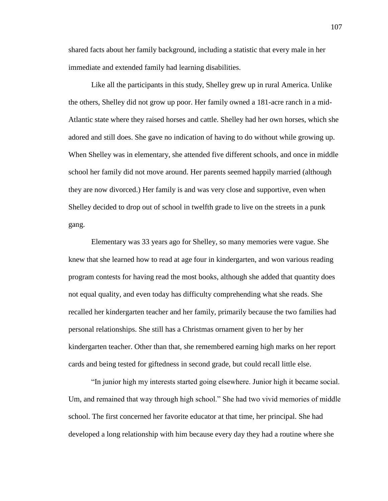shared facts about her family background, including a statistic that every male in her immediate and extended family had learning disabilities.

Like all the participants in this study, Shelley grew up in rural America. Unlike the others, Shelley did not grow up poor. Her family owned a 181-acre ranch in a mid-Atlantic state where they raised horses and cattle. Shelley had her own horses, which she adored and still does. She gave no indication of having to do without while growing up. When Shelley was in elementary, she attended five different schools, and once in middle school her family did not move around. Her parents seemed happily married (although they are now divorced.) Her family is and was very close and supportive, even when Shelley decided to drop out of school in twelfth grade to live on the streets in a punk gang.

Elementary was 33 years ago for Shelley, so many memories were vague. She knew that she learned how to read at age four in kindergarten, and won various reading program contests for having read the most books, although she added that quantity does not equal quality, and even today has difficulty comprehending what she reads. She recalled her kindergarten teacher and her family, primarily because the two families had personal relationships. She still has a Christmas ornament given to her by her kindergarten teacher. Other than that, she remembered earning high marks on her report cards and being tested for giftedness in second grade, but could recall little else.

"In junior high my interests started going elsewhere. Junior high it became social. Um, and remained that way through high school." She had two vivid memories of middle school. The first concerned her favorite educator at that time, her principal. She had developed a long relationship with him because every day they had a routine where she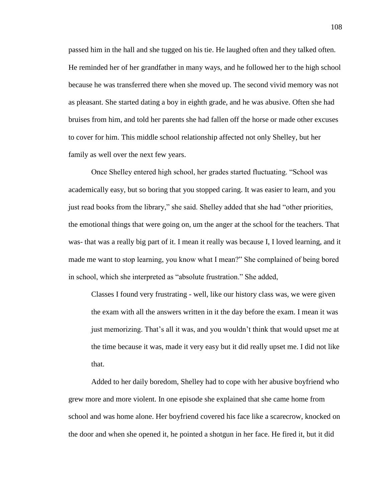passed him in the hall and she tugged on his tie. He laughed often and they talked often. He reminded her of her grandfather in many ways, and he followed her to the high school because he was transferred there when she moved up. The second vivid memory was not as pleasant. She started dating a boy in eighth grade, and he was abusive. Often she had bruises from him, and told her parents she had fallen off the horse or made other excuses to cover for him. This middle school relationship affected not only Shelley, but her family as well over the next few years.

Once Shelley entered high school, her grades started fluctuating. "School was academically easy, but so boring that you stopped caring. It was easier to learn, and you just read books from the library," she said. Shelley added that she had "other priorities, the emotional things that were going on, um the anger at the school for the teachers. That was- that was a really big part of it. I mean it really was because I, I loved learning, and it made me want to stop learning, you know what I mean?" She complained of being bored in school, which she interpreted as "absolute frustration." She added,

Classes I found very frustrating - well, like our history class was, we were given the exam with all the answers written in it the day before the exam. I mean it was just memorizing. That"s all it was, and you wouldn"t think that would upset me at the time because it was, made it very easy but it did really upset me. I did not like that.

Added to her daily boredom, Shelley had to cope with her abusive boyfriend who grew more and more violent. In one episode she explained that she came home from school and was home alone. Her boyfriend covered his face like a scarecrow, knocked on the door and when she opened it, he pointed a shotgun in her face. He fired it, but it did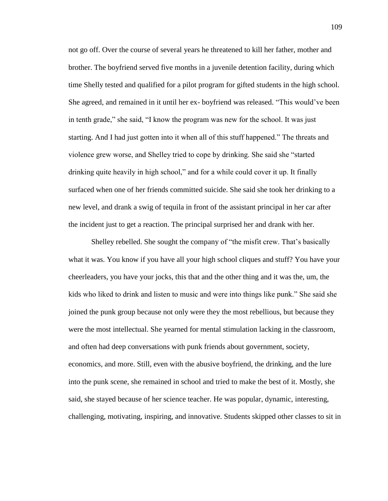not go off. Over the course of several years he threatened to kill her father, mother and brother. The boyfriend served five months in a juvenile detention facility, during which time Shelly tested and qualified for a pilot program for gifted students in the high school. She agreed, and remained in it until her ex- boyfriend was released. "This would"ve been in tenth grade," she said, "I know the program was new for the school. It was just starting. And I had just gotten into it when all of this stuff happened." The threats and violence grew worse, and Shelley tried to cope by drinking. She said she "started drinking quite heavily in high school," and for a while could cover it up. It finally surfaced when one of her friends committed suicide. She said she took her drinking to a new level, and drank a swig of tequila in front of the assistant principal in her car after the incident just to get a reaction. The principal surprised her and drank with her.

Shelley rebelled. She sought the company of "the misfit crew. That"s basically what it was. You know if you have all your high school cliques and stuff? You have your cheerleaders, you have your jocks, this that and the other thing and it was the, um, the kids who liked to drink and listen to music and were into things like punk." She said she joined the punk group because not only were they the most rebellious, but because they were the most intellectual. She yearned for mental stimulation lacking in the classroom, and often had deep conversations with punk friends about government, society, economics, and more. Still, even with the abusive boyfriend, the drinking, and the lure into the punk scene, she remained in school and tried to make the best of it. Mostly, she said, she stayed because of her science teacher. He was popular, dynamic, interesting, challenging, motivating, inspiring, and innovative. Students skipped other classes to sit in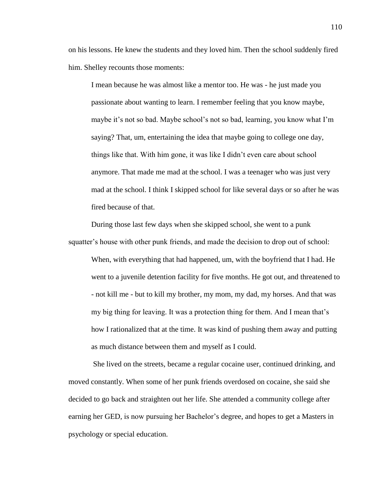on his lessons. He knew the students and they loved him. Then the school suddenly fired him. Shelley recounts those moments:

I mean because he was almost like a mentor too. He was - he just made you passionate about wanting to learn. I remember feeling that you know maybe, maybe it's not so bad. Maybe school's not so bad, learning, you know what I'm saying? That, um, entertaining the idea that maybe going to college one day, things like that. With him gone, it was like I didn"t even care about school anymore. That made me mad at the school. I was a teenager who was just very mad at the school. I think I skipped school for like several days or so after he was fired because of that.

During those last few days when she skipped school, she went to a punk squatter"s house with other punk friends, and made the decision to drop out of school:

When, with everything that had happened, um, with the boyfriend that I had. He went to a juvenile detention facility for five months. He got out, and threatened to - not kill me - but to kill my brother, my mom, my dad, my horses. And that was my big thing for leaving. It was a protection thing for them. And I mean that"s how I rationalized that at the time. It was kind of pushing them away and putting as much distance between them and myself as I could.

She lived on the streets, became a regular cocaine user, continued drinking, and moved constantly. When some of her punk friends overdosed on cocaine, she said she decided to go back and straighten out her life. She attended a community college after earning her GED, is now pursuing her Bachelor's degree, and hopes to get a Masters in psychology or special education.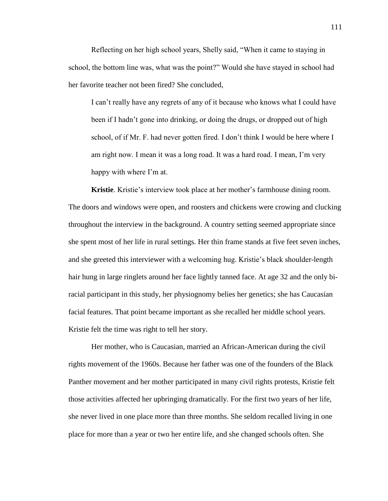Reflecting on her high school years, Shelly said, "When it came to staying in school, the bottom line was, what was the point?" Would she have stayed in school had her favorite teacher not been fired? She concluded,

I can"t really have any regrets of any of it because who knows what I could have been if I hadn"t gone into drinking, or doing the drugs, or dropped out of high school, of if Mr. F. had never gotten fired. I don"t think I would be here where I am right now. I mean it was a long road. It was a hard road. I mean, I"m very happy with where I'm at.

**Kristie**. Kristie's interview took place at her mother's farmhouse dining room. The doors and windows were open, and roosters and chickens were crowing and clucking throughout the interview in the background. A country setting seemed appropriate since she spent most of her life in rural settings. Her thin frame stands at five feet seven inches, and she greeted this interviewer with a welcoming hug. Kristie's black shoulder-length hair hung in large ringlets around her face lightly tanned face. At age 32 and the only biracial participant in this study, her physiognomy belies her genetics; she has Caucasian facial features. That point became important as she recalled her middle school years. Kristie felt the time was right to tell her story.

Her mother, who is Caucasian, married an African-American during the civil rights movement of the 1960s. Because her father was one of the founders of the Black Panther movement and her mother participated in many civil rights protests, Kristie felt those activities affected her upbringing dramatically. For the first two years of her life, she never lived in one place more than three months. She seldom recalled living in one place for more than a year or two her entire life, and she changed schools often. She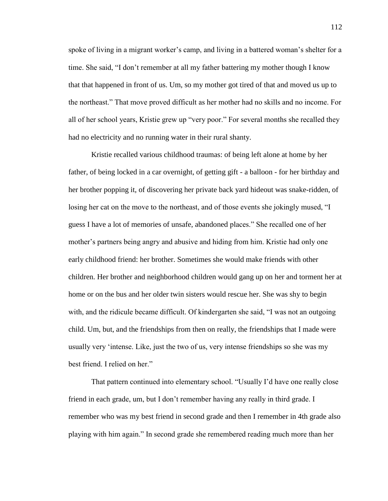spoke of living in a migrant worker's camp, and living in a battered woman's shelter for a time. She said, "I don"t remember at all my father battering my mother though I know that that happened in front of us. Um, so my mother got tired of that and moved us up to the northeast." That move proved difficult as her mother had no skills and no income. For all of her school years, Kristie grew up "very poor." For several months she recalled they had no electricity and no running water in their rural shanty.

Kristie recalled various childhood traumas: of being left alone at home by her father, of being locked in a car overnight, of getting gift - a balloon - for her birthday and her brother popping it, of discovering her private back yard hideout was snake-ridden, of losing her cat on the move to the northeast, and of those events she jokingly mused, "I guess I have a lot of memories of unsafe, abandoned places." She recalled one of her mother's partners being angry and abusive and hiding from him. Kristie had only one early childhood friend: her brother. Sometimes she would make friends with other children. Her brother and neighborhood children would gang up on her and torment her at home or on the bus and her older twin sisters would rescue her. She was shy to begin with, and the ridicule became difficult. Of kindergarten she said, "I was not an outgoing child. Um, but, and the friendships from then on really, the friendships that I made were usually very "intense. Like, just the two of us, very intense friendships so she was my best friend. I relied on her."

That pattern continued into elementary school. "Usually I"d have one really close friend in each grade, um, but I don"t remember having any really in third grade. I remember who was my best friend in second grade and then I remember in 4th grade also playing with him again." In second grade she remembered reading much more than her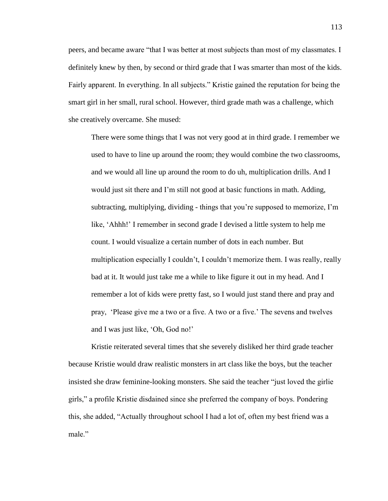peers, and became aware "that I was better at most subjects than most of my classmates. I definitely knew by then, by second or third grade that I was smarter than most of the kids. Fairly apparent. In everything. In all subjects." Kristie gained the reputation for being the smart girl in her small, rural school. However, third grade math was a challenge, which she creatively overcame. She mused:

There were some things that I was not very good at in third grade. I remember we used to have to line up around the room; they would combine the two classrooms, and we would all line up around the room to do uh, multiplication drills. And I would just sit there and I"m still not good at basic functions in math. Adding, subtracting, multiplying, dividing - things that you"re supposed to memorize, I"m like, "Ahhh!" I remember in second grade I devised a little system to help me count. I would visualize a certain number of dots in each number. But multiplication especially I couldn"t, I couldn"t memorize them. I was really, really bad at it. It would just take me a while to like figure it out in my head. And I remember a lot of kids were pretty fast, so I would just stand there and pray and pray, "Please give me a two or a five. A two or a five." The sevens and twelves and I was just like, "Oh, God no!"

Kristie reiterated several times that she severely disliked her third grade teacher because Kristie would draw realistic monsters in art class like the boys, but the teacher insisted she draw feminine-looking monsters. She said the teacher "just loved the girlie girls," a profile Kristie disdained since she preferred the company of boys. Pondering this, she added, "Actually throughout school I had a lot of, often my best friend was a male."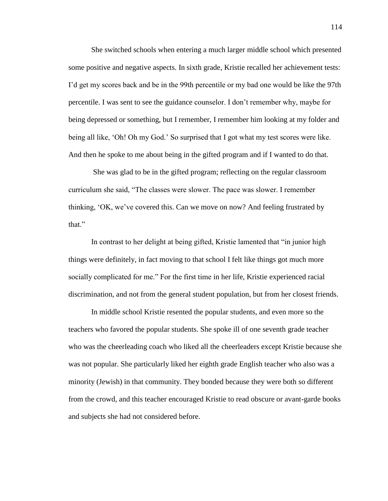She switched schools when entering a much larger middle school which presented some positive and negative aspects. In sixth grade, Kristie recalled her achievement tests: I"d get my scores back and be in the 99th percentile or my bad one would be like the 97th percentile. I was sent to see the guidance counselor. I don"t remember why, maybe for being depressed or something, but I remember, I remember him looking at my folder and being all like, "Oh! Oh my God." So surprised that I got what my test scores were like. And then he spoke to me about being in the gifted program and if I wanted to do that.

She was glad to be in the gifted program; reflecting on the regular classroom curriculum she said, "The classes were slower. The pace was slower. I remember thinking, "OK, we"ve covered this. Can we move on now? And feeling frustrated by that"

In contrast to her delight at being gifted, Kristie lamented that "in junior high things were definitely, in fact moving to that school I felt like things got much more socially complicated for me." For the first time in her life, Kristie experienced racial discrimination, and not from the general student population, but from her closest friends.

In middle school Kristie resented the popular students, and even more so the teachers who favored the popular students. She spoke ill of one seventh grade teacher who was the cheerleading coach who liked all the cheerleaders except Kristie because she was not popular. She particularly liked her eighth grade English teacher who also was a minority (Jewish) in that community. They bonded because they were both so different from the crowd, and this teacher encouraged Kristie to read obscure or avant-garde books and subjects she had not considered before.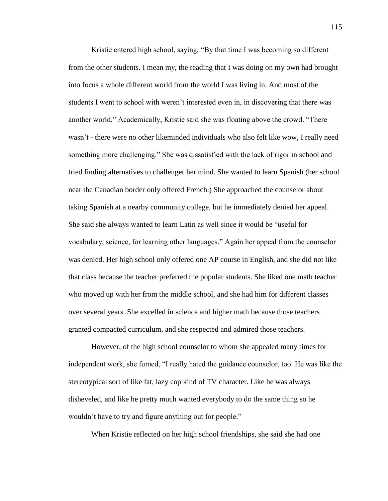Kristie entered high school, saying, "By that time I was becoming so different from the other students. I mean my, the reading that I was doing on my own had brought into focus a whole different world from the world I was living in. And most of the students I went to school with weren"t interested even in, in discovering that there was another world." Academically, Kristie said she was floating above the crowd. "There wasn"t - there were no other likeminded individuals who also felt like wow, I really need something more challenging." She was dissatisfied with the lack of rigor in school and tried finding alternatives to challenger her mind. She wanted to learn Spanish (her school near the Canadian border only offered French.) She approached the counselor about taking Spanish at a nearby community college, but he immediately denied her appeal. She said she always wanted to learn Latin as well since it would be "useful for vocabulary, science, for learning other languages." Again her appeal from the counselor was denied. Her high school only offered one AP course in English, and she did not like that class because the teacher preferred the popular students. She liked one math teacher who moved up with her from the middle school, and she had him for different classes over several years. She excelled in science and higher math because those teachers granted compacted curriculum, and she respected and admired those teachers.

However, of the high school counselor to whom she appealed many times for independent work, she fumed, "I really hated the guidance counselor, too. He was like the stereotypical sort of like fat, lazy cop kind of TV character. Like he was always disheveled, and like he pretty much wanted everybody to do the same thing so he wouldn"t have to try and figure anything out for people."

When Kristie reflected on her high school friendships, she said she had one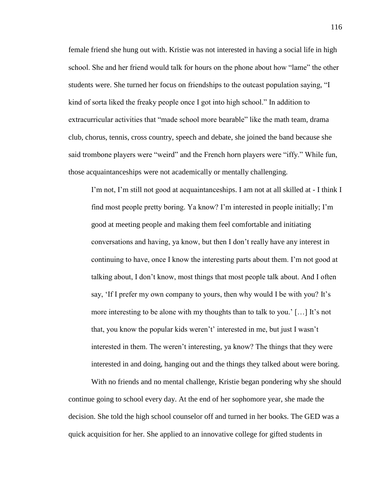female friend she hung out with. Kristie was not interested in having a social life in high school. She and her friend would talk for hours on the phone about how "lame" the other students were. She turned her focus on friendships to the outcast population saying, "I kind of sorta liked the freaky people once I got into high school." In addition to extracurricular activities that "made school more bearable" like the math team, drama club, chorus, tennis, cross country, speech and debate, she joined the band because she said trombone players were "weird" and the French horn players were "iffy." While fun, those acquaintanceships were not academically or mentally challenging.

I'm not, I'm still not good at acquaintanceships. I am not at all skilled at - I think I find most people pretty boring. Ya know? I"m interested in people initially; I"m good at meeting people and making them feel comfortable and initiating conversations and having, ya know, but then I don"t really have any interest in continuing to have, once I know the interesting parts about them. I"m not good at talking about, I don"t know, most things that most people talk about. And I often say, 'If I prefer my own company to yours, then why would I be with you? It's more interesting to be alone with my thoughts than to talk to you." […] It"s not that, you know the popular kids weren"t" interested in me, but just I wasn"t interested in them. The weren"t interesting, ya know? The things that they were interested in and doing, hanging out and the things they talked about were boring.

With no friends and no mental challenge, Kristie began pondering why she should continue going to school every day. At the end of her sophomore year, she made the decision. She told the high school counselor off and turned in her books. The GED was a quick acquisition for her. She applied to an innovative college for gifted students in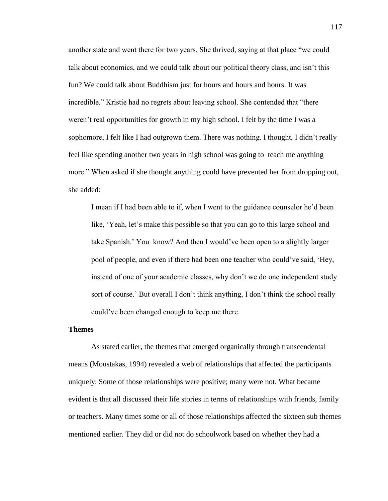another state and went there for two years. She thrived, saying at that place "we could talk about economics, and we could talk about our political theory class, and isn"t this fun? We could talk about Buddhism just for hours and hours and hours. It was incredible." Kristie had no regrets about leaving school. She contended that "there weren"t real opportunities for growth in my high school. I felt by the time I was a sophomore, I felt like I had outgrown them. There was nothing. I thought, I didn"t really feel like spending another two years in high school was going to teach me anything more." When asked if she thought anything could have prevented her from dropping out, she added:

I mean if I had been able to if, when I went to the guidance counselor he"d been like, 'Yeah, let's make this possible so that you can go to this large school and take Spanish." You know? And then I would"ve been open to a slightly larger pool of people, and even if there had been one teacher who could"ve said, "Hey, instead of one of your academic classes, why don"t we do one independent study sort of course.' But overall I don't think anything, I don't think the school really could"ve been changed enough to keep me there.

## **Themes**

As stated earlier, the themes that emerged organically through transcendental means (Moustakas, 1994) revealed a web of relationships that affected the participants uniquely. Some of those relationships were positive; many were not. What became evident is that all discussed their life stories in terms of relationships with friends, family or teachers. Many times some or all of those relationships affected the sixteen sub themes mentioned earlier. They did or did not do schoolwork based on whether they had a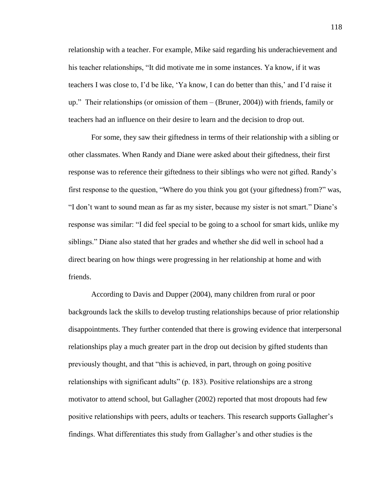relationship with a teacher. For example, Mike said regarding his underachievement and his teacher relationships, "It did motivate me in some instances. Ya know, if it was teachers I was close to, I"d be like, "Ya know, I can do better than this," and I"d raise it up." Their relationships (or omission of them – (Bruner, 2004)) with friends, family or teachers had an influence on their desire to learn and the decision to drop out.

For some, they saw their giftedness in terms of their relationship with a sibling or other classmates. When Randy and Diane were asked about their giftedness, their first response was to reference their giftedness to their siblings who were not gifted. Randy"s first response to the question, "Where do you think you got (your giftedness) from?" was, "I don"t want to sound mean as far as my sister, because my sister is not smart." Diane"s response was similar: "I did feel special to be going to a school for smart kids, unlike my siblings." Diane also stated that her grades and whether she did well in school had a direct bearing on how things were progressing in her relationship at home and with friends.

According to Davis and Dupper (2004), many children from rural or poor backgrounds lack the skills to develop trusting relationships because of prior relationship disappointments. They further contended that there is growing evidence that interpersonal relationships play a much greater part in the drop out decision by gifted students than previously thought, and that "this is achieved, in part, through on going positive relationships with significant adults" (p. 183). Positive relationships are a strong motivator to attend school, but Gallagher (2002) reported that most dropouts had few positive relationships with peers, adults or teachers. This research supports Gallagher"s findings. What differentiates this study from Gallagher"s and other studies is the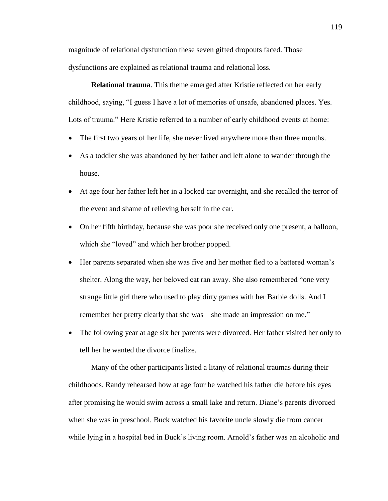magnitude of relational dysfunction these seven gifted dropouts faced. Those dysfunctions are explained as relational trauma and relational loss.

**Relational trauma**. This theme emerged after Kristie reflected on her early childhood, saying, "I guess I have a lot of memories of unsafe, abandoned places. Yes. Lots of trauma." Here Kristie referred to a number of early childhood events at home:

- The first two years of her life, she never lived anywhere more than three months.
- As a toddler she was abandoned by her father and left alone to wander through the house.
- At age four her father left her in a locked car overnight, and she recalled the terror of the event and shame of relieving herself in the car.
- On her fifth birthday, because she was poor she received only one present, a balloon, which she "loved" and which her brother popped.
- Her parents separated when she was five and her mother fled to a battered woman"s shelter. Along the way, her beloved cat ran away. She also remembered "one very strange little girl there who used to play dirty games with her Barbie dolls. And I remember her pretty clearly that she was – she made an impression on me."
- The following year at age six her parents were divorced. Her father visited her only to tell her he wanted the divorce finalize.

Many of the other participants listed a litany of relational traumas during their childhoods. Randy rehearsed how at age four he watched his father die before his eyes after promising he would swim across a small lake and return. Diane"s parents divorced when she was in preschool. Buck watched his favorite uncle slowly die from cancer while lying in a hospital bed in Buck's living room. Arnold's father was an alcoholic and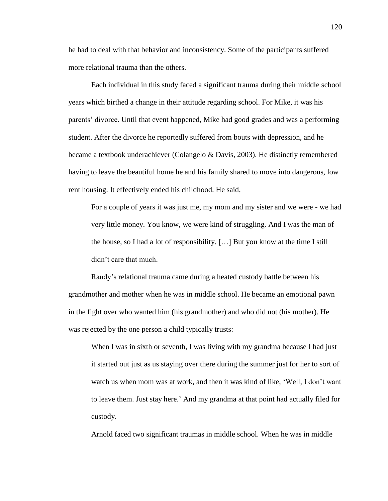he had to deal with that behavior and inconsistency. Some of the participants suffered more relational trauma than the others.

Each individual in this study faced a significant trauma during their middle school years which birthed a change in their attitude regarding school. For Mike, it was his parents" divorce. Until that event happened, Mike had good grades and was a performing student. After the divorce he reportedly suffered from bouts with depression, and he became a textbook underachiever (Colangelo & Davis, 2003). He distinctly remembered having to leave the beautiful home he and his family shared to move into dangerous, low rent housing. It effectively ended his childhood. He said,

For a couple of years it was just me, my mom and my sister and we were - we had very little money. You know, we were kind of struggling. And I was the man of the house, so I had a lot of responsibility. […] But you know at the time I still didn"t care that much.

Randy"s relational trauma came during a heated custody battle between his grandmother and mother when he was in middle school. He became an emotional pawn in the fight over who wanted him (his grandmother) and who did not (his mother). He was rejected by the one person a child typically trusts:

When I was in sixth or seventh, I was living with my grandma because I had just it started out just as us staying over there during the summer just for her to sort of watch us when mom was at work, and then it was kind of like, "Well, I don"t want to leave them. Just stay here." And my grandma at that point had actually filed for custody.

Arnold faced two significant traumas in middle school. When he was in middle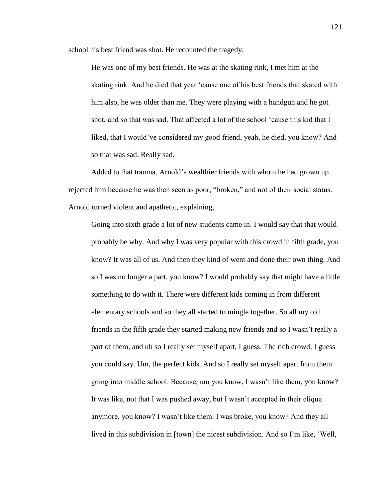school his best friend was shot. He recounted the tragedy:

He was one of my best friends. He was at the skating rink, I met him at the skating rink. And he died that year "cause one of his best friends that skated with him also, he was older than me. They were playing with a handgun and he got shot, and so that was sad. That affected a lot of the school "cause this kid that I liked, that I would"ve considered my good friend, yeah, he died, you know? And so that was sad. Really sad.

Added to that trauma, Arnold"s wealthier friends with whom he had grown up rejected him because he was then seen as poor, "broken," and not of their social status. Arnold turned violent and apathetic, explaining,

Going into sixth grade a lot of new students came in. I would say that that would probably be why. And why I was very popular with this crowd in fifth grade, you know? It was all of us. And then they kind of went and done their own thing. And so I was no longer a part, you know? I would probably say that might have a little something to do with it. There were different kids coming in from different elementary schools and so they all started to mingle together. So all my old friends in the fifth grade they started making new friends and so I wasn"t really a part of them, and uh so I really set myself apart, I guess. The rich crowd, I guess you could say. Um, the perfect kids. And so I really set myself apart from them going into middle school. Because, um you know, I wasn"t like them, you know? It was like, not that I was pushed away, but I wasn"t accepted in their clique anymore, you know? I wasn"t like them. I was broke, you know? And they all lived in this subdivision in [town] the nicest subdivision. And so I"m like, "Well,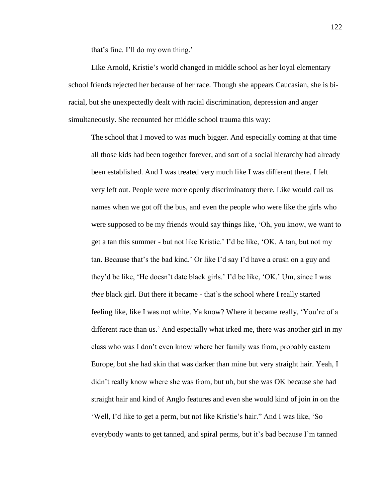that's fine. I'll do my own thing.'

Like Arnold, Kristie"s world changed in middle school as her loyal elementary school friends rejected her because of her race. Though she appears Caucasian, she is biracial, but she unexpectedly dealt with racial discrimination, depression and anger simultaneously. She recounted her middle school trauma this way:

The school that I moved to was much bigger. And especially coming at that time all those kids had been together forever, and sort of a social hierarchy had already been established. And I was treated very much like I was different there. I felt very left out. People were more openly discriminatory there. Like would call us names when we got off the bus, and even the people who were like the girls who were supposed to be my friends would say things like, "Oh, you know, we want to get a tan this summer - but not like Kristie." I"d be like, "OK. A tan, but not my tan. Because that"s the bad kind." Or like I"d say I"d have a crush on a guy and they"d be like, "He doesn"t date black girls." I"d be like, "OK." Um, since I was *thee* black girl. But there it became - that's the school where I really started feeling like, like I was not white. Ya know? Where it became really, "You"re of a different race than us." And especially what irked me, there was another girl in my class who was I don"t even know where her family was from, probably eastern Europe, but she had skin that was darker than mine but very straight hair. Yeah, I didn"t really know where she was from, but uh, but she was OK because she had straight hair and kind of Anglo features and even she would kind of join in on the "Well, I"d like to get a perm, but not like Kristie"s hair." And I was like, "So everybody wants to get tanned, and spiral perms, but it's bad because I'm tanned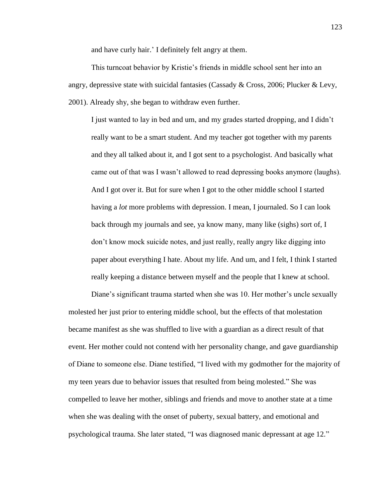and have curly hair." I definitely felt angry at them.

This turncoat behavior by Kristie's friends in middle school sent her into an angry, depressive state with suicidal fantasies (Cassady & Cross, 2006; Plucker & Levy, 2001). Already shy, she began to withdraw even further.

I just wanted to lay in bed and um, and my grades started dropping, and I didn"t really want to be a smart student. And my teacher got together with my parents and they all talked about it, and I got sent to a psychologist. And basically what came out of that was I wasn"t allowed to read depressing books anymore (laughs). And I got over it. But for sure when I got to the other middle school I started having a *lot* more problems with depression. I mean, I journaled. So I can look back through my journals and see, ya know many, many like (sighs) sort of, I don"t know mock suicide notes, and just really, really angry like digging into paper about everything I hate. About my life. And um, and I felt, I think I started really keeping a distance between myself and the people that I knew at school.

Diane's significant trauma started when she was 10. Her mother's uncle sexually molested her just prior to entering middle school, but the effects of that molestation became manifest as she was shuffled to live with a guardian as a direct result of that event. Her mother could not contend with her personality change, and gave guardianship of Diane to someone else. Diane testified, "I lived with my godmother for the majority of my teen years due to behavior issues that resulted from being molested." She was compelled to leave her mother, siblings and friends and move to another state at a time when she was dealing with the onset of puberty, sexual battery, and emotional and psychological trauma. She later stated, "I was diagnosed manic depressant at age 12."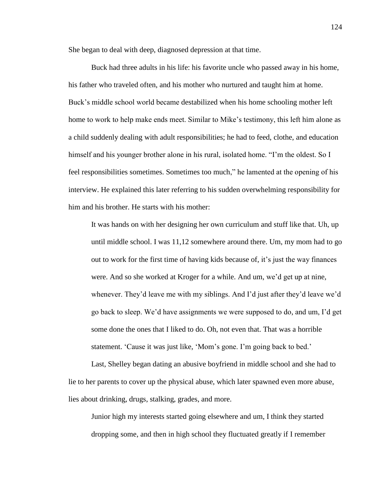She began to deal with deep, diagnosed depression at that time.

Buck had three adults in his life: his favorite uncle who passed away in his home, his father who traveled often, and his mother who nurtured and taught him at home. Buck"s middle school world became destabilized when his home schooling mother left home to work to help make ends meet. Similar to Mike's testimony, this left him alone as a child suddenly dealing with adult responsibilities; he had to feed, clothe, and education himself and his younger brother alone in his rural, isolated home. "I"m the oldest. So I feel responsibilities sometimes. Sometimes too much," he lamented at the opening of his interview. He explained this later referring to his sudden overwhelming responsibility for him and his brother. He starts with his mother:

It was hands on with her designing her own curriculum and stuff like that. Uh, up until middle school. I was 11,12 somewhere around there. Um, my mom had to go out to work for the first time of having kids because of, it"s just the way finances were. And so she worked at Kroger for a while. And um, we"d get up at nine, whenever. They'd leave me with my siblings. And I'd just after they'd leave we'd go back to sleep. We"d have assignments we were supposed to do, and um, I"d get some done the ones that I liked to do. Oh, not even that. That was a horrible statement. 'Cause it was just like, 'Mom's gone. I'm going back to bed.'

Last, Shelley began dating an abusive boyfriend in middle school and she had to lie to her parents to cover up the physical abuse, which later spawned even more abuse, lies about drinking, drugs, stalking, grades, and more.

Junior high my interests started going elsewhere and um, I think they started dropping some, and then in high school they fluctuated greatly if I remember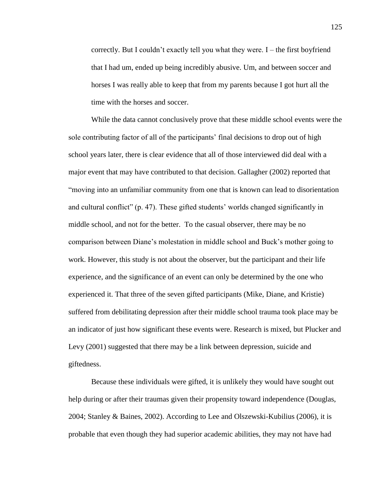correctly. But I couldn"t exactly tell you what they were. I – the first boyfriend that I had um, ended up being incredibly abusive. Um, and between soccer and horses I was really able to keep that from my parents because I got hurt all the time with the horses and soccer.

While the data cannot conclusively prove that these middle school events were the sole contributing factor of all of the participants' final decisions to drop out of high school years later, there is clear evidence that all of those interviewed did deal with a major event that may have contributed to that decision. Gallagher (2002) reported that "moving into an unfamiliar community from one that is known can lead to disorientation and cultural conflict" (p. 47). These gifted students" worlds changed significantly in middle school, and not for the better. To the casual observer, there may be no comparison between Diane"s molestation in middle school and Buck"s mother going to work. However, this study is not about the observer, but the participant and their life experience, and the significance of an event can only be determined by the one who experienced it. That three of the seven gifted participants (Mike, Diane, and Kristie) suffered from debilitating depression after their middle school trauma took place may be an indicator of just how significant these events were. Research is mixed, but Plucker and Levy (2001) suggested that there may be a link between depression, suicide and giftedness.

Because these individuals were gifted, it is unlikely they would have sought out help during or after their traumas given their propensity toward independence (Douglas, 2004; Stanley & Baines, 2002). According to Lee and Olszewski-Kubilius (2006), it is probable that even though they had superior academic abilities, they may not have had

125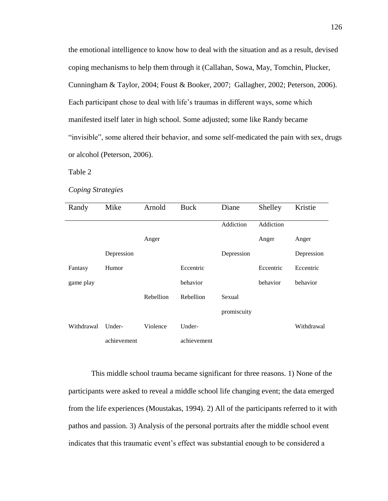the emotional intelligence to know how to deal with the situation and as a result, devised coping mechanisms to help them through it (Callahan, Sowa, May, Tomchin, Plucker, Cunningham & Taylor, 2004; Foust & Booker, 2007; Gallagher, 2002; Peterson, 2006). Each participant chose to deal with life"s traumas in different ways, some which manifested itself later in high school. Some adjusted; some like Randy became "invisible", some altered their behavior, and some self-medicated the pain with sex, drugs or alcohol (Peterson, 2006).

Table 2

## *Coping Strategies*

| Randy      | Mike        | Arnold    | Buck        | Diane       | Shelley   | Kristie    |
|------------|-------------|-----------|-------------|-------------|-----------|------------|
|            |             |           |             | Addiction   | Addiction |            |
|            |             | Anger     |             |             | Anger     | Anger      |
|            | Depression  |           |             | Depression  |           | Depression |
| Fantasy    | Humor       |           | Eccentric   |             | Eccentric | Eccentric  |
| game play  |             |           | behavior    |             | behavior  | behavior   |
|            |             | Rebellion | Rebellion   | Sexual      |           |            |
|            |             |           |             | promiscuity |           |            |
| Withdrawal | Under-      | Violence  | Under-      |             |           | Withdrawal |
|            | achievement |           | achievement |             |           |            |

This middle school trauma became significant for three reasons. 1) None of the participants were asked to reveal a middle school life changing event; the data emerged from the life experiences (Moustakas, 1994). 2) All of the participants referred to it with pathos and passion. 3) Analysis of the personal portraits after the middle school event indicates that this traumatic event"s effect was substantial enough to be considered a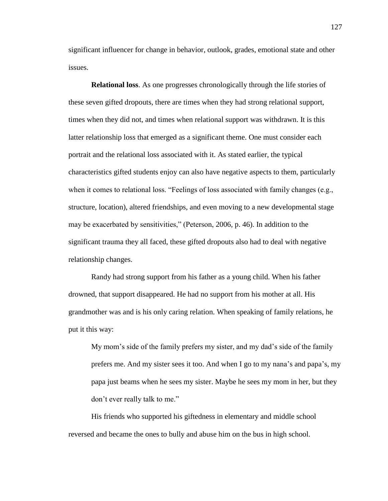significant influencer for change in behavior, outlook, grades, emotional state and other issues.

**Relational loss**. As one progresses chronologically through the life stories of these seven gifted dropouts, there are times when they had strong relational support, times when they did not, and times when relational support was withdrawn. It is this latter relationship loss that emerged as a significant theme. One must consider each portrait and the relational loss associated with it. As stated earlier, the typical characteristics gifted students enjoy can also have negative aspects to them, particularly when it comes to relational loss. "Feelings of loss associated with family changes (e.g., structure, location), altered friendships, and even moving to a new developmental stage may be exacerbated by sensitivities," (Peterson, 2006, p. 46). In addition to the significant trauma they all faced, these gifted dropouts also had to deal with negative relationship changes.

Randy had strong support from his father as a young child. When his father drowned, that support disappeared. He had no support from his mother at all. His grandmother was and is his only caring relation. When speaking of family relations, he put it this way:

My mom"s side of the family prefers my sister, and my dad"s side of the family prefers me. And my sister sees it too. And when I go to my nana"s and papa"s, my papa just beams when he sees my sister. Maybe he sees my mom in her, but they don"t ever really talk to me."

His friends who supported his giftedness in elementary and middle school reversed and became the ones to bully and abuse him on the bus in high school.

127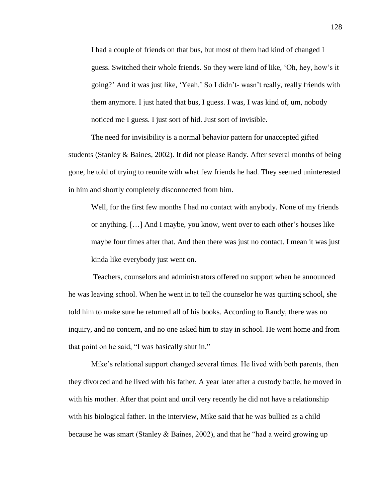I had a couple of friends on that bus, but most of them had kind of changed I guess. Switched their whole friends. So they were kind of like, "Oh, hey, how"s it going?" And it was just like, "Yeah." So I didn"t- wasn"t really, really friends with them anymore. I just hated that bus, I guess. I was, I was kind of, um, nobody noticed me I guess. I just sort of hid. Just sort of invisible.

The need for invisibility is a normal behavior pattern for unaccepted gifted students (Stanley & Baines, 2002). It did not please Randy. After several months of being gone, he told of trying to reunite with what few friends he had. They seemed uninterested in him and shortly completely disconnected from him.

Well, for the first few months I had no contact with anybody. None of my friends or anything. […] And I maybe, you know, went over to each other"s houses like maybe four times after that. And then there was just no contact. I mean it was just kinda like everybody just went on.

Teachers, counselors and administrators offered no support when he announced he was leaving school. When he went in to tell the counselor he was quitting school, she told him to make sure he returned all of his books. According to Randy, there was no inquiry, and no concern, and no one asked him to stay in school. He went home and from that point on he said, "I was basically shut in."

Mike"s relational support changed several times. He lived with both parents, then they divorced and he lived with his father. A year later after a custody battle, he moved in with his mother. After that point and until very recently he did not have a relationship with his biological father. In the interview, Mike said that he was bullied as a child because he was smart (Stanley & Baines, 2002), and that he "had a weird growing up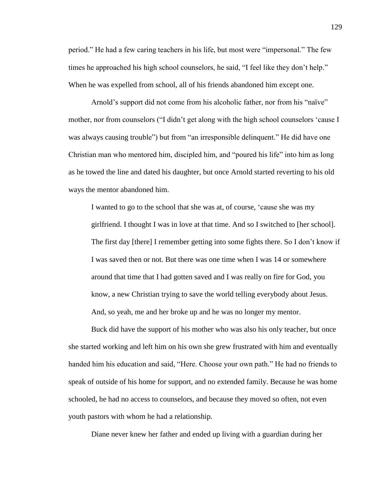period." He had a few caring teachers in his life, but most were "impersonal." The few times he approached his high school counselors, he said, "I feel like they don"t help." When he was expelled from school, all of his friends abandoned him except one.

Arnold's support did not come from his alcoholic father, nor from his "naïve" mother, nor from counselors ("I didn't get along with the high school counselors 'cause I was always causing trouble") but from "an irresponsible delinquent." He did have one Christian man who mentored him, discipled him, and "poured his life" into him as long as he towed the line and dated his daughter, but once Arnold started reverting to his old ways the mentor abandoned him.

I wanted to go to the school that she was at, of course, "cause she was my girlfriend. I thought I was in love at that time. And so I switched to [her school]. The first day [there] I remember getting into some fights there. So I don"t know if I was saved then or not. But there was one time when I was 14 or somewhere around that time that I had gotten saved and I was really on fire for God, you know, a new Christian trying to save the world telling everybody about Jesus. And, so yeah, me and her broke up and he was no longer my mentor.

Buck did have the support of his mother who was also his only teacher, but once she started working and left him on his own she grew frustrated with him and eventually handed him his education and said, "Here. Choose your own path." He had no friends to speak of outside of his home for support, and no extended family. Because he was home schooled, he had no access to counselors, and because they moved so often, not even youth pastors with whom he had a relationship.

Diane never knew her father and ended up living with a guardian during her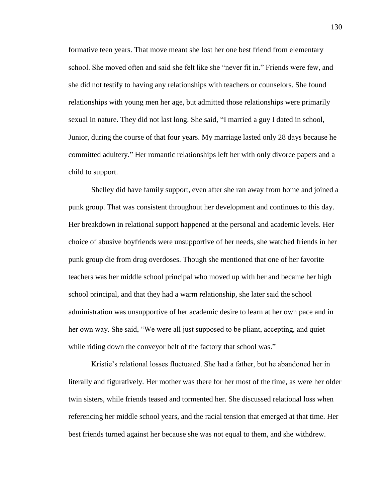formative teen years. That move meant she lost her one best friend from elementary school. She moved often and said she felt like she "never fit in." Friends were few, and she did not testify to having any relationships with teachers or counselors. She found relationships with young men her age, but admitted those relationships were primarily sexual in nature. They did not last long. She said, "I married a guy I dated in school, Junior, during the course of that four years. My marriage lasted only 28 days because he committed adultery." Her romantic relationships left her with only divorce papers and a child to support.

Shelley did have family support, even after she ran away from home and joined a punk group. That was consistent throughout her development and continues to this day. Her breakdown in relational support happened at the personal and academic levels. Her choice of abusive boyfriends were unsupportive of her needs, she watched friends in her punk group die from drug overdoses. Though she mentioned that one of her favorite teachers was her middle school principal who moved up with her and became her high school principal, and that they had a warm relationship, she later said the school administration was unsupportive of her academic desire to learn at her own pace and in her own way. She said, "We were all just supposed to be pliant, accepting, and quiet while riding down the conveyor belt of the factory that school was."

Kristie"s relational losses fluctuated. She had a father, but he abandoned her in literally and figuratively. Her mother was there for her most of the time, as were her older twin sisters, while friends teased and tormented her. She discussed relational loss when referencing her middle school years, and the racial tension that emerged at that time. Her best friends turned against her because she was not equal to them, and she withdrew.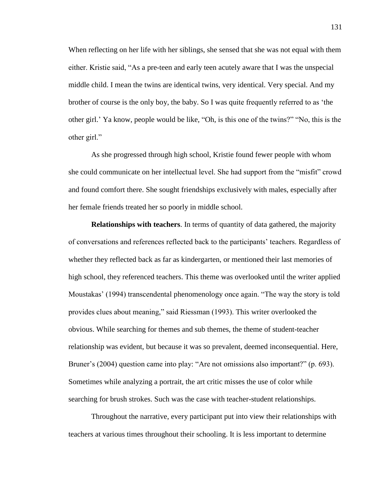When reflecting on her life with her siblings, she sensed that she was not equal with them either. Kristie said, "As a pre-teen and early teen acutely aware that I was the unspecial middle child. I mean the twins are identical twins, very identical. Very special. And my brother of course is the only boy, the baby. So I was quite frequently referred to as "the other girl." Ya know, people would be like, "Oh, is this one of the twins?" "No, this is the other girl."

As she progressed through high school, Kristie found fewer people with whom she could communicate on her intellectual level. She had support from the "misfit" crowd and found comfort there. She sought friendships exclusively with males, especially after her female friends treated her so poorly in middle school.

**Relationships with teachers**. In terms of quantity of data gathered, the majority of conversations and references reflected back to the participants" teachers. Regardless of whether they reflected back as far as kindergarten, or mentioned their last memories of high school, they referenced teachers. This theme was overlooked until the writer applied Moustakas" (1994) transcendental phenomenology once again. "The way the story is told provides clues about meaning," said Riessman (1993). This writer overlooked the obvious. While searching for themes and sub themes, the theme of student-teacher relationship was evident, but because it was so prevalent, deemed inconsequential. Here, Bruner's (2004) question came into play: "Are not omissions also important?" (p. 693). Sometimes while analyzing a portrait, the art critic misses the use of color while searching for brush strokes. Such was the case with teacher-student relationships.

Throughout the narrative, every participant put into view their relationships with teachers at various times throughout their schooling. It is less important to determine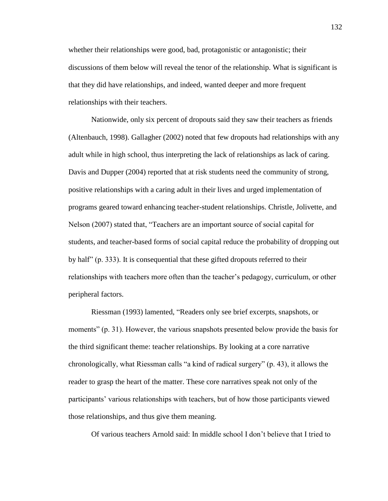whether their relationships were good, bad, protagonistic or antagonistic; their discussions of them below will reveal the tenor of the relationship. What is significant is that they did have relationships, and indeed, wanted deeper and more frequent relationships with their teachers.

Nationwide, only six percent of dropouts said they saw their teachers as friends (Altenbauch, 1998). Gallagher (2002) noted that few dropouts had relationships with any adult while in high school, thus interpreting the lack of relationships as lack of caring. Davis and Dupper (2004) reported that at risk students need the community of strong, positive relationships with a caring adult in their lives and urged implementation of programs geared toward enhancing teacher-student relationships. Christle, Jolivette, and Nelson (2007) stated that, "Teachers are an important source of social capital for students, and teacher-based forms of social capital reduce the probability of dropping out by half" (p. 333). It is consequential that these gifted dropouts referred to their relationships with teachers more often than the teacher"s pedagogy, curriculum, or other peripheral factors.

Riessman (1993) lamented, "Readers only see brief excerpts, snapshots, or moments" (p. 31). However, the various snapshots presented below provide the basis for the third significant theme: teacher relationships. By looking at a core narrative chronologically, what Riessman calls "a kind of radical surgery" (p. 43), it allows the reader to grasp the heart of the matter. These core narratives speak not only of the participants" various relationships with teachers, but of how those participants viewed those relationships, and thus give them meaning.

Of various teachers Arnold said: In middle school I don"t believe that I tried to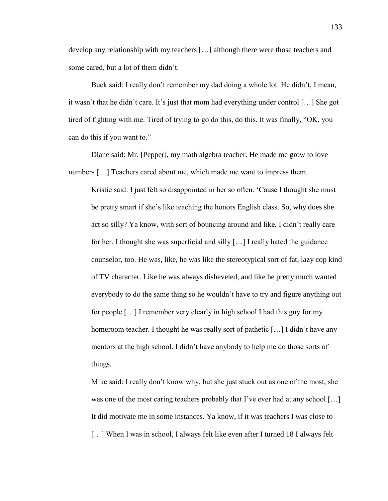develop any relationship with my teachers […] although there were those teachers and some cared, but a lot of them didn't.

Buck said: I really don"t remember my dad doing a whole lot. He didn"t, I mean, it wasn't that he didn't care. It's just that mom had everything under control [...] She got tired of fighting with me. Tired of trying to go do this, do this. It was finally, "OK, you can do this if you want to."

Diane said: Mr. [Pepper], my math algebra teacher. He made me grow to love numbers […] Teachers cared about me, which made me want to impress them.

Kristie said: I just felt so disappointed in her so often. "Cause I thought she must be pretty smart if she"s like teaching the honors English class. So, why does she act so silly? Ya know, with sort of bouncing around and like, I didn"t really care for her. I thought she was superficial and silly […] I really hated the guidance counselor, too. He was, like, he was like the stereotypical sort of fat, lazy cop kind of TV character. Like he was always disheveled, and like he pretty much wanted everybody to do the same thing so he wouldn"t have to try and figure anything out for people […] I remember very clearly in high school I had this guy for my homeroom teacher. I thought he was really sort of pathetic [...] I didn't have any mentors at the high school. I didn"t have anybody to help me do those sorts of things.

Mike said: I really don"t know why, but she just stuck out as one of the most, she was one of the most caring teachers probably that I've ever had at any school [...] It did motivate me in some instances. Ya know, if it was teachers I was close to [...] When I was in school, I always felt like even after I turned 18 I always felt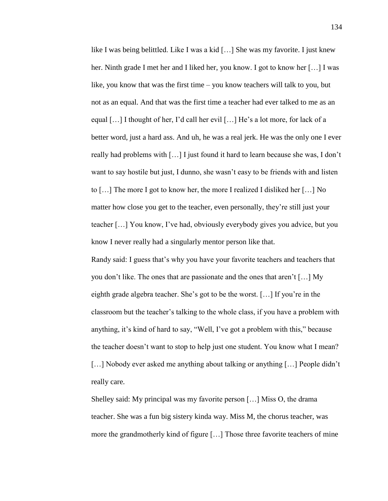like I was being belittled. Like I was a kid […] She was my favorite. I just knew her. Ninth grade I met her and I liked her, you know. I got to know her [...] I was like, you know that was the first time – you know teachers will talk to you, but not as an equal. And that was the first time a teacher had ever talked to me as an equal […] I thought of her, I"d call her evil […] He"s a lot more, for lack of a better word, just a hard ass. And uh, he was a real jerk. He was the only one I ever really had problems with […] I just found it hard to learn because she was, I don"t want to say hostile but just, I dunno, she wasn't easy to be friends with and listen to […] The more I got to know her, the more I realized I disliked her […] No matter how close you get to the teacher, even personally, they"re still just your teacher […] You know, I"ve had, obviously everybody gives you advice, but you know I never really had a singularly mentor person like that.

Randy said: I guess that"s why you have your favorite teachers and teachers that you don"t like. The ones that are passionate and the ones that aren"t […] My eighth grade algebra teacher. She's got to be the worst. [...] If you're in the classroom but the teacher"s talking to the whole class, if you have a problem with anything, it"s kind of hard to say, "Well, I"ve got a problem with this," because the teacher doesn"t want to stop to help just one student. You know what I mean? [...] Nobody ever asked me anything about talking or anything [...] People didn't really care.

Shelley said: My principal was my favorite person […] Miss O, the drama teacher. She was a fun big sistery kinda way. Miss M, the chorus teacher, was more the grandmotherly kind of figure […] Those three favorite teachers of mine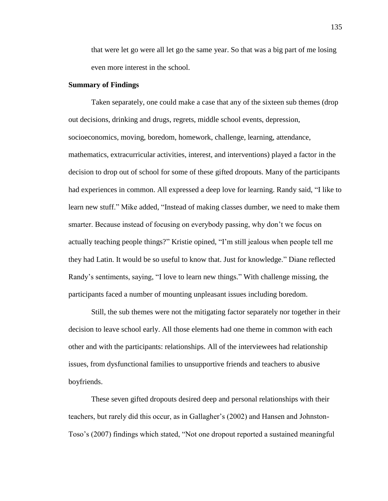that were let go were all let go the same year. So that was a big part of me losing even more interest in the school.

## **Summary of Findings**

Taken separately, one could make a case that any of the sixteen sub themes (drop out decisions, drinking and drugs, regrets, middle school events, depression, socioeconomics, moving, boredom, homework, challenge, learning, attendance, mathematics, extracurricular activities, interest, and interventions) played a factor in the decision to drop out of school for some of these gifted dropouts. Many of the participants had experiences in common. All expressed a deep love for learning. Randy said, "I like to learn new stuff." Mike added, "Instead of making classes dumber, we need to make them smarter. Because instead of focusing on everybody passing, why don"t we focus on actually teaching people things?" Kristie opined, "I"m still jealous when people tell me they had Latin. It would be so useful to know that. Just for knowledge." Diane reflected Randy"s sentiments, saying, "I love to learn new things." With challenge missing, the participants faced a number of mounting unpleasant issues including boredom.

Still, the sub themes were not the mitigating factor separately nor together in their decision to leave school early. All those elements had one theme in common with each other and with the participants: relationships. All of the interviewees had relationship issues, from dysfunctional families to unsupportive friends and teachers to abusive boyfriends.

These seven gifted dropouts desired deep and personal relationships with their teachers, but rarely did this occur, as in Gallagher"s (2002) and Hansen and Johnston-Toso"s (2007) findings which stated, "Not one dropout reported a sustained meaningful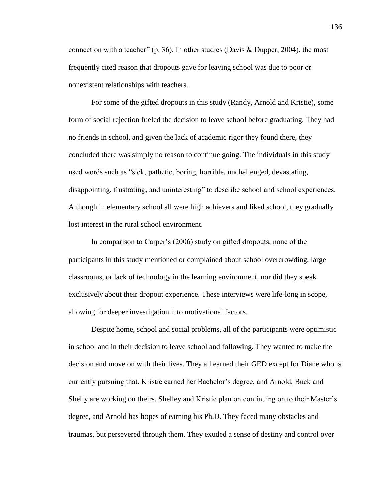connection with a teacher" (p. 36). In other studies (Davis & Dupper, 2004), the most frequently cited reason that dropouts gave for leaving school was due to poor or nonexistent relationships with teachers.

For some of the gifted dropouts in this study (Randy, Arnold and Kristie), some form of social rejection fueled the decision to leave school before graduating. They had no friends in school, and given the lack of academic rigor they found there, they concluded there was simply no reason to continue going. The individuals in this study used words such as "sick, pathetic, boring, horrible, unchallenged, devastating, disappointing, frustrating, and uninteresting" to describe school and school experiences. Although in elementary school all were high achievers and liked school, they gradually lost interest in the rural school environment.

In comparison to Carper"s (2006) study on gifted dropouts, none of the participants in this study mentioned or complained about school overcrowding, large classrooms, or lack of technology in the learning environment, nor did they speak exclusively about their dropout experience. These interviews were life-long in scope, allowing for deeper investigation into motivational factors.

Despite home, school and social problems, all of the participants were optimistic in school and in their decision to leave school and following. They wanted to make the decision and move on with their lives. They all earned their GED except for Diane who is currently pursuing that. Kristie earned her Bachelor"s degree, and Arnold, Buck and Shelly are working on theirs. Shelley and Kristie plan on continuing on to their Master"s degree, and Arnold has hopes of earning his Ph.D. They faced many obstacles and traumas, but persevered through them. They exuded a sense of destiny and control over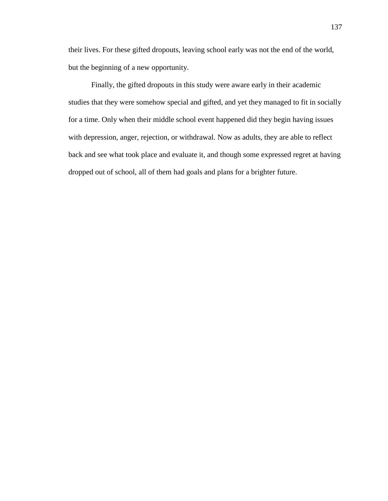their lives. For these gifted dropouts, leaving school early was not the end of the world, but the beginning of a new opportunity.

Finally, the gifted dropouts in this study were aware early in their academic studies that they were somehow special and gifted, and yet they managed to fit in socially for a time. Only when their middle school event happened did they begin having issues with depression, anger, rejection, or withdrawal. Now as adults, they are able to reflect back and see what took place and evaluate it, and though some expressed regret at having dropped out of school, all of them had goals and plans for a brighter future.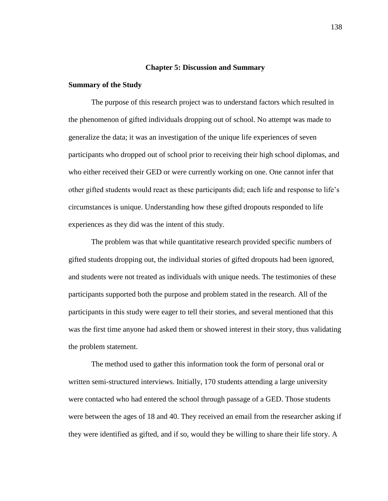### **Chapter 5: Discussion and Summary**

## **Summary of the Study**

The purpose of this research project was to understand factors which resulted in the phenomenon of gifted individuals dropping out of school. No attempt was made to generalize the data; it was an investigation of the unique life experiences of seven participants who dropped out of school prior to receiving their high school diplomas, and who either received their GED or were currently working on one. One cannot infer that other gifted students would react as these participants did; each life and response to life"s circumstances is unique. Understanding how these gifted dropouts responded to life experiences as they did was the intent of this study.

The problem was that while quantitative research provided specific numbers of gifted students dropping out, the individual stories of gifted dropouts had been ignored, and students were not treated as individuals with unique needs. The testimonies of these participants supported both the purpose and problem stated in the research. All of the participants in this study were eager to tell their stories, and several mentioned that this was the first time anyone had asked them or showed interest in their story, thus validating the problem statement.

The method used to gather this information took the form of personal oral or written semi-structured interviews. Initially, 170 students attending a large university were contacted who had entered the school through passage of a GED. Those students were between the ages of 18 and 40. They received an email from the researcher asking if they were identified as gifted, and if so, would they be willing to share their life story. A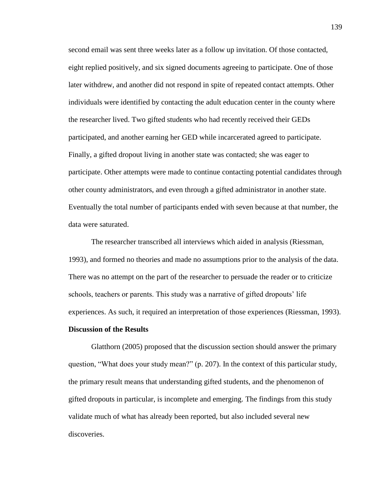second email was sent three weeks later as a follow up invitation. Of those contacted, eight replied positively, and six signed documents agreeing to participate. One of those later withdrew, and another did not respond in spite of repeated contact attempts. Other individuals were identified by contacting the adult education center in the county where the researcher lived. Two gifted students who had recently received their GEDs participated, and another earning her GED while incarcerated agreed to participate. Finally, a gifted dropout living in another state was contacted; she was eager to participate. Other attempts were made to continue contacting potential candidates through other county administrators, and even through a gifted administrator in another state. Eventually the total number of participants ended with seven because at that number, the data were saturated.

The researcher transcribed all interviews which aided in analysis (Riessman, 1993), and formed no theories and made no assumptions prior to the analysis of the data. There was no attempt on the part of the researcher to persuade the reader or to criticize schools, teachers or parents. This study was a narrative of gifted dropouts' life experiences. As such, it required an interpretation of those experiences (Riessman, 1993).

### **Discussion of the Results**

Glatthorn (2005) proposed that the discussion section should answer the primary question, "What does your study mean?" (p. 207). In the context of this particular study, the primary result means that understanding gifted students, and the phenomenon of gifted dropouts in particular, is incomplete and emerging. The findings from this study validate much of what has already been reported, but also included several new discoveries.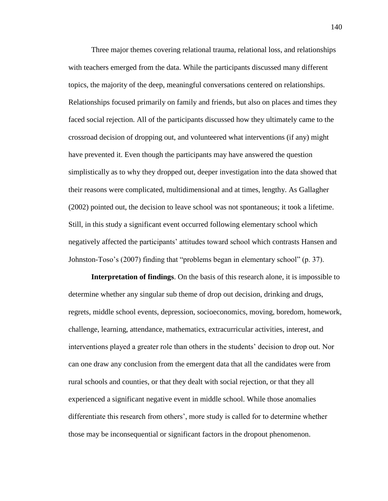Three major themes covering relational trauma, relational loss, and relationships with teachers emerged from the data. While the participants discussed many different topics, the majority of the deep, meaningful conversations centered on relationships. Relationships focused primarily on family and friends, but also on places and times they faced social rejection. All of the participants discussed how they ultimately came to the crossroad decision of dropping out, and volunteered what interventions (if any) might have prevented it. Even though the participants may have answered the question simplistically as to why they dropped out, deeper investigation into the data showed that their reasons were complicated, multidimensional and at times, lengthy. As Gallagher (2002) pointed out, the decision to leave school was not spontaneous; it took a lifetime. Still, in this study a significant event occurred following elementary school which negatively affected the participants" attitudes toward school which contrasts Hansen and Johnston-Toso"s (2007) finding that "problems began in elementary school" (p. 37).

**Interpretation of findings**. On the basis of this research alone, it is impossible to determine whether any singular sub theme of drop out decision, drinking and drugs, regrets, middle school events, depression, socioeconomics, moving, boredom, homework, challenge, learning, attendance, mathematics, extracurricular activities, interest, and interventions played a greater role than others in the students' decision to drop out. Nor can one draw any conclusion from the emergent data that all the candidates were from rural schools and counties, or that they dealt with social rejection, or that they all experienced a significant negative event in middle school. While those anomalies differentiate this research from others", more study is called for to determine whether those may be inconsequential or significant factors in the dropout phenomenon.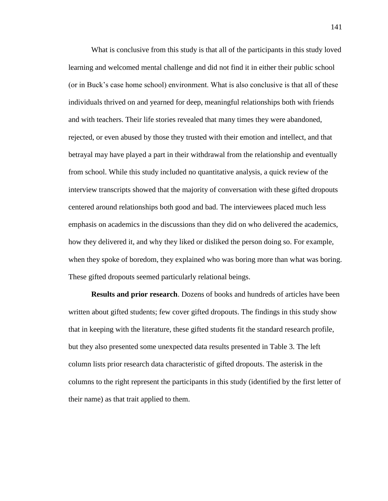What is conclusive from this study is that all of the participants in this study loved learning and welcomed mental challenge and did not find it in either their public school (or in Buck"s case home school) environment. What is also conclusive is that all of these individuals thrived on and yearned for deep, meaningful relationships both with friends and with teachers. Their life stories revealed that many times they were abandoned, rejected, or even abused by those they trusted with their emotion and intellect, and that betrayal may have played a part in their withdrawal from the relationship and eventually from school. While this study included no quantitative analysis, a quick review of the interview transcripts showed that the majority of conversation with these gifted dropouts centered around relationships both good and bad. The interviewees placed much less emphasis on academics in the discussions than they did on who delivered the academics, how they delivered it, and why they liked or disliked the person doing so. For example, when they spoke of boredom, they explained who was boring more than what was boring. These gifted dropouts seemed particularly relational beings.

**Results and prior research**. Dozens of books and hundreds of articles have been written about gifted students; few cover gifted dropouts. The findings in this study show that in keeping with the literature, these gifted students fit the standard research profile, but they also presented some unexpected data results presented in Table 3. The left column lists prior research data characteristic of gifted dropouts. The asterisk in the columns to the right represent the participants in this study (identified by the first letter of their name) as that trait applied to them.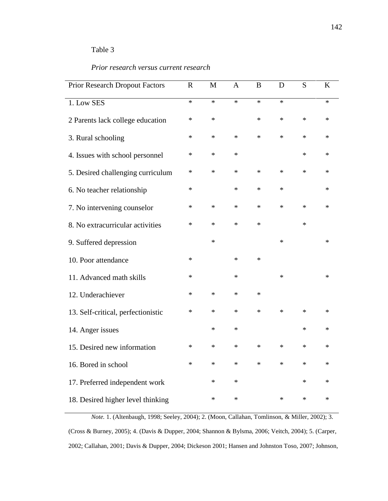# Table 3

l,

## *Prior research versus current research*

| <b>Prior Research Dropout Factors</b> | $\mathbf R$ | M      | $\mathbf{A}$ | B      | D      | S      | K      |
|---------------------------------------|-------------|--------|--------------|--------|--------|--------|--------|
| 1. Low SES                            | $\ast$      | $\ast$ | $\ast$       | $\ast$ | $\ast$ |        | $\ast$ |
| 2 Parents lack college education      | $\ast$      | $\ast$ |              | $\ast$ | $\ast$ | $\ast$ | $\ast$ |
| 3. Rural schooling                    | $\ast$      | $\ast$ | $\ast$       | $\ast$ | $\ast$ | $\ast$ | $\ast$ |
| 4. Issues with school personnel       | $\ast$      | $\ast$ | $\ast$       |        |        | $\ast$ | $\ast$ |
| 5. Desired challenging curriculum     | $\ast$      | $\ast$ | $\ast$       | $\ast$ | $\ast$ | $\ast$ | $\ast$ |
| 6. No teacher relationship            | $\ast$      |        | $\ast$       | $\ast$ | $\ast$ |        | $\ast$ |
| 7. No intervening counselor           | $\ast$      | $\ast$ | $\ast$       | $\ast$ | $\ast$ | $\ast$ | $\ast$ |
| 8. No extracurricular activities      | $\ast$      | $\ast$ | $\ast$       | $\ast$ |        | $\ast$ |        |
| 9. Suffered depression                |             | $\ast$ |              |        | $\ast$ |        | $\ast$ |
| 10. Poor attendance                   | ∗           |        | $\ast$       | $\ast$ |        |        |        |
| 11. Advanced math skills              | $\ast$      |        | $\ast$       |        | $\ast$ |        | $\ast$ |
| 12. Underachiever                     | $\ast$      | $\ast$ | $\ast$       | $\ast$ |        |        |        |
| 13. Self-critical, perfectionistic    | $\ast$      | $\ast$ | $\ast$       | $\ast$ | $\ast$ | $\ast$ | $\ast$ |
| 14. Anger issues                      |             | $\ast$ | $\ast$       |        |        | $\ast$ | $\ast$ |
| 15. Desired new information           | $\ast$      | $\ast$ | $\ast$       | $\ast$ | $\ast$ | $\ast$ | $\ast$ |
| 16. Bored in school                   | $\ast$      | $\ast$ | $\ast$       | $\ast$ | $\ast$ | $\ast$ | *      |
| 17. Preferred independent work        |             | $\ast$ | $\ast$       |        |        | $\ast$ | *      |
| 18. Desired higher level thinking     |             | ∗      | $\ast$       |        | $\ast$ | $\ast$ | ∗      |

*Note.* 1. (Altenbaugh, 1998; Seeley, 2004); 2. (Moon, Callahan, Tomlinson, & Miller, 2002); 3. (Cross & Burney, 2005); 4. (Davis & Dupper, 2004; Shannon & Bylsma, 2006; Veitch, 2004); 5. (Carper, 2002; Callahan, 2001; Davis & Dupper, 2004; Dickeson 2001; Hansen and Johnston Toso, 2007; Johnson,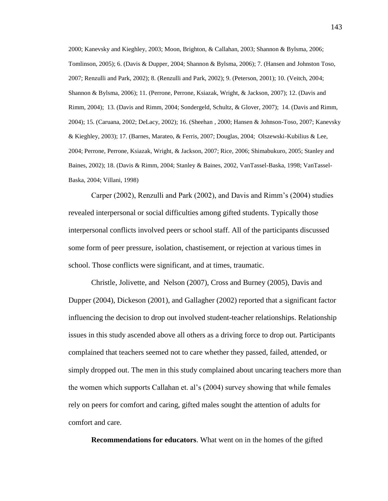2000; Kanevsky and Kieghley, 2003; Moon, Brighton, & Callahan, 2003; Shannon & Bylsma, 2006; Tomlinson, 2005); 6. (Davis & Dupper, 2004; Shannon & Bylsma, 2006); 7. (Hansen and Johnston Toso, 2007; Renzulli and Park, 2002); 8. (Renzulli and Park, 2002); 9. (Peterson, 2001); 10. (Veitch, 2004; Shannon & Bylsma, 2006); 11. (Perrone, Perrone, Ksiazak, Wright, & Jackson, 2007); 12. (Davis and Rimm, 2004); 13. (Davis and Rimm, 2004; Sondergeld, Schultz, & Glover, 2007); 14. (Davis and Rimm, 2004); 15. (Caruana, 2002; DeLacy, 2002); 16. (Sheehan , 2000; Hansen & Johnson-Toso, 2007; Kanevsky & Kieghley, 2003); 17. (Barnes, Marateo, & Ferris, 2007; Douglas, 2004; Olszewski-Kubilius & Lee, 2004; Perrone, Perrone, Ksiazak, Wright, & Jackson, 2007; Rice, 2006; Shimabukuro, 2005; Stanley and Baines, 2002); 18. (Davis & Rimm, 2004; Stanley & Baines, 2002, VanTassel-Baska, 1998; VanTassel-Baska, 2004; Villani, 1998)

Carper (2002), Renzulli and Park (2002), and Davis and Rimm"s (2004) studies revealed interpersonal or social difficulties among gifted students. Typically those interpersonal conflicts involved peers or school staff. All of the participants discussed some form of peer pressure, isolation, chastisement, or rejection at various times in school. Those conflicts were significant, and at times, traumatic.

Christle, Jolivette, and Nelson (2007), Cross and Burney (2005), Davis and Dupper (2004), Dickeson (2001), and Gallagher (2002) reported that a significant factor influencing the decision to drop out involved student-teacher relationships. Relationship issues in this study ascended above all others as a driving force to drop out. Participants complained that teachers seemed not to care whether they passed, failed, attended, or simply dropped out. The men in this study complained about uncaring teachers more than the women which supports Callahan et. al"s (2004) survey showing that while females rely on peers for comfort and caring, gifted males sought the attention of adults for comfort and care.

**Recommendations for educators**. What went on in the homes of the gifted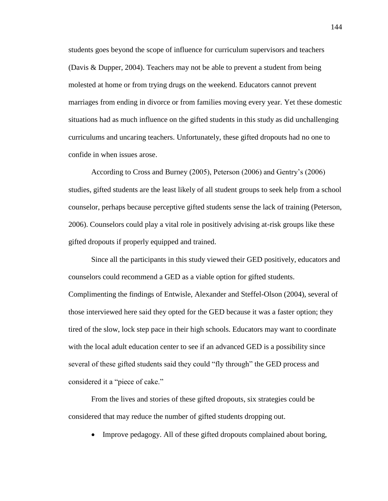students goes beyond the scope of influence for curriculum supervisors and teachers (Davis & Dupper, 2004). Teachers may not be able to prevent a student from being molested at home or from trying drugs on the weekend. Educators cannot prevent marriages from ending in divorce or from families moving every year. Yet these domestic situations had as much influence on the gifted students in this study as did unchallenging curriculums and uncaring teachers. Unfortunately, these gifted dropouts had no one to confide in when issues arose.

According to Cross and Burney (2005), Peterson (2006) and Gentry"s (2006) studies, gifted students are the least likely of all student groups to seek help from a school counselor, perhaps because perceptive gifted students sense the lack of training (Peterson, 2006). Counselors could play a vital role in positively advising at-risk groups like these gifted dropouts if properly equipped and trained.

Since all the participants in this study viewed their GED positively, educators and counselors could recommend a GED as a viable option for gifted students. Complimenting the findings of Entwisle, Alexander and Steffel-Olson (2004), several of those interviewed here said they opted for the GED because it was a faster option; they tired of the slow, lock step pace in their high schools. Educators may want to coordinate with the local adult education center to see if an advanced GED is a possibility since several of these gifted students said they could "fly through" the GED process and considered it a "piece of cake."

From the lives and stories of these gifted dropouts, six strategies could be considered that may reduce the number of gifted students dropping out.

• Improve pedagogy. All of these gifted dropouts complained about boring,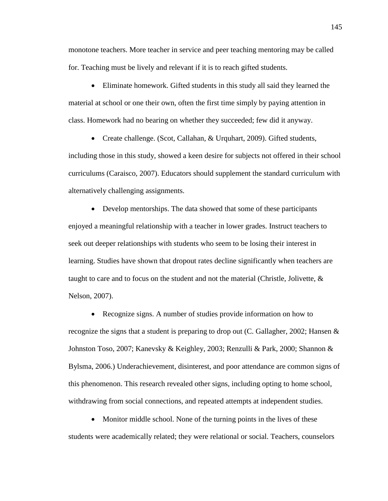monotone teachers. More teacher in service and peer teaching mentoring may be called for. Teaching must be lively and relevant if it is to reach gifted students.

 Eliminate homework. Gifted students in this study all said they learned the material at school or one their own, often the first time simply by paying attention in class. Homework had no bearing on whether they succeeded; few did it anyway.

• Create challenge. (Scot, Callahan, & Urquhart, 2009). Gifted students,

including those in this study, showed a keen desire for subjects not offered in their school curriculums (Caraisco, 2007). Educators should supplement the standard curriculum with alternatively challenging assignments.

 Develop mentorships. The data showed that some of these participants enjoyed a meaningful relationship with a teacher in lower grades. Instruct teachers to seek out deeper relationships with students who seem to be losing their interest in learning. Studies have shown that dropout rates decline significantly when teachers are taught to care and to focus on the student and not the material (Christle, Jolivette,  $\&$ Nelson, 2007).

• Recognize signs. A number of studies provide information on how to recognize the signs that a student is preparing to drop out (C. Gallagher, 2002; Hansen  $\&$ Johnston Toso, 2007; Kanevsky & Keighley, 2003; Renzulli & Park, 2000; Shannon & Bylsma, 2006.) Underachievement, disinterest, and poor attendance are common signs of this phenomenon. This research revealed other signs, including opting to home school, withdrawing from social connections, and repeated attempts at independent studies.

• Monitor middle school. None of the turning points in the lives of these students were academically related; they were relational or social. Teachers, counselors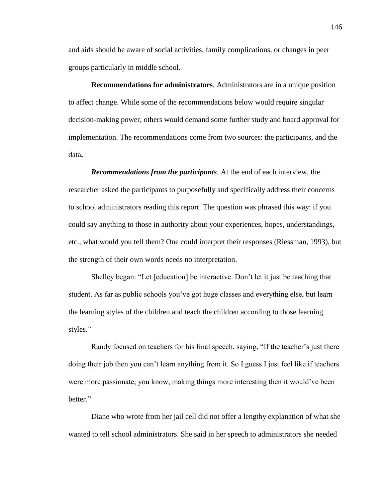and aids should be aware of social activities, family complications, or changes in peer groups particularly in middle school.

**Recommendations for administrators**. Administrators are in a unique position to affect change. While some of the recommendations below would require singular decision-making power, others would demand some further study and board approval for implementation. The recommendations come from two sources: the participants, and the data**.** 

*Recommendations from the participants*. At the end of each interview, the researcher asked the participants to purposefully and specifically address their concerns to school administrators reading this report. The question was phrased this way: if you could say anything to those in authority about your experiences, hopes, understandings, etc., what would you tell them? One could interpret their responses (Riessman, 1993), but the strength of their own words needs no interpretation.

Shelley began: "Let [education] be interactive. Don"t let it just be teaching that student. As far as public schools you"ve got huge classes and everything else, but learn the learning styles of the children and teach the children according to those learning styles."

Randy focused on teachers for his final speech, saying, "If the teacher's just there doing their job then you can"t learn anything from it. So I guess I just feel like if teachers were more passionate, you know, making things more interesting then it would"ve been better."

Diane who wrote from her jail cell did not offer a lengthy explanation of what she wanted to tell school administrators. She said in her speech to administrators she needed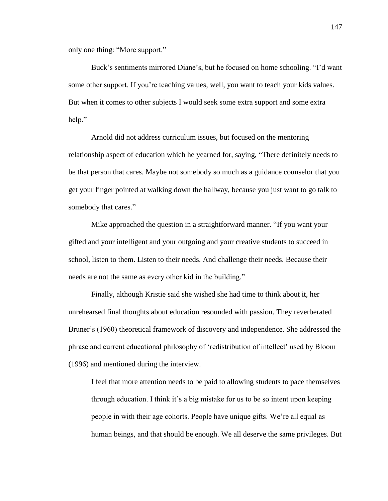only one thing: "More support."

Buck's sentiments mirrored Diane's, but he focused on home schooling. "I'd want some other support. If you're teaching values, well, you want to teach your kids values. But when it comes to other subjects I would seek some extra support and some extra help."

Arnold did not address curriculum issues, but focused on the mentoring relationship aspect of education which he yearned for, saying, "There definitely needs to be that person that cares. Maybe not somebody so much as a guidance counselor that you get your finger pointed at walking down the hallway, because you just want to go talk to somebody that cares."

Mike approached the question in a straightforward manner. "If you want your gifted and your intelligent and your outgoing and your creative students to succeed in school, listen to them. Listen to their needs. And challenge their needs. Because their needs are not the same as every other kid in the building."

Finally, although Kristie said she wished she had time to think about it, her unrehearsed final thoughts about education resounded with passion. They reverberated Bruner's (1960) theoretical framework of discovery and independence. She addressed the phrase and current educational philosophy of "redistribution of intellect" used by Bloom (1996) and mentioned during the interview.

I feel that more attention needs to be paid to allowing students to pace themselves through education. I think it"s a big mistake for us to be so intent upon keeping people in with their age cohorts. People have unique gifts. We"re all equal as human beings, and that should be enough. We all deserve the same privileges. But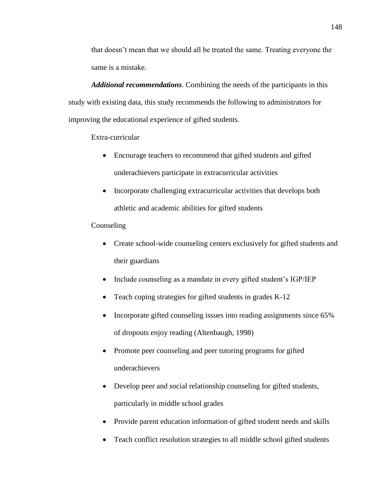that doesn"t mean that we should all be treated the same. Treating everyone the same is a mistake.

*Additional recommendations*. Combining the needs of the participants in this study with existing data, this study recommends the following to administrators for improving the educational experience of gifted students.

Extra-curricular

- Encourage teachers to recommend that gifted students and gifted underachievers participate in extracurricular activities
- Incorporate challenging extracurricular activities that develops both athletic and academic abilities for gifted students

## **Counseling**

- Create school-wide counseling centers exclusively for gifted students and their guardians
- Include counseling as a mandate in every gifted student"s IGP/IEP
- Teach coping strategies for gifted students in grades K-12
- Incorporate gifted counseling issues into reading assignments since 65% of dropouts enjoy reading (Altenbaugh, 1998)
- Promote peer counseling and peer tutoring programs for gifted underachievers
- Develop peer and social relationship counseling for gifted students, particularly in middle school grades
- Provide parent education information of gifted student needs and skills
- Teach conflict resolution strategies to all middle school gifted students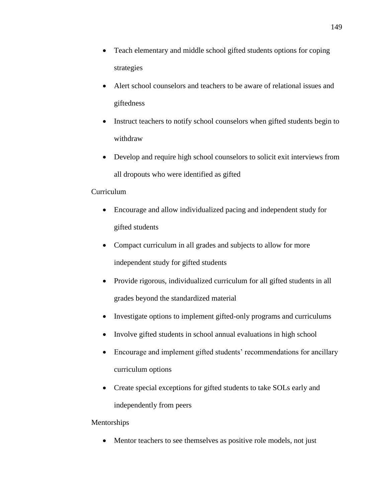- Teach elementary and middle school gifted students options for coping strategies
- Alert school counselors and teachers to be aware of relational issues and giftedness
- Instruct teachers to notify school counselors when gifted students begin to withdraw
- Develop and require high school counselors to solicit exit interviews from all dropouts who were identified as gifted

# Curriculum

- Encourage and allow individualized pacing and independent study for gifted students
- Compact curriculum in all grades and subjects to allow for more independent study for gifted students
- Provide rigorous, individualized curriculum for all gifted students in all grades beyond the standardized material
- Investigate options to implement gifted-only programs and curriculums
- Involve gifted students in school annual evaluations in high school
- Encourage and implement gifted students' recommendations for ancillary curriculum options
- Create special exceptions for gifted students to take SOLs early and independently from peers

## Mentorships

• Mentor teachers to see themselves as positive role models, not just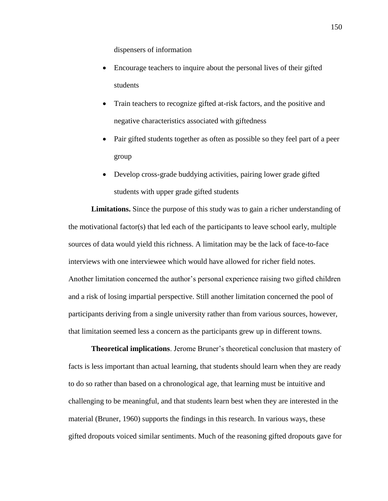dispensers of information

- Encourage teachers to inquire about the personal lives of their gifted students
- Train teachers to recognize gifted at-risk factors, and the positive and negative characteristics associated with giftedness
- Pair gifted students together as often as possible so they feel part of a peer group
- Develop cross-grade buddying activities, pairing lower grade gifted students with upper grade gifted students

**Limitations.** Since the purpose of this study was to gain a richer understanding of the motivational factor(s) that led each of the participants to leave school early, multiple sources of data would yield this richness. A limitation may be the lack of face-to-face interviews with one interviewee which would have allowed for richer field notes. Another limitation concerned the author"s personal experience raising two gifted children and a risk of losing impartial perspective. Still another limitation concerned the pool of participants deriving from a single university rather than from various sources, however, that limitation seemed less a concern as the participants grew up in different towns.

**Theoretical implications**. Jerome Bruner"s theoretical conclusion that mastery of facts is less important than actual learning, that students should learn when they are ready to do so rather than based on a chronological age, that learning must be intuitive and challenging to be meaningful, and that students learn best when they are interested in the material (Bruner, 1960) supports the findings in this research. In various ways, these gifted dropouts voiced similar sentiments. Much of the reasoning gifted dropouts gave for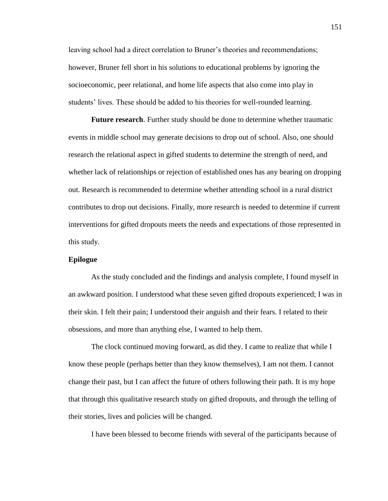leaving school had a direct correlation to Bruner"s theories and recommendations; however, Bruner fell short in his solutions to educational problems by ignoring the socioeconomic, peer relational, and home life aspects that also come into play in students' lives. These should be added to his theories for well-rounded learning.

**Future research**. Further study should be done to determine whether traumatic events in middle school may generate decisions to drop out of school. Also, one should research the relational aspect in gifted students to determine the strength of need, and whether lack of relationships or rejection of established ones has any bearing on dropping out. Research is recommended to determine whether attending school in a rural district contributes to drop out decisions. Finally, more research is needed to determine if current interventions for gifted dropouts meets the needs and expectations of those represented in this study.

## **Epilogue**

As the study concluded and the findings and analysis complete, I found myself in an awkward position. I understood what these seven gifted dropouts experienced; I was in their skin. I felt their pain; I understood their anguish and their fears. I related to their obsessions, and more than anything else, I wanted to help them.

The clock continued moving forward, as did they. I came to realize that while I know these people (perhaps better than they know themselves), I am not them. I cannot change their past, but I can affect the future of others following their path. It is my hope that through this qualitative research study on gifted dropouts, and through the telling of their stories, lives and policies will be changed.

I have been blessed to become friends with several of the participants because of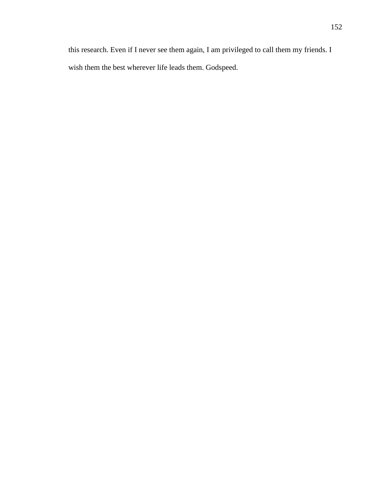this research. Even if I never see them again, I am privileged to call them my friends. I wish them the best wherever life leads them. Godspeed.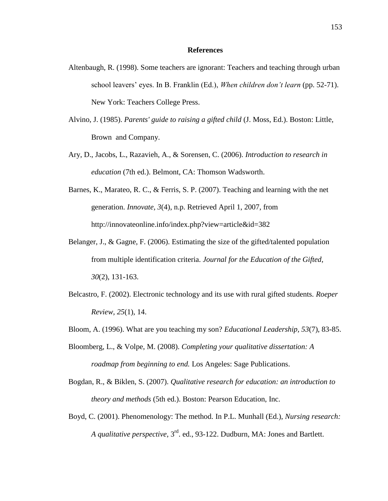### **References**

- Altenbaugh, R. (1998). Some teachers are ignorant: Teachers and teaching through urban school leavers" eyes. In B. Franklin (Ed.), *When children don't learn* (pp. 52-71). New York: Teachers College Press.
- Alvino, J. (1985). *Parents' guide to raising a gifted child* (J. Moss, Ed.). Boston: Little, Brown and Company.
- Ary, D., Jacobs, L., Razavieh, A., & Sorensen, C. (2006). *Introduction to research in education* (7th ed.). Belmont, CA: Thomson Wadsworth.
- Barnes, K., Marateo, R. C., & Ferris, S. P. (2007). Teaching and learning with the net generation. *Innovate, 3*(4), n.p. Retrieved April 1, 2007, from http://innovateonline.info/index.php?view=article&id=382
- Belanger, J., & Gagne, F. (2006). Estimating the size of the gifted/talented population from multiple identification criteria. *Journal for the Education of the Gifted, 30*(2), 131-163.
- Belcastro, F. (2002). Electronic technology and its use with rural gifted students. *Roeper Review, 25*(1), 14.
- Bloom, A. (1996). What are you teaching my son? *Educational Leadership, 53*(7), 83-85.
- Bloomberg, L., & Volpe, M. (2008). *Completing your qualitative dissertation: A roadmap from beginning to end.* Los Angeles: Sage Publications.
- Bogdan, R., & Biklen, S. (2007). *Qualitative research for education: an introduction to theory and methods* (5th ed.). Boston: Pearson Education, Inc.
- Boyd, C. (2001). Phenomenology: The method. In P.L. Munhall (Ed.), *Nursing research: A qualitative perspective*, 3rd. ed., 93-122. Dudburn, MA: Jones and Bartlett.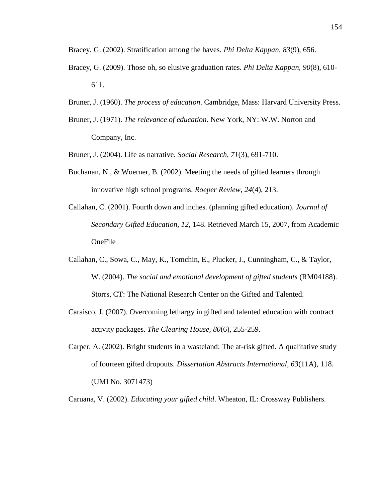- Bracey, G. (2002). Stratification among the haves. *Phi Delta Kappan, 83*(9), 656.
- Bracey, G. (2009). Those oh, so elusive graduation rates. *Phi Delta Kappan, 90*(8), 610- 611.
- Bruner, J. (1960). *The process of education*. Cambridge, Mass: Harvard University Press.
- Bruner, J. (1971). *The relevance of education*. New York, NY: W.W. Norton and Company, Inc.
- Bruner, J. (2004). Life as narrative. *Social Research, 71*(3), 691-710.
- Buchanan, N., & Woerner, B. (2002). Meeting the needs of gifted learners through innovative high school programs. *Roeper Review, 24*(4), 213.
- Callahan, C. (2001). Fourth down and inches. (planning gifted education). *Journal of Secondary Gifted Education, 12*, 148. Retrieved March 15, 2007, from Academic OneFile
- Callahan, C., Sowa, C., May, K., Tomchin, E., Plucker, J., Cunningham, C., & Taylor, W. (2004). *The social and emotional development of gifted students* (RM04188). Storrs, CT: The National Research Center on the Gifted and Talented.
- Caraisco, J. (2007). Overcoming lethargy in gifted and talented education with contract activity packages. *The Clearing House, 80*(6), 255-259.
- Carper, A. (2002). Bright students in a wasteland: The at-risk gifted. A qualitative study of fourteen gifted dropouts. *Dissertation Abstracts International, 63*(11A), 118. (UMI No. 3071473)

Caruana, V. (2002). *Educating your gifted child*. Wheaton, IL: Crossway Publishers.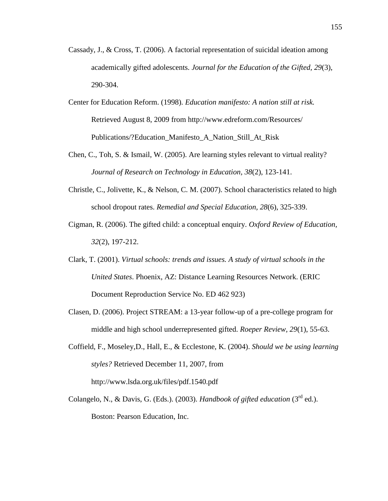- Cassady, J., & Cross, T. (2006). A factorial representation of suicidal ideation among academically gifted adolescents. *Journal for the Education of the Gifted, 29*(3), 290-304.
- Center for Education Reform. (1998). *Education manifesto: A nation still at risk.*  Retrieved August 8, 2009 from [http://www.edreform.com/Resources/](http://www.edreform.com/Resources/%20Publications/)  [Publications/?](http://www.edreform.com/Resources/%20Publications/)Education\_Manifesto\_A\_Nation\_Still\_At\_Risk
- Chen, C., Toh, S. & Ismail, W. (2005). Are learning styles relevant to virtual reality? *Journal of Research on Technology in Education, 38*(2), 123-141.
- Christle, C., Jolivette, K., & Nelson, C. M. (2007). School characteristics related to high school dropout rates. *Remedial and Special Education, 28*(6), 325-339.
- Cigman, R. (2006). The gifted child: a conceptual enquiry. *Oxford Review of Education, 32*(2), 197-212.
- Clark, T. (2001). *Virtual schools: trends and issues. A study of virtual schools in the United States*. Phoenix, AZ: Distance Learning Resources Network. (ERIC Document Reproduction Service No. ED 462 923)
- Clasen, D. (2006). Project STREAM: a 13-year follow-up of a pre-college program for middle and high school underrepresented gifted. *Roeper Review, 29*(1), 55-63.
- Coffield, F., Moseley,D., Hall, E., & Ecclestone, K. (2004). *Should we be using learning styles?* Retrieved December 11, 2007, from http://www.lsda.org.uk/files/pdf.1540.pdf
- Colangelo, N., & Davis, G. (Eds.). (2003). *Handbook of gifted education* ( $3<sup>rd</sup>$  ed.). Boston: Pearson Education, Inc.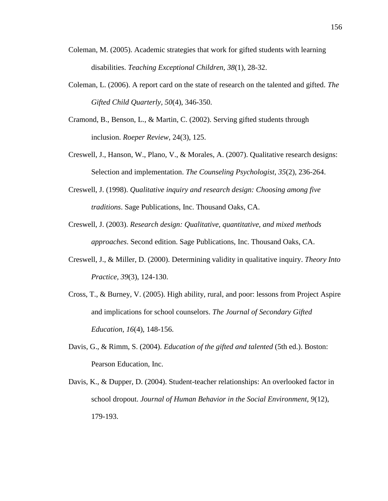- Coleman, M. (2005). Academic strategies that work for gifted students with learning disabilities. *Teaching Exceptional Children, 38*(1), 28-32.
- Coleman, L. (2006). A report card on the state of research on the talented and gifted. *The Gifted Child Quarterly, 50*(4), 346-350.
- Cramond, B., Benson, L., & Martin, C. (2002). Serving gifted students through inclusion. *Roeper Review*, 24(3), 125.
- Creswell, J., Hanson, W., Plano, V., & Morales, A. (2007). Qualitative research designs: Selection and implementation. *The Counseling Psychologist, 35*(2), 236-264.
- Creswell, J. (1998). *Qualitative inquiry and research design: Choosing among five traditions*. Sage Publications, Inc. Thousand Oaks, CA.
- Creswell, J. (2003). *Research design: Qualitative, quantitative, and mixed methods approaches*. Second edition. Sage Publications, Inc. Thousand Oaks, CA.
- Creswell, J., & Miller, D. (2000). Determining validity in qualitative inquiry. *Theory Into Practice, 39*(3), 124-130.
- Cross, T., & Burney, V. (2005). High ability, rural, and poor: lessons from Project Aspire and implications for school counselors. *The Journal of Secondary Gifted Education, 16*(4), 148-156.
- Davis, G., & Rimm, S. (2004). *Education of the gifted and talented* (5th ed.). Boston: Pearson Education, Inc.
- Davis, K., & Dupper, D. (2004). Student-teacher relationships: An overlooked factor in school dropout. *Journal of Human Behavior in the Social Environment, 9*(12), 179-193.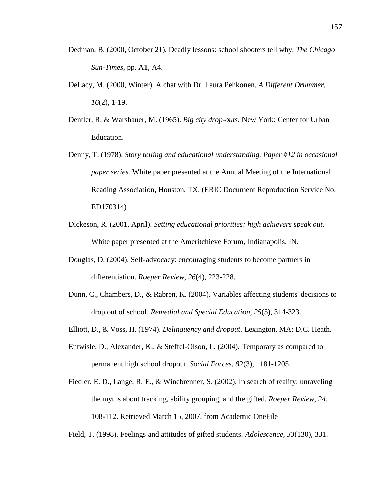- Dedman, B. (2000, October 21). Deadly lessons: school shooters tell why. *The Chicago Sun-Times*, pp. A1, A4.
- DeLacy, M. (2000, Winter). A chat with Dr. Laura Pehkonen. *A Different Drummer, 16*(2), 1-19.
- Dentler, R. & Warshauer, M. (1965). *Big city drop-outs*. New York: Center for Urban Education.
- Denny, T. (1978). *Story telling and educational understanding. Paper #12 in occasional paper series.* White paper presented at the Annual Meeting of the International Reading Association, Houston, TX. (ERIC Document Reproduction Service No. ED170314)
- Dickeson, R. (2001, April). *Setting educational priorities: high achievers speak out*. White paper presented at the Ameritchieve Forum, Indianapolis, IN.
- Douglas, D. (2004). Self-advocacy: encouraging students to become partners in differentiation. *Roeper Review, 26*(4), 223-228.
- Dunn, C., Chambers, D., & Rabren, K. (2004). Variables affecting students' decisions to drop out of school. *Remedial and Special Education, 25*(5), 314-323.
- Elliott, D., & Voss, H. (1974). *Delinquency and dropout*. Lexington, MA: D.C. Heath.
- Entwisle, D., Alexander, K., & Steffel-Olson, L. (2004). Temporary as compared to permanent high school dropout. *Social Forces, 82*(3), 1181-1205.
- Fiedler, E. D., Lange, R. E., & Winebrenner, S. (2002). In search of reality: unraveling the myths about tracking, ability grouping, and the gifted. *Roeper Review, 24*, 108-112. Retrieved March 15, 2007, from Academic OneFile
- Field, T. (1998). Feelings and attitudes of gifted students. *Adolescence, 33*(130), 331.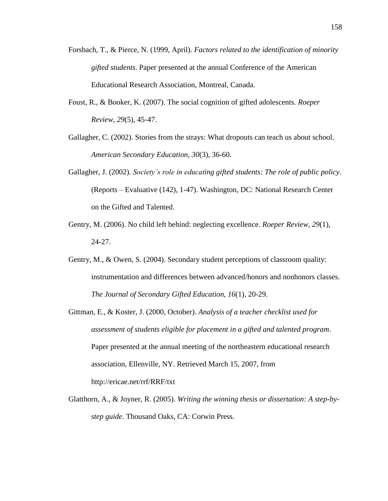- Forsbach, T., & Pierce, N. (1999, April). *Factors related to the identification of minority gifted students*. Paper presented at the annual Conference of the American Educational Research Association, Montreal, Canada.
- Foust, R., & Booker, K. (2007). The social cognition of gifted adolescents. *Roeper Review, 29*(5), 45-47.
- Gallagher, C. (2002). Stories from the strays: What dropouts can teach us about school. *American Secondary Education, 30*(3), 36-60.
- Gallagher, J. (2002). *Society's role in educating gifted students: The role of public policy*. (Reports – Evaluative (142), 1-47). Washington, DC: National Research Center on the Gifted and Talented.
- Gentry, M. (2006). No child left behind: neglecting excellence. *Roeper Review, 29*(1), 24-27.
- Gentry, M., & Owen, S. (2004). Secondary student perceptions of classroom quality: instrumentation and differences between advanced/honors and nonhonors classes. *The Journal of Secondary Gifted Education, 16*(1), 20-29.
- Gittman, E., & Koster, J. (2000, October). *Analysis of a teacher checklist used for assessment of students eligible for placement in a gifted and talented program*. Paper presented at the annual meeting of the northeastern educational research association, Ellenville, NY. Retrieved March 15, 2007, from http://ericae.net/rrf/RRF/txt
- Glatthorn, A., & Joyner, R. (2005). *Writing the winning thesis or dissertation: A step-bystep guide*. Thousand Oaks, CA: Corwin Press.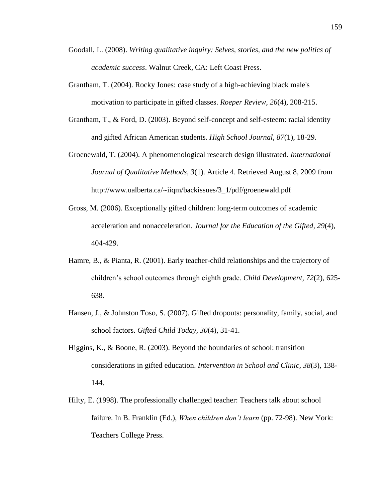- Goodall, L. (2008). *Writing qualitative inquiry: Selves, stories, and the new politics of academic success*. Walnut Creek, CA: Left Coast Press.
- Grantham, T. (2004). Rocky Jones: case study of a high-achieving black male's motivation to participate in gifted classes. *Roeper Review, 26*(4), 208-215.
- Grantham, T., & Ford, D. (2003). Beyond self-concept and self-esteem: racial identity and gifted African American students. *High School Journal, 87*(1), 18-29.
- Groenewald, T. (2004). A phenomenological research design illustrated. *International Journal of Qualitative Methods, 3*(1). Article 4. Retrieved August 8, 2009 from http://www.ualberta.ca/~iiqm/backissues/3\_1/pdf/groenewald.pdf
- Gross, M. (2006). Exceptionally gifted children: long-term outcomes of academic acceleration and nonacceleration. *Journal for the Education of the Gifted, 29*(4), 404-429.
- Hamre, B., & Pianta, R. (2001). Early teacher-child relationships and the trajectory of children"s school outcomes through eighth grade. *Child Development, 72*(2), 625- 638.
- Hansen, J., & Johnston Toso, S. (2007). Gifted dropouts: personality, family, social, and school factors. *Gifted Child Today, 30*(4), 31-41.
- Higgins, K., & Boone, R. (2003). Beyond the boundaries of school: transition considerations in gifted education. *Intervention in School and Clinic, 38*(3), 138- 144.
- Hilty, E. (1998). The professionally challenged teacher: Teachers talk about school failure. In B. Franklin (Ed.), *When children don't learn* (pp. 72-98). New York: Teachers College Press.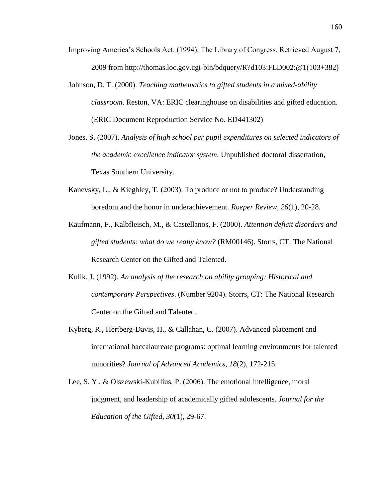- Improving America"s Schools Act. (1994). The Library of Congress. Retrieved August 7, 2009 from http://thomas.loc.gov.cgi-bin/bdquery/R?d103:FLD002:@1(103+382)
- Johnson, D. T. (2000). *Teaching mathematics to gifted students in a mixed-ability classroom*. Reston, VA: ERIC clearinghouse on disabilities and gifted education. (ERIC Document Reproduction Service No. ED441302)
- Jones, S. (2007). *Analysis of high school per pupil expenditures on selected indicators of the academic excellence indicator system*. Unpublished doctoral dissertation, Texas Southern University.
- Kanevsky, L., & Kieghley, T. (2003). To produce or not to produce? Understanding boredom and the honor in underachievement. *Roeper Review, 26*(1), 20-28.
- Kaufmann, F., Kalbfleisch, M., & Castellanos, F. (2000). *Attention deficit disorders and gifted students: what do we really know?* (RM00146). Storrs, CT: The National Research Center on the Gifted and Talented.
- Kulik, J. (1992). *An analysis of the research on ability grouping: Historical and contemporary Perspectives*. (Number 9204). Storrs, CT: The National Research Center on the Gifted and Talented.
- Kyberg, R., Hertberg-Davis, H., & Callahan, C. (2007). Advanced placement and international baccalaureate programs: optimal learning environments for talented minorities? *Journal of Advanced Academics, 18*(2), 172-215.
- Lee, S. Y., & Olszewski-Kubilius, P. (2006). The emotional intelligence, moral judgment, and leadership of academically gifted adolescents. *Journal for the Education of the Gifted, 30*(1), 29-67.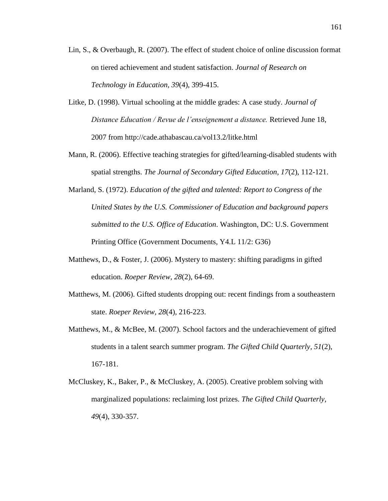- Lin, S., & Overbaugh, R. (2007). The effect of student choice of online discussion format on tiered achievement and student satisfaction. *Journal of Research on Technology in Education, 39*(4), 399-415.
- Litke, D. (1998). Virtual schooling at the middle grades: A case study. *Journal of Distance Education / Revue de l'enseignement a distance.* Retrieved June 18, 2007 from http://cade.athabascau.ca/vol13.2/litke.html
- Mann, R. (2006). Effective teaching strategies for gifted/learning-disabled students with spatial strengths. *The Journal of Secondary Gifted Education, 17*(2), 112-121.
- Marland, S. (1972). *Education of the gifted and talented: Report to Congress of the United States by the U.S. Commissioner of Education and background papers submitted to the U.S. Office of Education*. Washington, DC: U.S. Government Printing Office (Government Documents, Y4.L 11/2: G36)
- Matthews, D., & Foster, J. (2006). Mystery to mastery: shifting paradigms in gifted education. *Roeper Review, 28*(2), 64-69.
- Matthews, M. (2006). Gifted students dropping out: recent findings from a southeastern state. *Roeper Review, 28*(4), 216-223.
- Matthews, M., & McBee, M. (2007). School factors and the underachievement of gifted students in a talent search summer program. *The Gifted Child Quarterly, 51*(2), 167-181.
- McCluskey, K., Baker, P., & McCluskey, A. (2005). Creative problem solving with marginalized populations: reclaiming lost prizes. *The Gifted Child Quarterly, 49*(4), 330-357.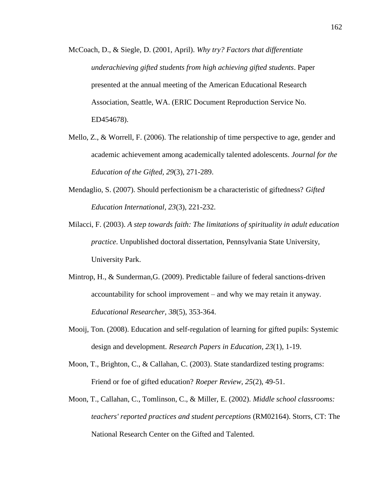- McCoach, D., & Siegle, D. (2001, April). *Why try? Factors that differentiate underachieving gifted students from high achieving gifted students*. Paper presented at the annual meeting of the American Educational Research Association, Seattle, WA. (ERIC Document Reproduction Service No. ED454678).
- Mello, Z., & Worrell, F. (2006). The relationship of time perspective to age, gender and academic achievement among academically talented adolescents. *Journal for the Education of the Gifted, 29*(3), 271-289.
- Mendaglio, S. (2007). Should perfectionism be a characteristic of giftedness? *Gifted Education International, 23*(3), 221-232.
- Milacci, F. (2003). *A step towards faith: The limitations of spirituality in adult education practice*. Unpublished doctoral dissertation, Pennsylvania State University, University Park.
- Mintrop, H., & Sunderman,G. (2009). Predictable failure of federal sanctions-driven accountability for school improvement – and why we may retain it anyway. *Educational Researcher, 38*(5), 353-364.
- Mooij, Ton. (2008). Education and self-regulation of learning for gifted pupils: Systemic design and development. *Research Papers in Education, 23*(1), 1-19.
- Moon, T., Brighton, C., & Callahan, C. (2003). State standardized testing programs: Friend or foe of gifted education? *Roeper Review, 25*(2), 49-51.
- Moon, T., Callahan, C., Tomlinson, C., & Miller, E. (2002). *Middle school classrooms: teachers' reported practices and student perceptions* (RM02164). Storrs, CT: The National Research Center on the Gifted and Talented.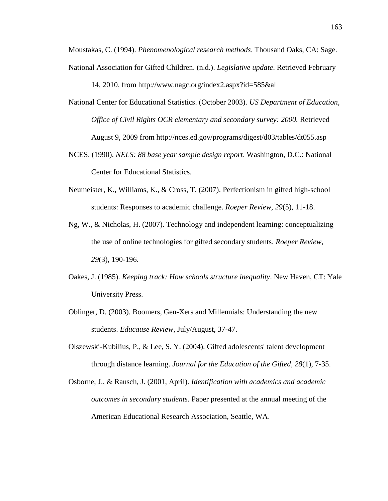Moustakas, C. (1994). *Phenomenological research methods*. Thousand Oaks, CA: Sage. National Association for Gifted Children. (n.d.). *Legislative update*. Retrieved February

14, 2010, from http://www.nagc.org/index2.aspx?id=585&al

- National Center for Educational Statistics. (October 2003). *US Department of Education, Office of Civil Rights OCR elementary and secondary survey: 2000.* Retrieved August 9, 2009 from http://nces.ed.gov/programs/digest/d03/tables/dt055.asp
- NCES. (1990). *NELS: 88 base year sample design report*. Washington, D.C.: National Center for Educational Statistics.
- Neumeister, K., Williams, K., & Cross, T. (2007). Perfectionism in gifted high-school students: Responses to academic challenge. *Roeper Review, 29*(5), 11-18.
- Ng, W., & Nicholas, H. (2007). Technology and independent learning: conceptualizing the use of online technologies for gifted secondary students. *Roeper Review, 29*(3), 190-196.
- Oakes, J. (1985). *Keeping track: How schools structure inequality*. New Haven, CT: Yale University Press.
- Oblinger, D. (2003). Boomers, Gen-Xers and Millennials: Understanding the new students. *Educause Review*, July/August, 37-47.
- Olszewski-Kubilius, P., & Lee, S. Y. (2004). Gifted adolescents' talent development through distance learning. *Journal for the Education of the Gifted, 28*(1), 7-35.
- Osborne, J., & Rausch, J. (2001, April). *Identification with academics and academic outcomes in secondary students*. Paper presented at the annual meeting of the American Educational Research Association, Seattle, WA.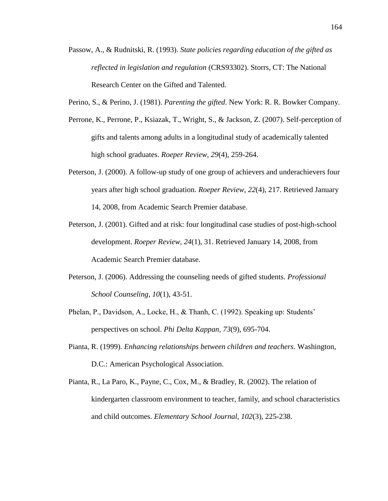- Passow, A., & Rudnitski, R. (1993). *State policies regarding education of the gifted as reflected in legislation and regulation* (CRS93302). Storrs, CT: The National Research Center on the Gifted and Talented.
- Perino, S., & Perino, J. (1981). *Parenting the gifted*. New York: R. R. Bowker Company.
- Perrone, K., Perrone, P., Ksiazak, T., Wright, S., & Jackson, Z. (2007). Self-perception of gifts and talents among adults in a longitudinal study of academically talented high school graduates. *Roeper Review, 29*(4), 259-264.
- Peterson, J. (2000). A follow-up study of one group of achievers and underachievers four years after high school graduation. *Roeper Review, 22*(4), 217. Retrieved January 14, 2008, from Academic Search Premier database.
- Peterson, J. (2001). Gifted and at risk: four longitudinal case studies of post-high-school development. *Roeper Review, 24*(1), 31. Retrieved January 14, 2008, from Academic Search Premier database.
- Peterson, J. (2006). Addressing the counseling needs of gifted students. *Professional School Counseling, 10*(1), 43-51.
- Phelan, P., Davidson, A., Locke, H., & Thanh, C. (1992). Speaking up: Students' perspectives on school. *Phi Delta Kappan, 73*(9), 695-704.
- Pianta, R. (1999). *Enhancing relationships between children and teachers*. Washington, D.C.: American Psychological Association.
- Pianta, R., La Paro, K., Payne, C., Cox, M., & Bradley, R. (2002). The relation of kindergarten classroom environment to teacher, family, and school characteristics and child outcomes. *Elementary School Journal, 102*(3), 225-238.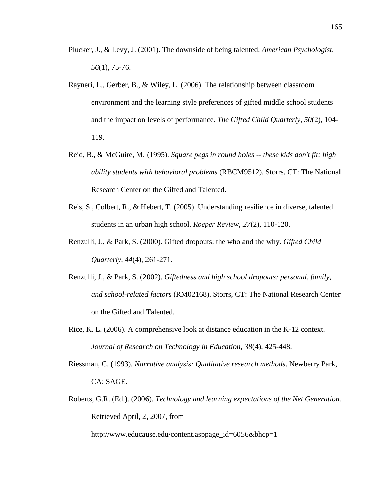- Plucker, J., & Levy, J. (2001). The downside of being talented. *American Psychologist, 56*(1), 75-76.
- Rayneri, L., Gerber, B., & Wiley, L. (2006). The relationship between classroom environment and the learning style preferences of gifted middle school students and the impact on levels of performance. *The Gifted Child Quarterly, 50*(2), 104- 119.
- Reid, B., & McGuire, M. (1995). *Square pegs in round holes -- these kids don't fit: high ability students with behavioral problems* (RBCM9512). Storrs, CT: The National Research Center on the Gifted and Talented.
- Reis, S., Colbert, R., & Hebert, T. (2005). Understanding resilience in diverse, talented students in an urban high school. *Roeper Review, 27*(2), 110-120.
- Renzulli, J., & Park, S. (2000). Gifted dropouts: the who and the why. *Gifted Child Quarterly, 44*(4), 261-271.
- Renzulli, J., & Park, S. (2002). *Giftedness and high school dropouts: personal, family, and school-related factors* (RM02168). Storrs, CT: The National Research Center on the Gifted and Talented.
- Rice, K. L. (2006). A comprehensive look at distance education in the K-12 context. *Journal of Research on Technology in Education, 38*(4), 425-448.
- Riessman, C. (1993). *Narrative analysis: Qualitative research methods*. Newberry Park, CA: SAGE.
- Roberts, G.R. (Ed.). (2006). *Technology and learning expectations of the Net Generation*. Retrieved April, 2, 2007, from

http://www.educause.edu/content.asppage\_id=6056&bhcp=1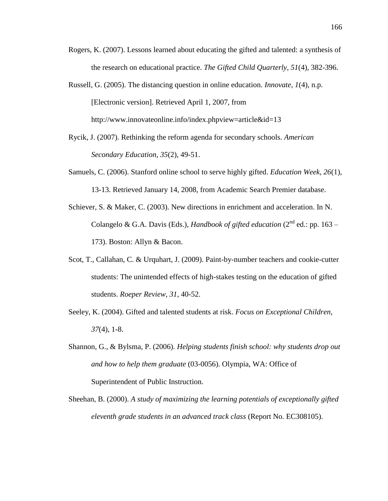- Rogers, K. (2007). Lessons learned about educating the gifted and talented: a synthesis of the research on educational practice. *The Gifted Child Quarterly, 51*(4), 382-396.
- Russell, G. (2005). The distancing question in online education. *Innovate, 1*(4), n.p. [Electronic version]. Retrieved April 1, 2007, from http://www.innovateonline.info/index.phpview=article&id=13
- Rycik, J. (2007). Rethinking the reform agenda for secondary schools. *American Secondary Education, 35*(2), 49-51.
- Samuels, C. (2006). Stanford online school to serve highly gifted. *Education Week, 26*(1), 13-13. Retrieved January 14, 2008, from Academic Search Premier database.
- Schiever, S. & Maker, C. (2003). New directions in enrichment and acceleration. In N. Colangelo & G.A. Davis (Eds.), *Handbook of gifted education* ( $2^{nd}$  ed.: pp. 163 – 173). Boston: Allyn & Bacon.
- Scot, T., Callahan, C. & Urquhart, J. (2009). Paint-by-number teachers and cookie-cutter students: The unintended effects of high-stakes testing on the education of gifted students. *Roeper Review, 31*, 40-52.
- Seeley, K. (2004). Gifted and talented students at risk. *Focus on Exceptional Children, 37*(4), 1-8.
- Shannon, G., & Bylsma, P. (2006). *Helping students finish school: why students drop out and how to help them graduate* (03-0056). Olympia, WA: Office of Superintendent of Public Instruction.
- Sheehan, B. (2000). *A study of maximizing the learning potentials of exceptionally gifted eleventh grade students in an advanced track class* (Report No. EC308105).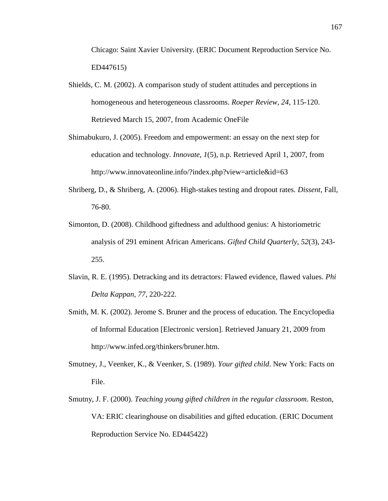Chicago: Saint Xavier University. (ERIC Document Reproduction Service No. ED447615)

- Shields, C. M. (2002). A comparison study of student attitudes and perceptions in homogeneous and heterogeneous classrooms. *Roeper Review, 24*, 115-120. Retrieved March 15, 2007, from Academic OneFile
- Shimabukuro, J. (2005). Freedom and empowerment: an essay on the next step for education and technology. *Innovate, 1*(5), n.p. Retrieved April 1, 2007, from http://www.innovateonline.info/?index.php?view=article&id=63
- Shriberg, D., & Shriberg, A. (2006). High-stakes testing and dropout rates. *Dissent*, Fall, 76-80.
- Simonton, D. (2008). Childhood giftedness and adulthood genius: A historiometric analysis of 291 eminent African Americans. *Gifted Child Quarterly, 52*(3), 243- 255.
- Slavin, R. E. (1995). Detracking and its detractors: Flawed evidence, flawed values. *Phi Delta Kappan, 77*, 220-222.
- Smith, M. K. (2002). Jerome S. Bruner and the process of education. The Encyclopedia of Informal Education [Electronic version]. Retrieved January 21, 2009 from http://www.infed.org/thinkers/bruner.htm.
- Smutney, J., Veenker, K., & Veenker, S. (1989). *Your gifted child*. New York: Facts on File.
- Smutny, J. F. (2000). *Teaching young gifted children in the regular classroom*. Reston, VA: ERIC clearinghouse on disabilities and gifted education. (ERIC Document Reproduction Service No. ED445422)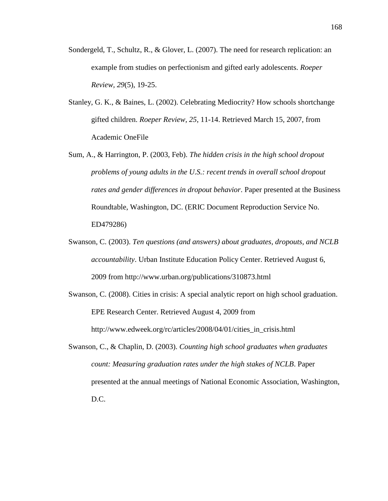- Sondergeld, T., Schultz, R., & Glover, L. (2007). The need for research replication: an example from studies on perfectionism and gifted early adolescents. *Roeper Review, 29*(5), 19-25.
- Stanley, G. K., & Baines, L. (2002). Celebrating Mediocrity? How schools shortchange gifted children. *Roeper Review, 25*, 11-14. Retrieved March 15, 2007, from Academic OneFile
- Sum, A., & Harrington, P. (2003, Feb). *The hidden crisis in the high school dropout problems of young adults in the U.S.: recent trends in overall school dropout rates and gender differences in dropout behavior*. Paper presented at the Business Roundtable, Washington, DC. (ERIC Document Reproduction Service No. ED479286)
- Swanson, C. (2003). *Ten questions (and answers) about graduates, dropouts, and NCLB accountability*. Urban Institute Education Policy Center. Retrieved August 6, 2009 from http://www.urban.org/publications/310873.html
- Swanson, C. (2008). Cities in crisis: A special analytic report on high school graduation. EPE Research Center. Retrieved August 4, 2009 from http://www.edweek.org/rc/articles/2008/04/01/cities\_in\_crisis.html
- Swanson, C., & Chaplin, D. (2003). *Counting high school graduates when graduates count: Measuring graduation rates under the high stakes of NCLB*. Paper presented at the annual meetings of National Economic Association, Washington, D.C.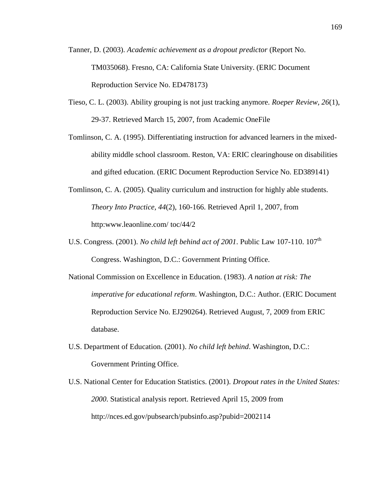- Tanner, D. (2003). *Academic achievement as a dropout predictor* (Report No. TM035068). Fresno, CA: California State University. (ERIC Document Reproduction Service No. ED478173)
- Tieso, C. L. (2003). Ability grouping is not just tracking anymore. *Roeper Review, 26*(1), 29-37. Retrieved March 15, 2007, from Academic OneFile
- Tomlinson, C. A. (1995). Differentiating instruction for advanced learners in the mixedability middle school classroom. Reston, VA: ERIC clearinghouse on disabilities and gifted education. (ERIC Document Reproduction Service No. ED389141)
- Tomlinson, C. A. (2005). Quality curriculum and instruction for highly able students. *Theory Into Practice, 44*(2), 160-166. Retrieved April 1, 2007, from http:www.leaonline.com/ toc/44/2
- U.S. Congress. (2001). *No child left behind act of 2001*. Public Law 107-110. 107<sup>th</sup> Congress. Washington, D.C.: Government Printing Office.
- National Commission on Excellence in Education. (1983). *A nation at risk: The imperative for educational reform*. Washington, D.C.: Author. (ERIC Document Reproduction Service No. EJ290264). Retrieved August, 7, 2009 from ERIC database.
- U.S. Department of Education. (2001). *No child left behind*. Washington, D.C.: Government Printing Office.
- U.S. National Center for Education Statistics. (2001). *Dropout rates in the United States: 2000*. Statistical analysis report. Retrieved April 15, 2009 from http://nces.ed.gov/pubsearch/pubsinfo.asp?pubid=2002114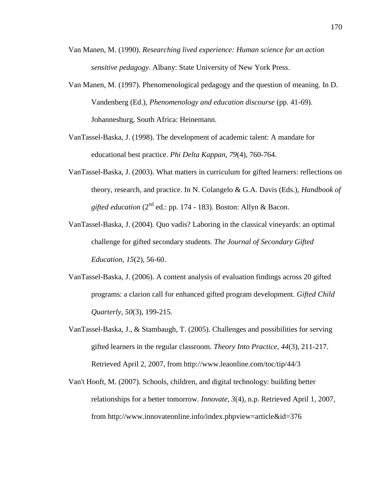- Van Manen, M. (1990). *Researching lived experience: Human science for an action sensitive pedagogy*. Albany: State University of New York Press.
- Van Manen, M. (1997). Phenomenological pedagogy and the question of meaning. In D. Vandenberg (Ed.), *Phenomenology and education discourse* (pp. 41-69). Johannesburg, South Africa: Heinemann.
- VanTassel-Baska, J. (1998). The development of academic talent: A mandate for educational best practice. *Phi Delta Kappan, 79*(4), 760-764.
- VanTassel-Baska, J. (2003). What matters in curriculum for gifted learners: reflections on theory, research, and practice. In N. Colangelo & G.A. Davis (Eds.), *Handbook of gifted education*  $(2^{nd}$  ed.: pp. 174 - 183). Boston: Allyn & Bacon.
- VanTassel-Baska, J. (2004). Quo vadis? Laboring in the classical vineyards: an optimal challenge for gifted secondary students. *The Journal of Secondary Gifted Education, 15*(2), 56-60.
- VanTassel-Baska, J. (2006). A content analysis of evaluation findings across 20 gifted programs: a clarion call for enhanced gifted program development. *Gifted Child Quarterly, 50*(3), 199-215.
- VanTassel-Baska, J., & Stambaugh, T. (2005). Challenges and possibilities for serving gifted learners in the regular classroom. *Theory Into Practice, 44*(3), 211-217. Retrieved April 2, 2007, from http://www.leaonline.com/toc/tip/44/3
- Van't Hooft, M. (2007). Schools, children, and digital technology: building better relationships for a better tomorrow. *Innovate, 3*(4), n.p. Retrieved April 1, 2007, from http://www.innovateonline.info/index.phpview=article&id=376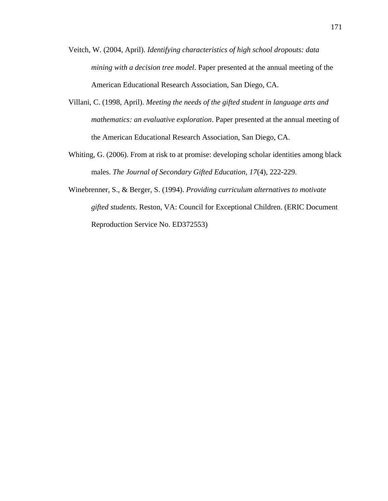- Veitch, W. (2004, April). *Identifying characteristics of high school dropouts: data mining with a decision tree model*. Paper presented at the annual meeting of the American Educational Research Association, San Diego, CA.
- Villani, C. (1998, April). *Meeting the needs of the gifted student in language arts and mathematics: an evaluative exploration*. Paper presented at the annual meeting of the American Educational Research Association, San Diego, CA.
- Whiting, G. (2006). From at risk to at promise: developing scholar identities among black males. *The Journal of Secondary Gifted Education, 17*(4), 222-229.
- Winebrenner, S., & Berger, S. (1994). *Providing curriculum alternatives to motivate gifted students*. Reston, VA: Council for Exceptional Children. (ERIC Document Reproduction Service No. ED372553)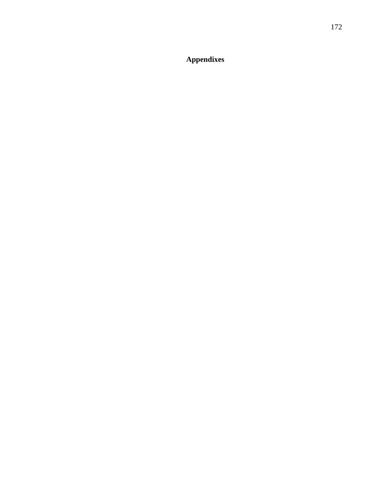**Appendixes**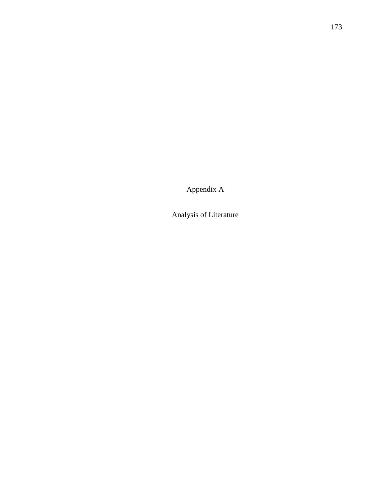Appendix A

Analysis of Literature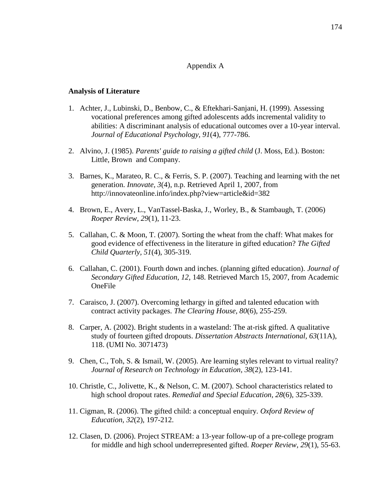### Appendix A

#### **Analysis of Literature**

- 1. Achter, J., Lubinski, D., Benbow, C., & Eftekhari-Sanjani, H. (1999). Assessing vocational preferences among gifted adolescents adds incremental validity to abilities: A discriminant analysis of educational outcomes over a 10-year interval. *Journal of Educational Psychology, 91*(4), 777-786.
- 2. Alvino, J. (1985). *Parents' guide to raising a gifted child* (J. Moss, Ed.). Boston: Little, Brown and Company.
- 3. Barnes, K., Marateo, R. C., & Ferris, S. P. (2007). Teaching and learning with the net generation. *Innovate, 3*(4), n.p. Retrieved April 1, 2007, from http://innovateonline.info/index.php?view=article&id=382
- 4. Brown, E., Avery, L., VanTassel-Baska, J., Worley, B., & Stambaugh, T. (2006) *Roeper Review, 29*(1), 11-23.
- 5. Callahan, C. & Moon, T. (2007). Sorting the wheat from the chaff: What makes for good evidence of effectiveness in the literature in gifted education? *The Gifted Child Quarterly, 51*(4), 305-319.
- 6. Callahan, C. (2001). Fourth down and inches. (planning gifted education). *Journal of Secondary Gifted Education, 12*, 148. Retrieved March 15, 2007, from Academic OneFile
- 7. Caraisco, J. (2007). Overcoming lethargy in gifted and talented education with contract activity packages. *The Clearing House, 80*(6), 255-259.
- 8. Carper, A. (2002). Bright students in a wasteland: The at-risk gifted. A qualitative study of fourteen gifted dropouts. *Dissertation Abstracts International, 63*(11A), 118. (UMI No. 3071473)
- 9. Chen, C., Toh, S. & Ismail, W. (2005). Are learning styles relevant to virtual reality? *Journal of Research on Technology in Education, 38*(2), 123-141.
- 10. Christle, C., Jolivette, K., & Nelson, C. M. (2007). School characteristics related to high school dropout rates. *Remedial and Special Education, 28*(6), 325-339.
- 11. Cigman, R. (2006). The gifted child: a conceptual enquiry. *Oxford Review of Education, 32*(2), 197-212.
- 12. Clasen, D. (2006). Project STREAM: a 13-year follow-up of a pre-college program for middle and high school underrepresented gifted. *Roeper Review, 29*(1), 55-63.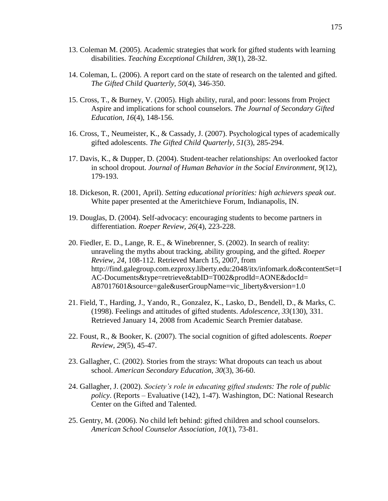- 13. Coleman M. (2005). Academic strategies that work for gifted students with learning disabilities. *Teaching Exceptional Children, 38*(1), 28-32.
- 14. Coleman, L. (2006). A report card on the state of research on the talented and gifted. *The Gifted Child Quarterly, 50*(4), 346-350.
- 15. Cross, T., & Burney, V. (2005). High ability, rural, and poor: lessons from Project Aspire and implications for school counselors. *The Journal of Secondary Gifted Education, 16*(4), 148-156.
- 16. Cross, T., Neumeister, K., & Cassady, J. (2007). Psychological types of academically gifted adolescents. *The Gifted Child Quarterly, 51*(3), 285-294.
- 17. Davis, K., & Dupper, D. (2004). Student-teacher relationships: An overlooked factor in school dropout. *Journal of Human Behavior in the Social Environment, 9*(12), 179-193.
- 18. Dickeson, R. (2001, April). *Setting educational priorities: high achievers speak out*. White paper presented at the Ameritchieve Forum, Indianapolis, IN.
- 19. Douglas, D. (2004). Self-advocacy: encouraging students to become partners in differentiation. *Roeper Review, 26*(4), 223-228.
- 20. Fiedler, E. D., Lange, R. E., & Winebrenner, S. (2002). In search of reality: unraveling the myths about tracking, ability grouping, and the gifted. *Roeper Review, 24*, 108-112. Retrieved March 15, 2007, from [http://find.galegroup.com.ezproxy.liberty.edu:2048/itx/infomark.do&contentSet=I](http://find.galegroup.com.ezproxy.liberty.edu:2048/itx/infomark.do&contentSet=IAC-Documents&type=retrieve&tabID=T002&prodId=AONE&docId) [AC-Documents&type=retrieve&tabID=T002&prodId=AONE&docId=](http://find.galegroup.com.ezproxy.liberty.edu:2048/itx/infomark.do&contentSet=IAC-Documents&type=retrieve&tabID=T002&prodId=AONE&docId) A87017601&source=gale&userGroupName=vic\_liberty&version=1.0
- 21. Field, T., Harding, J., Yando, R., Gonzalez, K., Lasko, D., Bendell, D., & Marks, C. (1998). Feelings and attitudes of gifted students. *Adolescence, 33*(130), 331. Retrieved January 14, 2008 from Academic Search Premier database.
- 22. Foust, R., & Booker, K. (2007). The social cognition of gifted adolescents. *Roeper Review, 29*(5), 45-47.
- 23. Gallagher, C. (2002). Stories from the strays: What dropouts can teach us about school. *American Secondary Education, 30*(3), 36-60.
- 24. Gallagher, J. (2002). *Society's role in educating gifted students: The role of public policy*. (Reports – Evaluative (142), 1-47). Washington, DC: National Research Center on the Gifted and Talented.
- 25. Gentry, M. (2006). No child left behind: gifted children and school counselors. *American School Counselor Association, 10*(1), 73-81.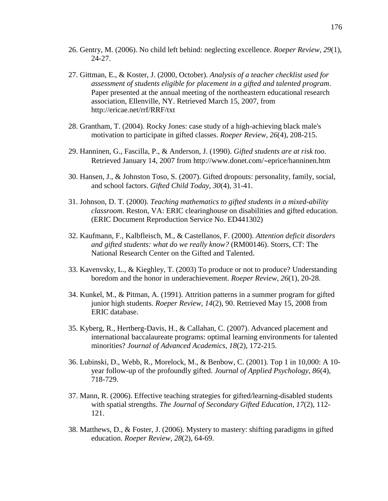- 26. Gentry, M. (2006). No child left behind: neglecting excellence. *Roeper Review, 29*(1), 24-27.
- 27. Gittman, E., & Koster, J. (2000, October). *Analysis of a teacher checklist used for assessment of students eligible for placement in a gifted and talented program*. Paper presented at the annual meeting of the northeastern educational research association, Ellenville, NY. Retrieved March 15, 2007, from http://ericae.net/rrf/RRF/txt
- 28. Grantham, T. (2004). Rocky Jones: case study of a high-achieving black male's motivation to participate in gifted classes. *Roeper Review, 26*(4), 208-215.
- 29. Hanninen, G., Fascilla, P., & Anderson, J. (1990). *Gifted students are at risk too*. Retrieved January 14, 2007 from http://www.donet.com/~eprice/hanninen.htm
- 30. Hansen, J., & Johnston Toso, S. (2007). Gifted dropouts: personality, family, social, and school factors. *Gifted Child Today, 30*(4), 31-41.
- 31. Johnson, D. T. (2000). *Teaching mathematics to gifted students in a mixed-ability classroom*. Reston, VA: ERIC clearinghouse on disabilities and gifted education. (ERIC Document Reproduction Service No. ED441302)
- 32. Kaufmann, F., Kalbfleisch, M., & Castellanos, F. (2000). *Attention deficit disorders and gifted students: what do we really know?* (RM00146). Storrs, CT: The National Research Center on the Gifted and Talented.
- 33. Kavenvsky, L., & Kieghley, T. (2003) To produce or not to produce? Understanding boredom and the honor in underachievement. *Roeper Review, 26*(1), 20-28.
- 34. Kunkel, M., & Pitman, A. (1991). Attrition patterns in a summer program for gifted junior high students. *Roeper Review, 14*(2), 90. Retrieved May 15, 2008 from ERIC database.
- 35. Kyberg, R., Hertberg-Davis, H., & Callahan, C. (2007). Advanced placement and international baccalaureate programs: optimal learning environments for talented minorities? *Journal of Advanced Academics, 18*(2), 172-215.
- 36. Lubinski, D., Webb, R., Morelock, M., & Benbow, C. (2001). Top 1 in 10,000: A 10 year follow-up of the profoundly gifted. *Journal of Applied Psychology, 86*(4), 718-729.
- 37. Mann, R. (2006). Effective teaching strategies for gifted/learning-disabled students with spatial strengths. *The Journal of Secondary Gifted Education, 17*(2), 112- 121.
- 38. Matthews, D., & Foster, J. (2006). Mystery to mastery: shifting paradigms in gifted education. *Roeper Review, 28*(2), 64-69.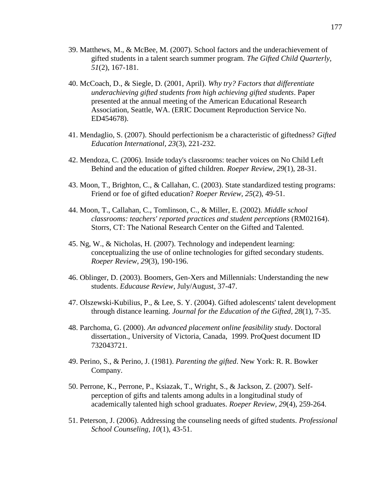- 39. Matthews, M., & McBee, M. (2007). School factors and the underachievement of gifted students in a talent search summer program. *The Gifted Child Quarterly, 51*(2), 167-181.
- 40. McCoach, D., & Siegle, D. (2001, April). *Why try? Factors that differentiate underachieving gifted students from high achieving gifted students*. Paper presented at the annual meeting of the American Educational Research Association, Seattle, WA. (ERIC Document Reproduction Service No. ED454678).
- 41. Mendaglio, S. (2007). Should perfectionism be a characteristic of giftedness? *Gifted Education International, 23*(3), 221-232.
- 42. Mendoza, C. (2006). Inside today's classrooms: teacher voices on No Child Left Behind and the education of gifted children. *Roeper Review, 29*(1), 28-31.
- 43. Moon, T., Brighton, C., & Callahan, C. (2003). State standardized testing programs: Friend or foe of gifted education? *Roeper Review, 25*(2), 49-51.
- 44. Moon, T., Callahan, C., Tomlinson, C., & Miller, E. (2002). *Middle school classrooms: teachers' reported practices and student perceptions* (RM02164). Storrs, CT: The National Research Center on the Gifted and Talented.
- 45. Ng, W., & Nicholas, H. (2007). Technology and independent learning: conceptualizing the use of online technologies for gifted secondary students. *Roeper Review, 29*(3), 190-196.
- 46. Oblinger, D. (2003). Boomers, Gen-Xers and Millennials: Understanding the new students. *Educause Review*, July/August, 37-47.
- 47. Olszewski-Kubilius, P., & Lee, S. Y. (2004). Gifted adolescents' talent development through distance learning. *Journal for the Education of the Gifted, 28*(1), 7-35.
- 48. Parchoma, G. (2000). *An advanced placement online feasibility study*. Doctoral dissertation., University of Victoria, Canada, 1999. ProQuest document ID 732043721.
- 49. Perino, S., & Perino, J. (1981). *Parenting the gifted*. New York: R. R. Bowker Company.
- 50. Perrone, K., Perrone, P., Ksiazak, T., Wright, S., & Jackson, Z. (2007). Selfperception of gifts and talents among adults in a longitudinal study of academically talented high school graduates. *Roeper Review, 29*(4), 259-264.
- 51. Peterson, J. (2006). Addressing the counseling needs of gifted students. *Professional School Counseling, 10*(1), 43-51.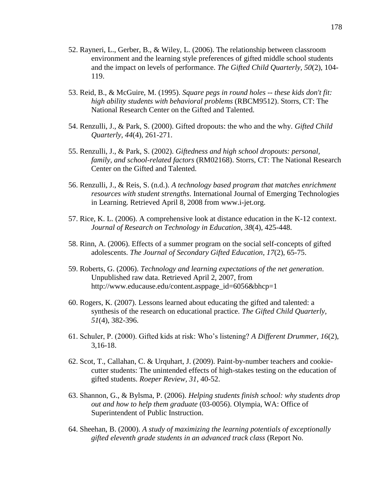- 52. Rayneri, L., Gerber, B., & Wiley, L. (2006). The relationship between classroom environment and the learning style preferences of gifted middle school students and the impact on levels of performance. *The Gifted Child Quarterly, 50*(2), 104- 119.
- 53. Reid, B., & McGuire, M. (1995). *Square pegs in round holes -- these kids don't fit: high ability students with behavioral problems* (RBCM9512). Storrs, CT: The National Research Center on the Gifted and Talented.
- 54. Renzulli, J., & Park, S. (2000). Gifted dropouts: the who and the why. *Gifted Child Quarterly, 44*(4), 261-271.
- 55. Renzulli, J., & Park, S. (2002). *Giftedness and high school dropouts: personal, family, and school-related factors* (RM02168). Storrs, CT: The National Research Center on the Gifted and Talented.
- 56. Renzulli, J., & Reis, S. (n.d.). *A technology based program that matches enrichment resources with student strengths*. International Journal of Emerging Technologies in Learning. Retrieved April 8, 2008 from [www.i-jet.org.](http://www.i-jet.org/)
- 57. Rice, K. L. (2006). A comprehensive look at distance education in the K-12 context. *Journal of Research on Technology in Education, 38*(4), 425-448.
- 58. Rinn, A. (2006). Effects of a summer program on the social self-concepts of gifted adolescents. *The Journal of Secondary Gifted Education, 17*(2), 65-75.
- 59. Roberts, G. (2006). *Technology and learning expectations of the net generation*. Unpublished raw data. Retrieved April 2, 2007, from http://www.educause.edu/content.asppage\_id=6056&bhcp=1
- 60. Rogers, K. (2007). Lessons learned about educating the gifted and talented: a synthesis of the research on educational practice. *The Gifted Child Quarterly, 51*(4), 382-396.
- 61. Schuler, P. (2000). Gifted kids at risk: Who"s listening? *A Different Drummer, 16*(2), 3,16-18.
- 62. Scot, T., Callahan, C. & Urquhart, J. (2009). Paint-by-number teachers and cookiecutter students: The unintended effects of high-stakes testing on the education of gifted students. *Roeper Review, 31*, 40-52.
- 63. Shannon, G., & Bylsma, P. (2006). *Helping students finish school: why students drop out and how to help them graduate* (03-0056). Olympia, WA: Office of Superintendent of Public Instruction.
- 64. Sheehan, B. (2000). *A study of maximizing the learning potentials of exceptionally gifted eleventh grade students in an advanced track class* (Report No.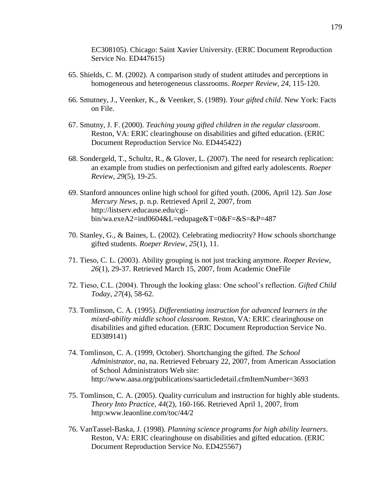EC308105). Chicago: Saint Xavier University. (ERIC Document Reproduction Service No. ED447615)

- 65. Shields, C. M. (2002). A comparison study of student attitudes and perceptions in homogeneous and heterogeneous classrooms. *Roeper Review, 24*, 115-120.
- 66. Smutney, J., Veenker, K., & Veenker, S. (1989). *Your gifted child*. New York: Facts on File.
- 67. Smutny, J. F. (2000). *Teaching young gifted children in the regular classroom*. Reston, VA: ERIC clearinghouse on disabilities and gifted education. (ERIC Document Reproduction Service No. ED445422)
- 68. Sondergeld, T., Schultz, R., & Glover, L. (2007). The need for research replication: an example from studies on perfectionism and gifted early adolescents. *Roeper Review, 29*(5), 19-25.
- 69. Stanford announces online high school for gifted youth. (2006, April 12). *San Jose Mercury News*, p. n.p. Retrieved April 2, 2007, from http://listserv.educause.edu/cgibin/wa.exeA2=ind0604&L=edupage&T=0&F=&S=&P=487
- 70. Stanley, G., & Baines, L. (2002). Celebrating mediocrity? How schools shortchange gifted students. *Roeper Review, 25*(1), 11.
- 71. Tieso, C. L. (2003). Ability grouping is not just tracking anymore. *Roeper Review, 26*(1), 29-37. Retrieved March 15, 2007, from Academic OneFile
- 72. Tieso, C.L. (2004). Through the looking glass: One school"s reflection. *Gifted Child Today, 27*(4), 58-62.
- 73. Tomlinson, C. A. (1995). *Differentiating instruction for advanced learners in the mixed-ability middle school classroom*. Reston, VA: ERIC clearinghouse on disabilities and gifted education. (ERIC Document Reproduction Service No. ED389141)
- 74. Tomlinson, C. A. (1999, October). Shortchanging the gifted. *The School Administrator, na*, na. Retrieved February 22, 2007, from American Association of School Administrators Web site: http://www.aasa.org/publications/saarticledetail.cfmItemNumber=3693
- 75. Tomlinson, C. A. (2005). Quality curriculum and instruction for highly able students. *Theory Into Practice, 44*(2), 160-166. Retrieved April 1, 2007, from http:www.leaonline.com/toc/44/2
- 76. VanTassel-Baska, J. (1998). *Planning science programs for high ability learners*. Reston, VA: ERIC clearinghouse on disabilities and gifted education. (ERIC Document Reproduction Service No. ED425567)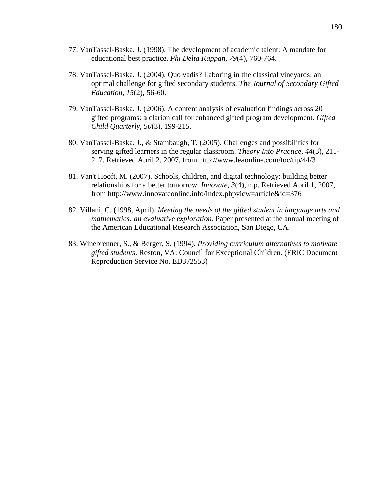- 77. VanTassel-Baska, J. (1998). The development of academic talent: A mandate for educational best practice. *Phi Delta Kappan, 79*(4), 760-764.
- 78. VanTassel-Baska, J. (2004). Quo vadis? Laboring in the classical vineyards: an optimal challenge for gifted secondary students. *The Journal of Secondary Gifted Education, 15*(2), 56-60.
- 79. VanTassel-Baska, J. (2006). A content analysis of evaluation findings across 20 gifted programs: a clarion call for enhanced gifted program development. *Gifted Child Quarterly, 50*(3), 199-215.
- 80. VanTassel-Baska, J., & Stambaugh, T. (2005). Challenges and possibilities for serving gifted learners in the regular classroom. *Theory Into Practice, 44*(3), 211- 217. Retrieved April 2, 2007, from http://www.leaonline.com/toc/tip/44/3
- 81. Van't Hooft, M. (2007). Schools, children, and digital technology: building better relationships for a better tomorrow. *Innovate, 3*(4), n.p. Retrieved April 1, 2007, from http://www.innovateonline.info/index.phpview=article&id=376
- 82. Villani, C. (1998, April). *Meeting the needs of the gifted student in language arts and mathematics: an evaluative exploration*. Paper presented at the annual meeting of the American Educational Research Association, San Diego, CA.
- 83. Winebrenner, S., & Berger, S. (1994). *Providing curriculum alternatives to motivate gifted students*. Reston, VA: Council for Exceptional Children. (ERIC Document Reproduction Service No. ED372553)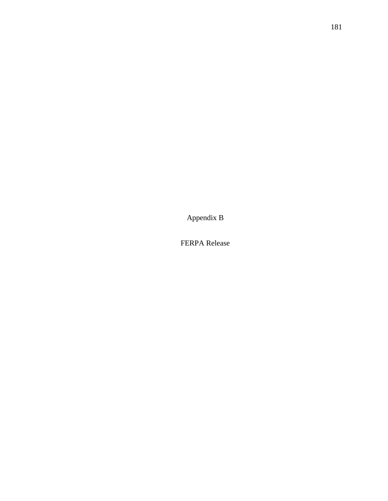Appendix B

FERPA Release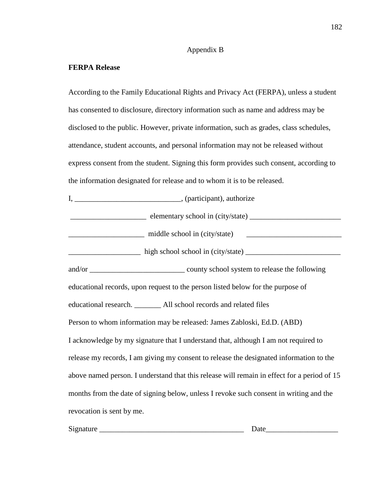# Appendix B

# **FERPA Release**

According to the Family Educational Rights and Privacy Act (FERPA), unless a student has consented to disclosure, directory information such as name and address may be disclosed to the public. However, private information, such as grades, class schedules, attendance, student accounts, and personal information may not be released without express consent from the student. Signing this form provides such consent, according to the information designated for release and to whom it is to be released.

| educational records, upon request to the person listed below for the purpose of             |
|---------------------------------------------------------------------------------------------|
| educational research. _________ All school records and related files                        |
| Person to whom information may be released: James Zabloski, Ed.D. (ABD)                     |
| I acknowledge by my signature that I understand that, although I am not required to         |
| release my records, I am giving my consent to release the designated information to the     |
| above named person. I understand that this release will remain in effect for a period of 15 |
| months from the date of signing below, unless I revoke such consent in writing and the      |
| revocation is sent by me.                                                                   |

| Signature | $\sim$ $\sim$ $\sim$<br>za<br>$\cdots$ |
|-----------|----------------------------------------|
|           |                                        |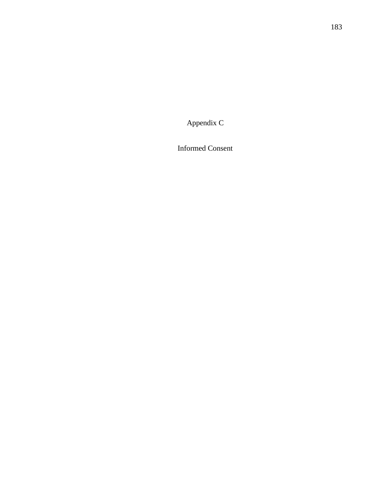Appendix C

Informed Consent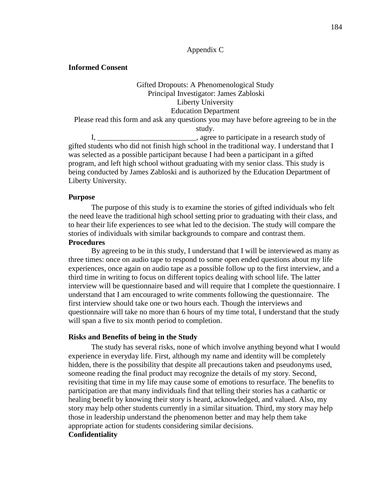## Appendix C

### **Informed Consent**

# Gifted Dropouts: A Phenomenological Study Principal Investigator: James Zabloski Liberty University Education Department

Please read this form and ask any questions you may have before agreeing to be in the study.

I, \_\_\_\_\_\_\_\_\_\_\_\_\_\_\_\_\_\_\_\_\_\_\_\_\_\_\_\_\_, agree to participate in a research study of gifted students who did not finish high school in the traditional way. I understand that I was selected as a possible participant because I had been a participant in a gifted program, and left high school without graduating with my senior class. This study is being conducted by James Zabloski and is authorized by the Education Department of Liberty University.

#### **Purpose**

The purpose of this study is to examine the stories of gifted individuals who felt the need leave the traditional high school setting prior to graduating with their class, and to hear their life experiences to see what led to the decision. The study will compare the stories of individuals with similar backgrounds to compare and contrast them. **Procedures**

By agreeing to be in this study, I understand that I will be interviewed as many as three times: once on audio tape to respond to some open ended questions about my life experiences, once again on audio tape as a possible follow up to the first interview, and a third time in writing to focus on different topics dealing with school life. The latter interview will be questionnaire based and will require that I complete the questionnaire. I understand that I am encouraged to write comments following the questionnaire. The first interview should take one or two hours each. Though the interviews and questionnaire will take no more than 6 hours of my time total, I understand that the study will span a five to six month period to completion.

#### **Risks and Benefits of being in the Study**

The study has several risks, none of which involve anything beyond what I would experience in everyday life. First, although my name and identity will be completely hidden, there is the possibility that despite all precautions taken and pseudonyms used, someone reading the final product may recognize the details of my story. Second, revisiting that time in my life may cause some of emotions to resurface. The benefits to participation are that many individuals find that telling their stories has a cathartic or healing benefit by knowing their story is heard, acknowledged, and valued. Also, my story may help other students currently in a similar situation. Third, my story may help those in leadership understand the phenomenon better and may help them take appropriate action for students considering similar decisions. **Confidentiality**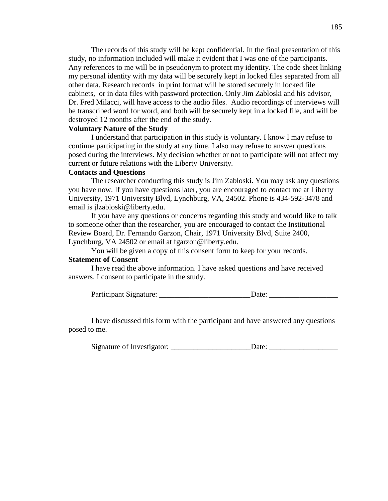The records of this study will be kept confidential. In the final presentation of this study, no information included will make it evident that I was one of the participants. Any references to me will be in pseudonym to protect my identity. The code sheet linking my personal identity with my data will be securely kept in locked files separated from all other data. Research records in print format will be stored securely in locked file cabinets, or in data files with password protection. Only Jim Zabloski and his advisor, Dr. Fred Milacci, will have access to the audio files. Audio recordings of interviews will be transcribed word for word, and both will be securely kept in a locked file, and will be destroyed 12 months after the end of the study.

#### **Voluntary Nature of the Study**

I understand that participation in this study is voluntary. I know I may refuse to continue participating in the study at any time. I also may refuse to answer questions posed during the interviews. My decision whether or not to participate will not affect my current or future relations with the Liberty University.

#### **Contacts and Questions**

The researcher conducting this study is Jim Zabloski. You may ask any questions you have now. If you have questions later, you are encouraged to contact me at Liberty University, 1971 University Blvd, Lynchburg, VA, 24502. Phone is 434-592-3478 and email is [jlzabloski@liberty.edu.](mailto:jlzabloski@liberty.edu)

If you have any questions or concerns regarding this study and would like to talk to someone other than the researcher, you are encouraged to contact the Institutional Review Board, Dr. Fernando Garzon, Chair, 1971 University Blvd, Suite 2400, Lynchburg, VA 24502 or email at fgarzon@liberty.edu.

You will be given a copy of this consent form to keep for your records. **Statement of Consent**

I have read the above information. I have asked questions and have received answers. I consent to participate in the study.

Participant Signature: \_\_\_\_\_\_\_\_\_\_\_\_\_\_\_\_\_\_\_\_\_\_\_\_\_\_\_\_\_\_\_\_\_Date: \_\_\_\_\_\_\_\_\_\_\_\_\_\_\_\_\_\_\_

I have discussed this form with the participant and have answered any questions posed to me.

Signature of Investigator: \_\_\_\_\_\_\_\_\_\_\_\_\_\_\_\_\_\_\_\_\_Date: \_\_\_\_\_\_\_\_\_\_\_\_\_\_\_\_\_\_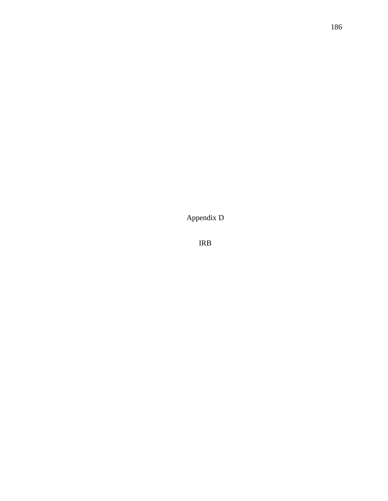Appendix D

IRB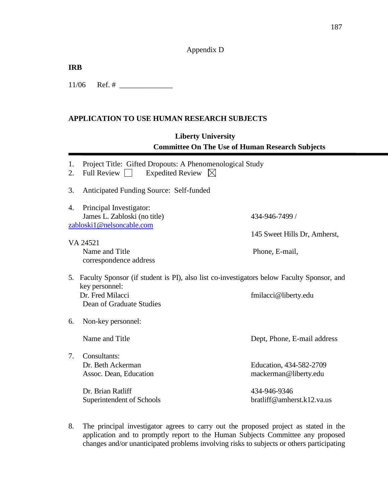# Appendix D

| IRB |                |  |
|-----|----------------|--|
|     | $11/06$ Ref. # |  |

# **APPLICATION TO USE HUMAN RESEARCH SUBJECTS**

# **Liberty University Committee On The Use of Human Research Subjects**

| 1.<br>2. | Project Title: Gifted Dropouts: A Phenomenological Study<br>Expedited Review $\boxtimes$<br><b>Full Review</b>                     |                              |
|----------|------------------------------------------------------------------------------------------------------------------------------------|------------------------------|
| 3.       | Anticipated Funding Source: Self-funded                                                                                            |                              |
| 4.       | Principal Investigator:                                                                                                            |                              |
|          | James L. Zabloski (no title)                                                                                                       | 434-946-7499 /               |
|          | zabloski1@nelsoncable.com                                                                                                          |                              |
|          |                                                                                                                                    | 145 Sweet Hills Dr, Amherst, |
|          | VA 24521                                                                                                                           |                              |
|          | Name and Title                                                                                                                     | Phone, E-mail,               |
|          | correspondence address                                                                                                             |                              |
|          | 5. Faculty Sponsor (if student is PI), also list co-investigators below Faculty Sponsor, and<br>key personnel:<br>Dr. Fred Milacci | fmilacci@liberty.edu         |
|          | Dean of Graduate Studies                                                                                                           |                              |
| 6.       | Non-key personnel:                                                                                                                 |                              |
|          | Name and Title                                                                                                                     | Dept, Phone, E-mail address  |
| 7.       | Consultants:                                                                                                                       |                              |
|          | Dr. Beth Ackerman                                                                                                                  | Education, 434-582-2709      |
|          | Assoc. Dean, Education                                                                                                             | mackerman@liberty.edu        |
|          |                                                                                                                                    |                              |
|          | Dr. Brian Ratliff                                                                                                                  | 434-946-9346                 |
|          | Superintendent of Schools                                                                                                          | bratliff@amherst.k12.va.us   |

8. The principal investigator agrees to carry out the proposed project as stated in the application and to promptly report to the Human Subjects Committee any proposed changes and/or unanticipated problems involving risks to subjects or others participating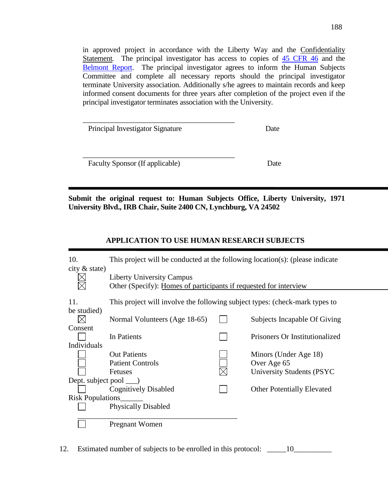in approved project in accordance with the Liberty Way and the Confidentiality Statement. The principal investigator has access to copies of  $\overline{45}$  CFR  $\overline{46}$  and the [Belmont Report.](http://ohrp.osophs.dhhs.gov/humansubjects/guidance/belmont.htm) The principal investigator agrees to inform the Human Subjects Committee and complete all necessary reports should the principal investigator terminate University association. Additionally s/he agrees to maintain records and keep informed consent documents for three years after completion of the project even if the principal investigator terminates association with the University.

| Principal Investigator Signature | Date |
|----------------------------------|------|

Faculty Sponsor (If applicable) Date

\_\_\_\_\_\_\_\_\_\_\_\_\_\_\_\_\_\_\_\_\_\_\_\_\_\_\_\_\_\_\_\_\_\_\_\_\_\_\_\_\_

**Submit the original request to: Human Subjects Office, Liberty University, 1971 University Blvd., IRB Chair, Suite 2400 CN, Lynchburg, VA 24502**

# **APPLICATION TO USE HUMAN RESEARCH SUBJECTS**

| 10.<br>city $&$ state)       | This project will be conducted at the following location(s): (please indicate                         |                                                                             |                                                                           |  |  |  |  |  |  |  |
|------------------------------|-------------------------------------------------------------------------------------------------------|-----------------------------------------------------------------------------|---------------------------------------------------------------------------|--|--|--|--|--|--|--|
|                              | <b>Liberty University Campus</b><br>Other (Specify): Homes of participants if requested for interview |                                                                             |                                                                           |  |  |  |  |  |  |  |
| 11.<br>be studied)           |                                                                                                       | This project will involve the following subject types: (check-mark types to |                                                                           |  |  |  |  |  |  |  |
|                              | Normal Volunteers (Age 18-65)                                                                         |                                                                             | Subjects Incapable Of Giving                                              |  |  |  |  |  |  |  |
| Consent                      | In Patients                                                                                           |                                                                             | Prisoners Or Institutionalized                                            |  |  |  |  |  |  |  |
| Individuals                  |                                                                                                       |                                                                             |                                                                           |  |  |  |  |  |  |  |
|                              | <b>Out Patients</b><br><b>Patient Controls</b><br><b>Fetuses</b>                                      |                                                                             | Minors (Under Age 18)<br>Over Age 65<br><b>University Students (PSYC)</b> |  |  |  |  |  |  |  |
| Dept. subject pool $\qquad)$ |                                                                                                       |                                                                             |                                                                           |  |  |  |  |  |  |  |
|                              | <b>Cognitively Disabled</b>                                                                           |                                                                             | <b>Other Potentially Elevated</b>                                         |  |  |  |  |  |  |  |
| <b>Risk Populations</b>      |                                                                                                       |                                                                             |                                                                           |  |  |  |  |  |  |  |
|                              | <b>Physically Disabled</b>                                                                            |                                                                             |                                                                           |  |  |  |  |  |  |  |
|                              | <b>Pregnant Women</b>                                                                                 |                                                                             |                                                                           |  |  |  |  |  |  |  |

12. Estimated number of subjects to be enrolled in this protocol: \_\_\_\_\_\_\_\_\_\_\_\_\_\_\_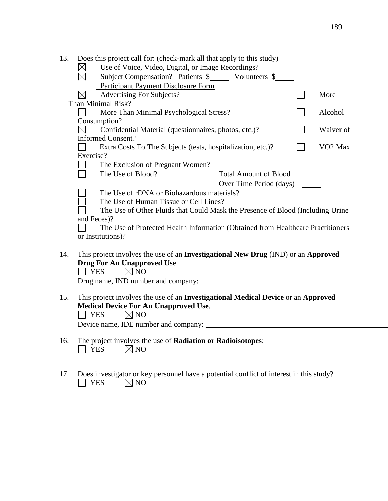| 13.<br>Does this project call for: (check-mark all that apply to this study)             |                              |                     |
|------------------------------------------------------------------------------------------|------------------------------|---------------------|
| Use of Voice, Video, Digital, or Image Recordings?<br>$\boxtimes$                        |                              |                     |
| $\boxtimes$<br>Subject Compensation? Patients \$ _________ Volunteers \$                 |                              |                     |
| <b>Participant Payment Disclosure Form</b>                                               |                              |                     |
| $\boxtimes$<br><b>Advertising For Subjects?</b>                                          |                              | More                |
| Than Minimal Risk?                                                                       |                              |                     |
| More Than Minimal Psychological Stress?                                                  |                              | Alcohol             |
| Consumption?                                                                             |                              |                     |
| Confidential Material (questionnaires, photos, etc.)?<br>$\boxtimes$                     |                              | Waiver of           |
| <b>Informed Consent?</b>                                                                 |                              |                     |
| Extra Costs To The Subjects (tests, hospitalization, etc.)?                              |                              | VO <sub>2</sub> Max |
| Exercise?                                                                                |                              |                     |
| The Exclusion of Pregnant Women?                                                         |                              |                     |
| The Use of Blood?                                                                        | <b>Total Amount of Blood</b> |                     |
|                                                                                          | Over Time Period (days)      |                     |
| The Use of rDNA or Biohazardous materials?                                               |                              |                     |
| The Use of Human Tissue or Cell Lines?                                                   |                              |                     |
| The Use of Other Fluids that Could Mask the Presence of Blood (Including Urine           |                              |                     |
| and Feces)?                                                                              |                              |                     |
| The Use of Protected Health Information (Obtained from Healthcare Practitioners          |                              |                     |
| or Institutions)?                                                                        |                              |                     |
|                                                                                          |                              |                     |
| This project involves the use of an Investigational New Drug (IND) or an Approved<br>14. |                              |                     |
| Drug For An Unapproved Use.                                                              |                              |                     |
| $\boxtimes$ NO<br>  YES                                                                  |                              |                     |
|                                                                                          |                              |                     |
|                                                                                          |                              |                     |
| This project involves the use of an Investigational Medical Device or an Approved<br>15. |                              |                     |
| <b>Medical Device For An Unapproved Use.</b>                                             |                              |                     |
| $\boxtimes$ NO<br><b>YES</b>                                                             |                              |                     |

Device name, IDE number and company:

- 16. The project involves the use of **Radiation or Radioisotopes**:<br>
T YES  $\boxtimes$  NO  $\boxtimes$  NO
- 17. Does investigator or key personnel have a potential conflict of interest in this study?  $\Box$  YES  $\Box$  NO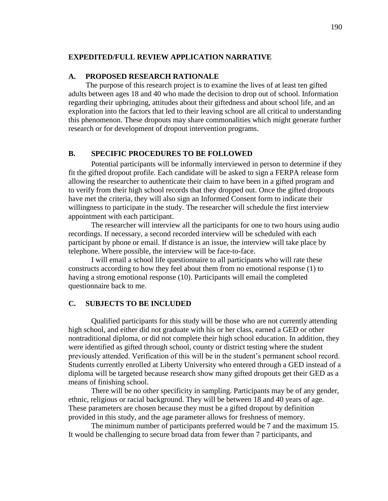### **EXPEDITED/FULL REVIEW APPLICATION NARRATIVE**

### **A. PROPOSED RESEARCH RATIONALE**

The purpose of this research project is to examine the lives of at least ten gifted adults between ages 18 and 40 who made the decision to drop out of school. Information regarding their upbringing, attitudes about their giftedness and about school life, and an exploration into the factors that led to their leaving school are all critical to understanding this phenomenon. These dropouts may share commonalities which might generate further research or for development of dropout intervention programs.

## **B. SPECIFIC PROCEDURES TO BE FOLLOWED**

Potential participants will be informally interviewed in person to determine if they fit the gifted dropout profile. Each candidate will be asked to sign a FERPA release form allowing the researcher to authenticate their claim to have been in a gifted program and to verify from their high school records that they dropped out. Once the gifted dropouts have met the criteria, they will also sign an Informed Consent form to indicate their willingness to participate in the study. The researcher will schedule the first interview appointment with each participant.

The researcher will interview all the participants for one to two hours using audio recordings. If necessary, a second recorded interview will be scheduled with each participant by phone or email. If distance is an issue, the interview will take place by telephone. Where possible, the interview will be face-to-face.

I will email a school life questionnaire to all participants who will rate these constructs according to how they feel about them from no emotional response (1) to having a strong emotional response (10). Participants will email the completed questionnaire back to me.

## **C. SUBJECTS TO BE INCLUDED**

Qualified participants for this study will be those who are not currently attending high school, and either did not graduate with his or her class, earned a GED or other nontraditional diploma, or did not complete their high school education. In addition, they were identified as gifted through school, county or district testing where the student previously attended. Verification of this will be in the student"s permanent school record. Students currently enrolled at Liberty University who entered through a GED instead of a diploma will be targeted because research show many gifted dropouts get their GED as a means of finishing school.

There will be no other specificity in sampling. Participants may be of any gender, ethnic, religious or racial background. They will be between 18 and 40 years of age. These parameters are chosen because they must be a gifted dropout by definition provided in this study, and the age parameter allows for freshness of memory.

The minimum number of participants preferred would be 7 and the maximum 15. It would be challenging to secure broad data from fewer than 7 participants, and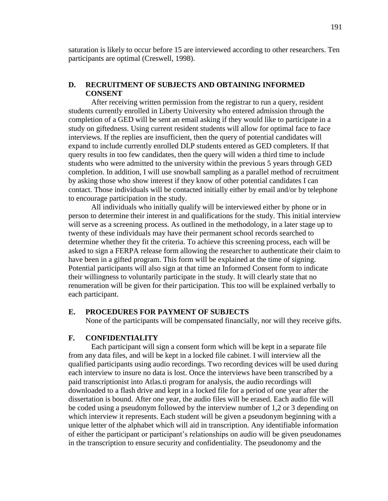saturation is likely to occur before 15 are interviewed according to other researchers. Ten participants are optimal (Creswell, 1998).

# **D. RECRUITMENT OF SUBJECTS AND OBTAINING INFORMED CONSENT**

After receiving written permission from the registrar to run a query, resident students currently enrolled in Liberty University who entered admission through the completion of a GED will be sent an email asking if they would like to participate in a study on giftedness. Using current resident students will allow for optimal face to face interviews. If the replies are insufficient, then the query of potential candidates will expand to include currently enrolled DLP students entered as GED completers. If that query results in too few candidates, then the query will widen a third time to include students who were admitted to the university within the previous 5 years through GED completion. In addition, I will use snowball sampling as a parallel method of recruitment by asking those who show interest if they know of other potential candidates I can contact. Those individuals will be contacted initially either by email and/or by telephone to encourage participation in the study.

All individuals who initially qualify will be interviewed either by phone or in person to determine their interest in and qualifications for the study. This initial interview will serve as a screening process. As outlined in the methodology, in a later stage up to twenty of these individuals may have their permanent school records searched to determine whether they fit the criteria. To achieve this screening process, each will be asked to sign a FERPA release form allowing the researcher to authenticate their claim to have been in a gifted program. This form will be explained at the time of signing. Potential participants will also sign at that time an Informed Consent form to indicate their willingness to voluntarily participate in the study. It will clearly state that no renumeration will be given for their participation. This too will be explained verbally to each participant.

### **E. PROCEDURES FOR PAYMENT OF SUBJECTS**

None of the participants will be compensated financially, nor will they receive gifts.

# **F. CONFIDENTIALITY**

Each participant will sign a consent form which will be kept in a separate file from any data files, and will be kept in a locked file cabinet. I will interview all the qualified participants using audio recordings. Two recording devices will be used during each interview to insure no data is lost. Once the interviews have been transcribed by a paid transcriptionist into Atlas.ti program for analysis, the audio recordings will downloaded to a flash drive and kept in a locked file for a period of one year after the dissertation is bound. After one year, the audio files will be erased. Each audio file will be coded using a pseudonym followed by the interview number of 1,2 or 3 depending on which interview it represents. Each student will be given a pseudonym beginning with a unique letter of the alphabet which will aid in transcription. Any identifiable information of either the participant or participant"s relationships on audio will be given pseudonames in the transcription to ensure security and confidentiality. The pseudonomy and the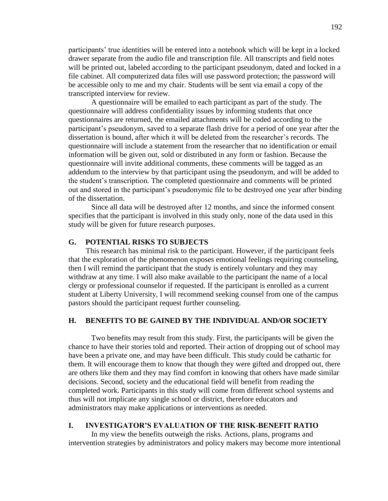participants" true identities will be entered into a notebook which will be kept in a locked drawer separate from the audio file and transcription file. All transcripts and field notes will be printed out, labeled according to the participant pseudonym, dated and locked in a file cabinet. All computerized data files will use password protection; the password will be accessible only to me and my chair. Students will be sent via email a copy of the transcripted interview for review.

A questionnaire will be emailed to each participant as part of the study. The questionnaire will address confidentiality issues by informing students that once questionnaires are returned, the emailed attachments will be coded according to the participant"s pseudonym, saved to a separate flash drive for a period of one year after the dissertation is bound, after which it will be deleted from the researcher"s records. The questionnaire will include a statement from the researcher that no identification or email information will be given out, sold or distributed in any form or fashion. Because the questionnaire will invite additional comments, these comments will be tagged as an addendum to the interview by that participant using the pseudonym, and will be added to the student"s transcription. The completed questionnaire and comments will be printed out and stored in the participant"s pseudonymic file to be destroyed one year after binding of the dissertation.

Since all data will be destroyed after 12 months, and since the informed consent specifies that the participant is involved in this study only, none of the data used in this study will be given for future research purposes.

#### **G. POTENTIAL RISKS TO SUBJECTS**

This research has minimal risk to the participant. However, if the participant feels that the exploration of the phenomenon exposes emotional feelings requiring counseling, then I will remind the participant that the study is entirely voluntary and they may withdraw at any time. I will also make available to the participant the name of a local clergy or professional counselor if requested. If the participant is enrolled as a current student at Liberty University, I will recommend seeking counsel from one of the campus pastors should the participant request further counseling.

## **H. BENEFITS TO BE GAINED BY THE INDIVIDUAL AND/OR SOCIETY**

Two benefits may result from this study. First, the participants will be given the chance to have their stories told and reported. Their action of dropping out of school may have been a private one, and may have been difficult. This study could be cathartic for them. It will encourage them to know that though they were gifted and dropped out, there are others like them and they may find comfort in knowing that others have made similar decisions. Second, society and the educational field will benefit from reading the completed work. Participants in this study will come from different school systems and thus will not implicate any single school or district, therefore educators and administrators may make applications or interventions as needed.

# **I. INVESTIGATOR'S EVALUATION OF THE RISK-BENEFIT RATIO**

In my view the benefits outweigh the risks. Actions, plans, programs and intervention strategies by administrators and policy makers may become more intentional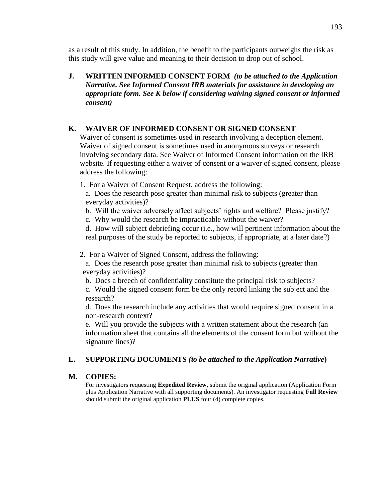as a result of this study. In addition, the benefit to the participants outweighs the risk as this study will give value and meaning to their decision to drop out of school.

**J. WRITTEN INFORMED CONSENT FORM** *(to be attached to the Application Narrative. See Informed Consent IRB materials for assistance in developing an appropriate form. See K below if considering waiving signed consent or informed consent)*

## **K. WAIVER OF INFORMED CONSENT OR SIGNED CONSENT**

Waiver of consent is sometimes used in research involving a deception element. Waiver of signed consent is sometimes used in anonymous surveys or research involving secondary data. See Waiver of Informed Consent information on the IRB website. If requesting either a waiver of consent or a waiver of signed consent, please address the following:

1. For a Waiver of Consent Request, address the following:

a. Does the research pose greater than minimal risk to subjects (greater than everyday activities)?

- b. Will the waiver adversely affect subjects' rights and welfare? Please justify?
- c. Why would the research be impracticable without the waiver?

d. How will subject debriefing occur (i.e., how will pertinent information about the real purposes of the study be reported to subjects, if appropriate, at a later date?)

2. For a Waiver of Signed Consent, address the following:

 a. Does the research pose greater than minimal risk to subjects (greater than everyday activities)?

b. Does a breech of confidentiality constitute the principal risk to subjects?

c. Would the signed consent form be the only record linking the subject and the research?

d. Does the research include any activities that would require signed consent in a non-research context?

e. Will you provide the subjects with a written statement about the research (an information sheet that contains all the elements of the consent form but without the signature lines)?

# **L. SUPPORTING DOCUMENTS** *(to be attached to the Application Narrative***)**

### **M. COPIES:**

For investigators requesting **Expedited Review**, submit the original application (Application Form plus Application Narrative with all supporting documents). An investigator requesting **Full Review** should submit the original application **PLUS** four (4) complete copies.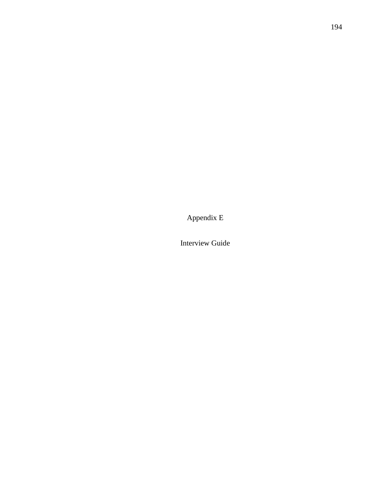Appendix E

Interview Guide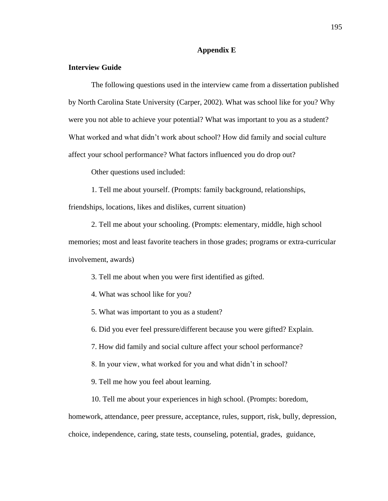#### **Appendix E**

## **Interview Guide**

The following questions used in the interview came from a dissertation published by North Carolina State University (Carper, 2002). What was school like for you? Why were you not able to achieve your potential? What was important to you as a student? What worked and what didn"t work about school? How did family and social culture affect your school performance? What factors influenced you do drop out?

Other questions used included:

1. Tell me about yourself. (Prompts: family background, relationships,

friendships, locations, likes and dislikes, current situation)

2. Tell me about your schooling. (Prompts: elementary, middle, high school memories; most and least favorite teachers in those grades; programs or extra-curricular involvement, awards)

3. Tell me about when you were first identified as gifted.

4. What was school like for you?

5. What was important to you as a student?

6. Did you ever feel pressure/different because you were gifted? Explain.

7. How did family and social culture affect your school performance?

8. In your view, what worked for you and what didn"t in school?

9. Tell me how you feel about learning.

10. Tell me about your experiences in high school. (Prompts: boredom,

homework, attendance, peer pressure, acceptance, rules, support, risk, bully, depression, choice, independence, caring, state tests, counseling, potential, grades, guidance,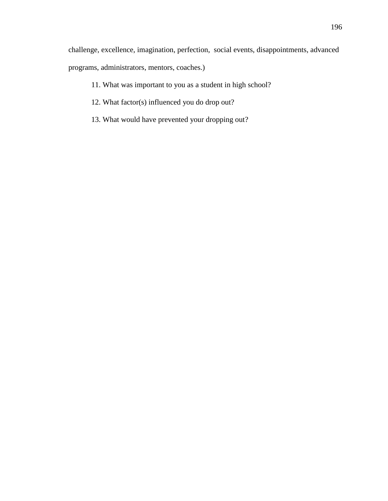challenge, excellence, imagination, perfection, social events, disappointments, advanced programs, administrators, mentors, coaches.)

- 11. What was important to you as a student in high school?
- 12. What factor(s) influenced you do drop out?
- 13. What would have prevented your dropping out?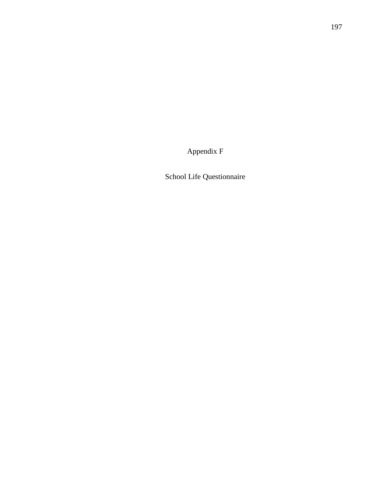Appendix F

School Life Questionnaire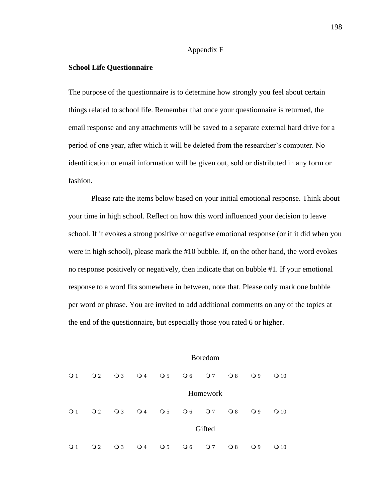#### Appendix F

#### **School Life Questionnaire**

The purpose of the questionnaire is to determine how strongly you feel about certain things related to school life. Remember that once your questionnaire is returned, the email response and any attachments will be saved to a separate external hard drive for a period of one year, after which it will be deleted from the researcher"s computer. No identification or email information will be given out, sold or distributed in any form or fashion.

Please rate the items below based on your initial emotional response. Think about your time in high school. Reflect on how this word influenced your decision to leave school. If it evokes a strong positive or negative emotional response (or if it did when you were in high school), please mark the #10 bubble. If, on the other hand, the word evokes no response positively or negatively, then indicate that on bubble #1. If your emotional response to a word fits somewhere in between, note that. Please only mark one bubble per word or phrase. You are invited to add additional comments on any of the topics at the end of the questionnaire, but especially those you rated 6 or higher.

|              |                 |              |              |                                  |                 | <b>Boredom</b>  |              |              |               |
|--------------|-----------------|--------------|--------------|----------------------------------|-----------------|-----------------|--------------|--------------|---------------|
| $\bigcirc$ 1 | $\overline{Q}2$ | $\bigcirc$ 3 | $\bigcirc$ 4 | $\bigcirc$ 5                     | $\overline{O6}$ | $\overline{O}7$ | $\bigcirc$ 8 | $\bigcirc$ 9 | $\Omega$ 10   |
|              |                 |              |              |                                  |                 | Homework        |              |              |               |
| $\bigcirc$ 1 | $\overline{Q}2$ | $\bigcirc$ 3 | $\bigcirc$ 4 | $\bigcirc$ 5                     | $\overline{O}6$ | $\overline{O}7$ | $\bigcirc$ 8 | $\bigcirc$ 9 | $\Omega$ 10   |
|              |                 |              |              |                                  |                 | Gifted          |              |              |               |
| $\bigcirc$ 1 | $\Omega$        | $\bigcirc$ 3 | $\bigcirc$ 4 | $\overline{\smash{\bigcirc}}\,5$ | $\overline{O}6$ | $\overline{O}7$ | $\bigcirc$ 8 | $\bigcirc$ 9 | 10<br>$\circ$ |

198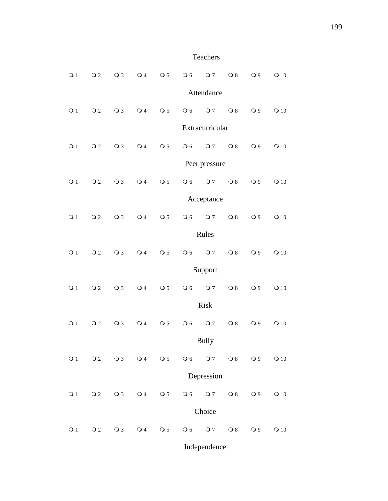# Teachers

| $\overline{O}1$ | $\overline{O}2$ | $\overline{O}3$ | $\overline{O}4$                 | $\overline{O}5$           | $\overline{O}$ 6 | $\overline{O}7$ | $\bigcirc$ 8            | $\overline{O}9$ | $\Omega$ 10     |
|-----------------|-----------------|-----------------|---------------------------------|---------------------------|------------------|-----------------|-------------------------|-----------------|-----------------|
|                 |                 |                 |                                 |                           |                  | Attendance      |                         |                 |                 |
| $\bigcirc$ 1    | $\Omega$        | $\overline{O}3$ | $\overline{O}4$                 | $\overline{\text{O}}$ 5   | $\overline{O}6$  | $\overline{O}7$ | $\bigcirc$ 8            | $\bigcirc$ 9    | $\bigcirc$ 10   |
|                 |                 |                 |                                 |                           |                  | Extracurricular |                         |                 |                 |
| $\bigcirc$ 1    | $\Omega$        | $\bigcirc$ 3    | $\overline{O}4$                 | $\overline{\text{O}}$ 5   | $\overline{O}6$  | $\overline{O}7$ | $\bigcirc$ 8            | $\overline{O}9$ | $\Omega$ 10     |
|                 |                 |                 |                                 |                           |                  | Peer pressure   |                         |                 |                 |
| $\overline{O}1$ | $\overline{O}2$ | $\bigcirc$ 3    | $\bigcirc$ 4                    | $\overline{\text{O}}$ 5   | $\overline{O}6$  | $\overline{O}7$ | $\bigcirc$ 8            | $\bigcirc$ 9    | $Q$ 10          |
|                 |                 |                 |                                 |                           |                  | Acceptance      |                         |                 |                 |
| $\bigcirc$ 1    | $\Omega$        | $\bigcirc$ 3    | $\bigcirc$ 4                    | $\overline{\text{O}}$ 5   | $\overline{O}$ 6 | $\overline{O}7$ | $\overline{O}8$         | $\overline{O}9$ | $\Omega$ 10     |
|                 |                 |                 |                                 |                           |                  | Rules           |                         |                 |                 |
| $\overline{O}1$ | $\overline{O}2$ | $\bigcirc$ 3    | $\overline{\smash{\bigcirc}}$ 4 | $\overline{\text{O}}$ 5   | $\overline{O}6$  | $\overline{O}7$ | $\bigcirc$ 8            | $\bigcirc$ 9    | $\Omega$ 10     |
|                 |                 |                 |                                 |                           |                  | Support         |                         |                 |                 |
| $\bigcirc$ 1    | $\overline{O}2$ | $\bigcirc$ 3    | $\bigcirc$ 4                    | $\overline{\text{O}}$ 5   | $\overline{O}6$  | $\overline{O}7$ | $\bigcirc$ 8            | $\bigcirc$ 9    | $Q$ 10          |
|                 |                 |                 |                                 |                           |                  | <b>Risk</b>     |                         |                 |                 |
| $\bigcirc$ 1    | $\Omega$        | $\bigcirc$ 3    | $\bigcirc$ 4                    | $\overline{\text{O}}$ 5   | $\overline{O}$ 6 | $\overline{O}7$ | $\overline{O}8$         | $\bigcirc$ 9    | $\Omega$ 10     |
|                 |                 |                 |                                 |                           |                  | <b>Bully</b>    |                         |                 |                 |
| $\overline{O}1$ | $\Omega$        | $\bigcirc$ 3    | $\overline{O}4$                 | $\overline{\mathrm{o}}$ 5 | $\overline{O}6$  | $Q$ 7           | $\overline{\text{O }8}$ | $\bigcirc$ 9    | $\mathbf{O}$ 10 |
|                 |                 |                 |                                 |                           |                  | Depression      |                         |                 |                 |
| $\overline{O}1$ | $\Omega$        | $\overline{O}3$ | $\bigcirc$ 4                    | $\overline{\text{O}}$ 5   | $\overline{O}6$  | Q <sub>7</sub>  | $\bigcirc$ 8            | $\bigcirc$ 9    | $\Omega$ 10     |
|                 |                 |                 |                                 |                           |                  | Choice          |                         |                 |                 |
| $\bigcirc$ 1    | $\overline{O}2$ | $\bigcirc$ 3    | $\bigcirc$ 4                    | $\overline{\mathrm{o}}$ 5 | $\bigcirc$ 6     | $Q$ 7           | $\overline{O}8$         | $\overline{O}9$ | $\mathbf{O}$ 10 |
|                 |                 |                 |                                 |                           |                  | Independence    |                         |                 |                 |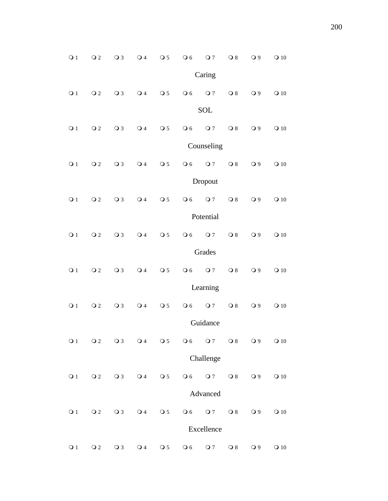| $\overline{O}1$ | $\Omega$        | $\overline{O}3$ | $\overline{O}4$           | $\overline{O}5$                   | $\overline{O}6$         | $\overline{O}7$ | $\overline{O}8$         | $\bigcirc$ 9    | $\Omega$ 10              |
|-----------------|-----------------|-----------------|---------------------------|-----------------------------------|-------------------------|-----------------|-------------------------|-----------------|--------------------------|
|                 |                 |                 |                           |                                   |                         | Caring          |                         |                 |                          |
| $\overline{O}1$ | $\Omega$        | $\overline{O}3$ | $\bigcirc$ 4              | $\overline{\text{O}}$ 5           | $\overline{O}$ 6        | $\overline{O}7$ | $\bigcirc$ 8            | $\bigcirc$ 9    | $Q$ 10                   |
|                 |                 |                 |                           |                                   |                         | <b>SOL</b>      |                         |                 |                          |
| $\bigcirc$ 1    | $\overline{O}2$ | $\bigcirc$ 3    | $\overline{O}4$           | $\overline{\text{O}}$ 5           | $\overline{O}6$         | $\overline{O}7$ | $\bigcirc$ 8            | $\bigcirc$ 9    | $\Omega$ 10              |
|                 |                 |                 |                           |                                   |                         | Counseling      |                         |                 |                          |
| $\bigcirc$ 1    | $\Omega$        | $\bigcirc$ 3    | $\bigcirc$ 4              | $\overline{\text{O}}$ 5           | $\overline{O}$ 6        | $\overline{O}7$ | $\bigcirc$ 8            | $\bigcirc$ 9    | $Q$ 10                   |
|                 |                 |                 |                           |                                   |                         | Dropout         |                         |                 |                          |
| $\overline{O}1$ | $\overline{O}2$ | $\overline{O}3$ | $\overline{O}4$           | $\overline{\text{O}}$ 5           | $\overline{O}$ 6        | $\overline{O}7$ | $\bigcirc$ 8            | O <sub>9</sub>  | $Q$ 10                   |
|                 |                 |                 |                           |                                   |                         | Potential       |                         |                 |                          |
| $\bigcirc$ 1    | $\Omega$        | $\overline{O}3$ | $\overline{\mathsf{Q}}$ 4 | $\overline{O}5$                   | $\overline{O}$ 6        | $\overline{O}7$ | $\bigcirc$ 8            | O <sub>9</sub>  | $\Omega$ 10              |
|                 |                 |                 |                           |                                   |                         | Grades          |                         |                 |                          |
| $\bigcirc$ 1    | $\overline{O}2$ | $\bigcirc$ 3    | $\bigcirc$ 4              | $\overline{\text{O}}$ 5           | $\overline{O}$ 6        | $\overline{O}7$ | $\bigcirc$ 8            | $\bigcirc$ 9    | $Q$ 10                   |
|                 |                 |                 |                           |                                   |                         | Learning        |                         |                 |                          |
| $\bigcirc$ 1    | $\Omega$        | $\overline{O}3$ | $\bigcirc$ 4              | $\overline{\text{O}}$ 5           | $\overline{O}$ 6        | $\overline{O}7$ | $\bigcirc$ 8            | O <sub>9</sub>  | $Q$ 10                   |
|                 |                 |                 |                           |                                   |                         | Guidance        |                         |                 |                          |
| $\overline{O}1$ | $\Omega$        | $\bigcirc$ 3    | $\bigcirc$ 4              | $\overline{\text{O}}$ 5           | $\overline{O}6$         | $\overline{O}7$ | $\bigcirc$ 8            | $\overline{O}9$ | $\Omega$ 10              |
|                 |                 |                 |                           |                                   |                         | Challenge       |                         |                 |                          |
| $\bigcirc$ 1    | $\overline{O}2$ | $\bigcirc$ 3    | $\bigcirc$ 4              | $\overline{\mathrm{o}}$ 5         | $\overline{O}$ 6        | Q <sub>7</sub>  | $\overline{\text{O }8}$ | $\bigcirc$ 9    | $\bigcirc$ 10            |
|                 |                 |                 |                           |                                   |                         | Advanced        |                         |                 |                          |
| $\bigcirc$ 1    | $\Omega$        | $\bigcirc$ 3    | $\bigcirc$ 4              | $\overline{\smash{\bigcirc}}\,$ 5 | $\overline{\text{O }6}$ | Q <sub>7</sub>  | $\overline{O}8$         | $\bigcirc$ 9    | $\bigcirc$ 10            |
|                 |                 |                 |                           |                                   |                         | Excellence      |                         |                 |                          |
| $\mathsf{Q}$ 1  | $\mathsf{O}\,2$ | $\bigcirc$ 3    | $\bigcirc$ 4              | $\overline{\text{O}}$ 5           | $\overline{O}$ 6        | $\overline{O}7$ | $\mathbf{O}8$           | $\bigcirc$ 9    | $\mathbf{\mathsf{O}}$ 10 |

200